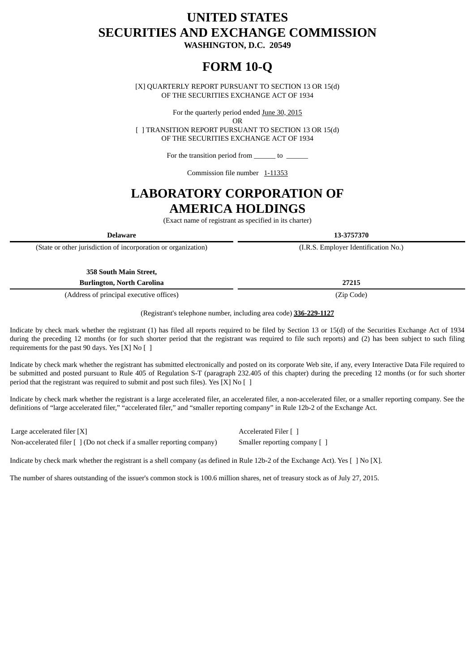# **UNITED STATES SECURITIES AND EXCHANGE COMMISSION**

**WASHINGTON, D.C. 20549**

# **FORM 10-Q**

[X] QUARTERLY REPORT PURSUANT TO SECTION 13 OR 15(d) OF THE SECURITIES EXCHANGE ACT OF 1934

For the quarterly period ended June 30, 2015

OR

[ ] TRANSITION REPORT PURSUANT TO SECTION 13 OR 15(d) OF THE SECURITIES EXCHANGE ACT OF 1934

For the transition period from \_\_\_\_\_\_\_\_ to \_

Commission file number 1-11353

## **LABORATORY CORPORATION OF AMERICA HOLDINGS**

(Exact name of registrant as specified in its charter)

**Delaware 13-3757370**

(State or other jurisdiction of incorporation or organization) (I.R.S. Employer Identification No.)

**358 South Main Street,**

**Burlington, North Carolina 27215**

(Address of principal executive offices) (Zip Code)

(Registrant's telephone number, including area code) **336-229-1127**

Indicate by check mark whether the registrant (1) has filed all reports required to be filed by Section 13 or 15(d) of the Securities Exchange Act of 1934 during the preceding 12 months (or for such shorter period that the registrant was required to file such reports) and (2) has been subject to such filing requirements for the past 90 days. Yes  $[X]$  No  $[ \ ]$ 

Indicate by check mark whether the registrant has submitted electronically and posted on its corporate Web site, if any, every Interactive Data File required to be submitted and posted pursuant to Rule 405 of Regulation S-T (paragraph 232.405 of this chapter) during the preceding 12 months (or for such shorter period that the registrant was required to submit and post such files). Yes [X] No [ ]

Indicate by check mark whether the registrant is a large accelerated filer, an accelerated filer, a non-accelerated filer, or a smaller reporting company. See the definitions of "large accelerated filer," "accelerated filer," and "smaller reporting company" in Rule 12b-2 of the Exchange Act.

Large accelerated filer [X] and the contract of the contract of the Accelerated Filer [ ] Non-accelerated filer [ ] (Do not check if a smaller reporting company) Smaller reporting company [ ]

Indicate by check mark whether the registrant is a shell company (as defined in Rule 12b-2 of the Exchange Act). Yes [ ] No [X].

<span id="page-0-0"></span>The number of shares outstanding of the issuer's common stock is 100.6 million shares, net of treasury stock as of July 27, 2015.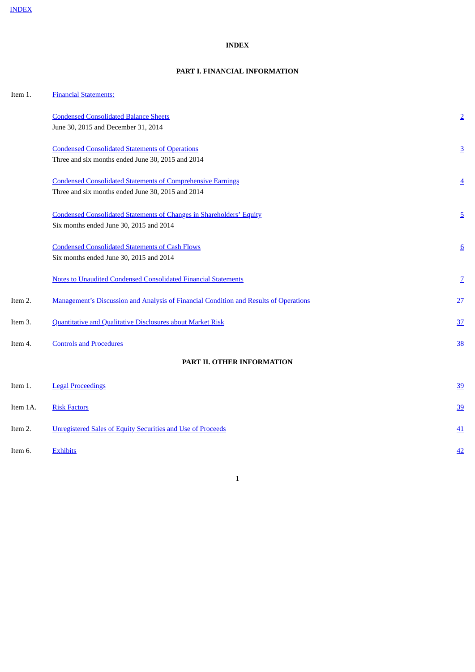## **INDEX**

## **PART I. FINANCIAL INFORMATION**

<span id="page-1-0"></span>

| Item 1.  | <b>Financial Statements:</b>                                                          |                 |
|----------|---------------------------------------------------------------------------------------|-----------------|
|          | <b>Condensed Consolidated Balance Sheets</b>                                          | $\overline{2}$  |
|          | June 30, 2015 and December 31, 2014                                                   |                 |
|          | <b>Condensed Consolidated Statements of Operations</b>                                | $\overline{3}$  |
|          | Three and six months ended June 30, 2015 and 2014                                     |                 |
|          | <b>Condensed Consolidated Statements of Comprehensive Earnings</b>                    | $\overline{4}$  |
|          | Three and six months ended June 30, 2015 and 2014                                     |                 |
|          | <b>Condensed Consolidated Statements of Changes in Shareholders' Equity</b>           | $\overline{5}$  |
|          | Six months ended June 30, 2015 and 2014                                               |                 |
|          | <b>Condensed Consolidated Statements of Cash Flows</b>                                | $6\overline{6}$ |
|          | Six months ended June 30, 2015 and 2014                                               |                 |
|          | <b>Notes to Unaudited Condensed Consolidated Financial Statements</b>                 | $\overline{Z}$  |
| Item 2.  | Management's Discussion and Analysis of Financial Condition and Results of Operations | 27              |
| Item 3.  | <b>Quantitative and Qualitative Disclosures about Market Risk</b>                     | 37              |
| Item 4.  | <b>Controls and Procedures</b>                                                        | 38              |
|          | PART II. OTHER INFORMATION                                                            |                 |
| Item 1.  | <b>Legal Proceedings</b>                                                              | <u>39</u>       |
| Item 1A. | <b>Risk Factors</b>                                                                   | <u>39</u>       |
| Item 2.  | <b>Unregistered Sales of Equity Securities and Use of Proceeds</b>                    | <u>41</u>       |
| Item 6.  | <b>Exhibits</b>                                                                       | 42              |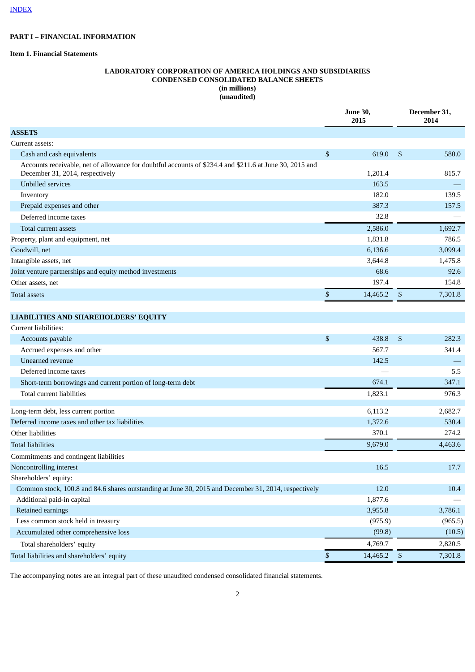## **PART I – FINANCIAL INFORMATION**

## <span id="page-2-0"></span>**Item 1. Financial Statements**

## **LABORATORY CORPORATION OF AMERICA HOLDINGS AND SUBSIDIARIES CONDENSED CONSOLIDATED BALANCE SHEETS (in millions) (unaudited)**

|                                                                                                                                                                                                           |                           | <b>June 30,</b><br>2015                                        | December 31,<br>2014                                             |  |  |
|-----------------------------------------------------------------------------------------------------------------------------------------------------------------------------------------------------------|---------------------------|----------------------------------------------------------------|------------------------------------------------------------------|--|--|
| <b>ASSETS</b>                                                                                                                                                                                             |                           |                                                                |                                                                  |  |  |
| Current assets:                                                                                                                                                                                           |                           |                                                                |                                                                  |  |  |
| Cash and cash equivalents                                                                                                                                                                                 | \$                        | 619.0                                                          | \$<br>580.0                                                      |  |  |
| Accounts receivable, net of allowance for doubtful accounts of \$234.4 and \$211.6 at June 30, 2015 and<br>December 31, 2014, respectively                                                                |                           | 1,201.4                                                        | 815.7                                                            |  |  |
| <b>Unbilled services</b>                                                                                                                                                                                  |                           | 163.5                                                          |                                                                  |  |  |
| Inventory                                                                                                                                                                                                 |                           | 182.0                                                          | 139.5                                                            |  |  |
| Prepaid expenses and other                                                                                                                                                                                |                           | 387.3                                                          | 157.5                                                            |  |  |
| Deferred income taxes                                                                                                                                                                                     |                           | 32.8                                                           |                                                                  |  |  |
| Total current assets                                                                                                                                                                                      |                           | 2,586.0                                                        | 1,692.7                                                          |  |  |
| Property, plant and equipment, net                                                                                                                                                                        |                           | 1,831.8                                                        | 786.5                                                            |  |  |
| Goodwill, net                                                                                                                                                                                             |                           | 6,136.6                                                        | 3,099.4                                                          |  |  |
| Intangible assets, net                                                                                                                                                                                    |                           | 3,644.8                                                        | 1,475.8                                                          |  |  |
| Joint venture partnerships and equity method investments                                                                                                                                                  |                           | 68.6                                                           | 92.6                                                             |  |  |
| Other assets, net                                                                                                                                                                                         |                           | 197.4                                                          | 154.8                                                            |  |  |
| <b>Total assets</b>                                                                                                                                                                                       | \$                        | 14,465.2                                                       | \$<br>7,301.8                                                    |  |  |
|                                                                                                                                                                                                           |                           |                                                                |                                                                  |  |  |
| <b>LIABILITIES AND SHAREHOLDERS' EQUITY</b>                                                                                                                                                               |                           |                                                                |                                                                  |  |  |
| Current liabilities:                                                                                                                                                                                      |                           |                                                                |                                                                  |  |  |
| Accounts payable                                                                                                                                                                                          | $\boldsymbol{\mathsf{S}}$ | 438.8                                                          | \$<br>282.3                                                      |  |  |
| Accrued expenses and other                                                                                                                                                                                |                           | 567.7                                                          | 341.4                                                            |  |  |
| Unearned revenue                                                                                                                                                                                          |                           | 142.5                                                          |                                                                  |  |  |
| Deferred income taxes                                                                                                                                                                                     |                           |                                                                | 5.5                                                              |  |  |
| Short-term borrowings and current portion of long-term debt                                                                                                                                               |                           | 674.1                                                          | 347.1                                                            |  |  |
| Total current liabilities                                                                                                                                                                                 |                           | 1,823.1                                                        | 976.3                                                            |  |  |
| Long-term debt, less current portion                                                                                                                                                                      |                           | 6,113.2                                                        | 2,682.7                                                          |  |  |
| Deferred income taxes and other tax liabilities                                                                                                                                                           |                           | 1,372.6                                                        | 530.4                                                            |  |  |
| Other liabilities                                                                                                                                                                                         |                           | 370.1                                                          | 274.2                                                            |  |  |
| <b>Total liabilities</b>                                                                                                                                                                                  |                           | 9,679.0                                                        | 4,463.6                                                          |  |  |
| Commitments and contingent liabilities                                                                                                                                                                    |                           |                                                                |                                                                  |  |  |
| Noncontrolling interest                                                                                                                                                                                   |                           | 16.5                                                           | 17.7                                                             |  |  |
| Shareholders' equity:                                                                                                                                                                                     |                           |                                                                |                                                                  |  |  |
| Common stock, 100.8 and 84.6 shares outstanding at June 30, 2015 and December 31, 2014, respectively                                                                                                      |                           | 12.0                                                           |                                                                  |  |  |
|                                                                                                                                                                                                           |                           |                                                                |                                                                  |  |  |
|                                                                                                                                                                                                           |                           |                                                                |                                                                  |  |  |
|                                                                                                                                                                                                           |                           |                                                                |                                                                  |  |  |
|                                                                                                                                                                                                           |                           |                                                                |                                                                  |  |  |
|                                                                                                                                                                                                           |                           |                                                                |                                                                  |  |  |
|                                                                                                                                                                                                           |                           |                                                                |                                                                  |  |  |
| Additional paid-in capital<br>Retained earnings<br>Less common stock held in treasury<br>Accumulated other comprehensive loss<br>Total shareholders' equity<br>Total liabilities and shareholders' equity | $\mathbb{S}$              | 1,877.6<br>3,955.8<br>(975.9)<br>(99.8)<br>4,769.7<br>14,465.2 | \$<br>10.4<br>3,786.1<br>(965.5)<br>(10.5)<br>2,820.5<br>7,301.8 |  |  |

<span id="page-2-1"></span>The accompanying notes are an integral part of these unaudited condensed consolidated financial statements.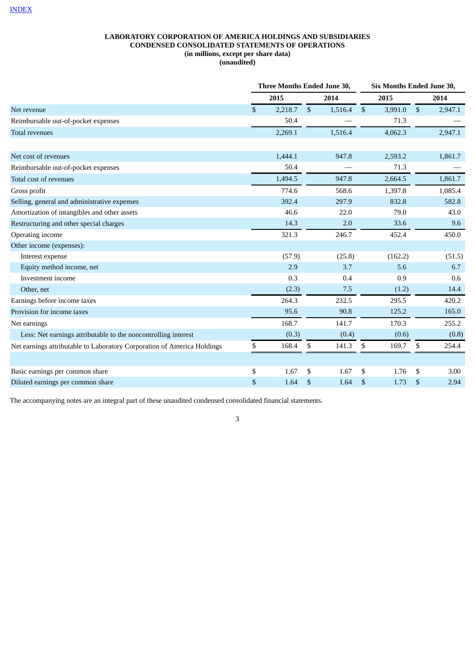## **LABORATORY CORPORATION OF AMERICA HOLDINGS AND SUBSIDIARIES CONDENSED CONSOLIDATED STATEMENTS OF OPERATIONS (in millions, except per share data) (unaudited)**

|                                                                         |              | Three Months Ended June 30, |                           |         |              | Six Months Ended June 30, |    |         |
|-------------------------------------------------------------------------|--------------|-----------------------------|---------------------------|---------|--------------|---------------------------|----|---------|
|                                                                         |              | 2015                        |                           | 2014    |              | 2015                      |    | 2014    |
| Net revenue                                                             | $\mathbb{S}$ | 2,218.7                     | $\boldsymbol{\mathsf{S}}$ | 1,516.4 | $\mathbf{s}$ | 3,991.0                   | \$ | 2,947.1 |
| Reimbursable out-of-pocket expenses                                     |              | 50.4                        |                           |         |              | 71.3                      |    |         |
| <b>Total revenues</b>                                                   |              | 2,269.1                     |                           | 1,516.4 |              | 4,062.3                   |    | 2,947.1 |
| Net cost of revenues                                                    |              | 1,444.1                     |                           | 947.8   |              | 2,593.2                   |    | 1,861.7 |
| Reimbursable out-of-pocket expenses                                     |              | 50.4                        |                           |         |              | 71.3                      |    |         |
| Total cost of revenues                                                  |              | 1,494.5                     |                           | 947.8   |              | 2,664.5                   |    | 1,861.7 |
| Gross profit                                                            |              | 774.6                       |                           | 568.6   |              | 1,397.8                   |    | 1,085.4 |
| Selling, general and administrative expenses                            |              | 392.4                       |                           | 297.9   |              | 832.8                     |    | 582.8   |
| Amortization of intangibles and other assets                            |              | 46.6                        |                           | 22.0    |              | 79.0                      |    | 43.0    |
| Restructuring and other special charges                                 |              | 14.3                        |                           | 2.0     |              | 33.6                      |    | 9.6     |
| Operating income                                                        |              | 321.3                       |                           | 246.7   |              | 452.4                     |    | 450.0   |
| Other income (expenses):                                                |              |                             |                           |         |              |                           |    |         |
| Interest expense                                                        |              | (57.9)                      |                           | (25.8)  |              | (162.2)                   |    | (51.5)  |
| Equity method income, net                                               |              | 2.9                         |                           | 3.7     |              | 5.6                       |    | 6.7     |
| Investment income                                                       |              | 0.3                         |                           | 0.4     |              | 0.9                       |    | 0.6     |
| Other, net                                                              |              | (2.3)                       |                           | 7.5     |              | (1.2)                     |    | 14.4    |
| Earnings before income taxes                                            |              | 264.3                       |                           | 232.5   |              | 295.5                     |    | 420.2   |
| Provision for income taxes                                              |              | 95.6                        |                           | 90.8    |              | 125.2                     |    | 165.0   |
| Net earnings                                                            |              | 168.7                       |                           | 141.7   |              | 170.3                     |    | 255.2   |
| Less: Net earnings attributable to the noncontrolling interest          |              | (0.3)                       |                           | (0.4)   |              | (0.6)                     |    | (0.8)   |
| Net earnings attributable to Laboratory Corporation of America Holdings | \$           | 168.4                       | \$                        | 141.3   | \$           | 169.7                     | \$ | 254.4   |
|                                                                         |              |                             |                           |         |              |                           |    |         |
| Basic earnings per common share                                         | \$           | 1.67                        | \$                        | 1.67    | \$           | 1.76                      | \$ | 3.00    |
| Diluted earnings per common share                                       | $\$$         | 1.64                        | \$                        | 1.64    | \$           | 1.73                      | \$ | 2.94    |

<span id="page-3-0"></span>The accompanying notes are an integral part of these unaudited condensed consolidated financial statements.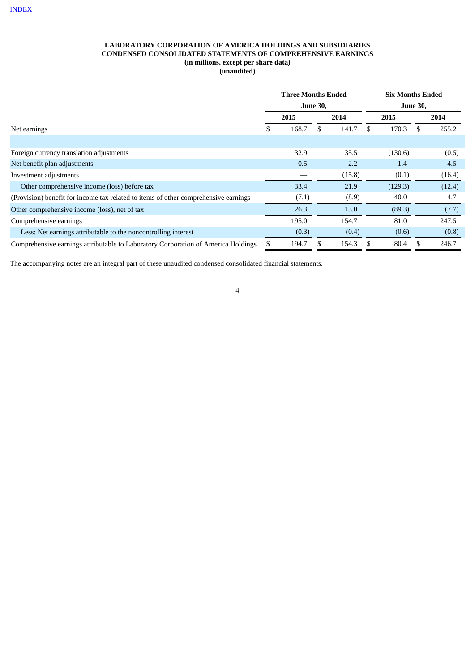## **LABORATORY CORPORATION OF AMERICA HOLDINGS AND SUBSIDIARIES CONDENSED CONSOLIDATED STATEMENTS OF COMPREHENSIVE EARNINGS (in millions, except per share data) (unaudited)**

|                                                                                     |    | <b>Three Months Ended</b> | <b>June 30,</b> |        | <b>Six Months Ended</b><br><b>June 30,</b> |         |     |        |  |
|-------------------------------------------------------------------------------------|----|---------------------------|-----------------|--------|--------------------------------------------|---------|-----|--------|--|
|                                                                                     |    | 2015                      |                 | 2014   | 2015                                       |         |     | 2014   |  |
| Net earnings                                                                        | S. | 168.7                     | \$.             | 141.7  | \$.                                        | 170.3   | \$. | 255.2  |  |
|                                                                                     |    |                           |                 |        |                                            |         |     |        |  |
| Foreign currency translation adjustments                                            |    | 32.9                      |                 | 35.5   |                                            | (130.6) |     | (0.5)  |  |
| Net benefit plan adjustments                                                        |    | 0.5                       |                 | 2.2    |                                            | 1.4     |     | 4.5    |  |
| Investment adjustments                                                              |    |                           |                 | (15.8) |                                            | (0.1)   |     | (16.4) |  |
| Other comprehensive income (loss) before tax                                        |    | 33.4                      |                 | 21.9   |                                            | (129.3) |     | (12.4) |  |
| (Provision) benefit for income tax related to items of other comprehensive earnings |    | (7.1)                     |                 | (8.9)  |                                            | 40.0    |     | 4.7    |  |
| Other comprehensive income (loss), net of tax                                       |    | 26.3                      |                 | 13.0   |                                            | (89.3)  |     | (7.7)  |  |
| Comprehensive earnings                                                              |    | 195.0                     |                 | 154.7  |                                            | 81.0    |     | 247.5  |  |
| Less: Net earnings attributable to the noncontrolling interest                      |    | (0.3)                     |                 | (0.4)  |                                            | (0.6)   |     | (0.8)  |  |
| Comprehensive earnings attributable to Laboratory Corporation of America Holdings   |    | 194.7                     |                 | 154.3  | \$.                                        | 80.4    | \$. | 246.7  |  |

<span id="page-4-0"></span>The accompanying notes are an integral part of these unaudited condensed consolidated financial statements.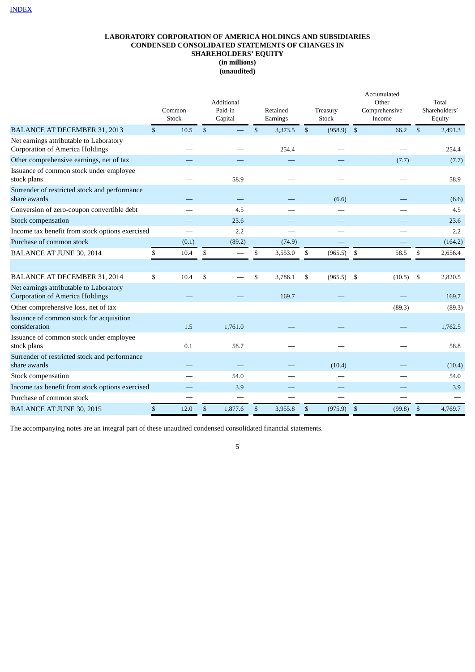## **LABORATORY CORPORATION OF AMERICA HOLDINGS AND SUBSIDIARIES CONDENSED CONSOLIDATED STATEMENTS OF CHANGES IN SHAREHOLDERS' EQUITY (in millions) (unaudited)**

|                                                                                   |              | Common<br><b>Stock</b> |              | Additional<br>Paid-in<br>Capital |              | Retained<br>Earnings |                | Treasury<br>Stock | Accumulated<br>Other<br>Comprehensive<br>Income |              | Total<br>Shareholders'<br>Equity |
|-----------------------------------------------------------------------------------|--------------|------------------------|--------------|----------------------------------|--------------|----------------------|----------------|-------------------|-------------------------------------------------|--------------|----------------------------------|
| <b>BALANCE AT DECEMBER 31, 2013</b>                                               | $\mathbb{S}$ | 10.5                   | $\mathbb{S}$ |                                  | $\mathbf{s}$ | 3,373.5              | $\mathfrak{S}$ | $(958.9)$ \$      | 66.2                                            | $\mathbf{s}$ | 2.491.3                          |
| Net earnings attributable to Laboratory<br><b>Corporation of America Holdings</b> |              |                        |              |                                  |              | 254.4                |                |                   |                                                 |              | 254.4                            |
| Other comprehensive earnings, net of tax                                          |              |                        |              |                                  |              |                      |                |                   | (7.7)                                           |              | (7.7)                            |
| Issuance of common stock under employee<br>stock plans                            |              |                        |              | 58.9                             |              |                      |                |                   |                                                 |              | 58.9                             |
| Surrender of restricted stock and performance<br>share awards                     |              |                        |              |                                  |              |                      |                | (6.6)             |                                                 |              | (6.6)                            |
| Conversion of zero-coupon convertible debt                                        |              |                        |              | 4.5                              |              |                      |                |                   |                                                 |              | 4.5                              |
| <b>Stock compensation</b>                                                         |              |                        |              | 23.6                             |              |                      |                |                   |                                                 |              | 23.6                             |
| Income tax benefit from stock options exercised                                   |              |                        |              | 2.2                              |              |                      |                |                   |                                                 |              | 2.2                              |
| Purchase of common stock                                                          |              | (0.1)                  |              | (89.2)                           |              | (74.9)               |                |                   |                                                 |              | (164.2)                          |
| <b>BALANCE AT JUNE 30, 2014</b>                                                   | \$           | 10.4                   | \$           |                                  | \$           | 3,553.0              | \$             | (965.5)           | \$<br>58.5                                      | \$           | 2,656.4                          |
|                                                                                   |              |                        |              |                                  |              |                      |                |                   |                                                 |              |                                  |
| <b>BALANCE AT DECEMBER 31, 2014</b>                                               | \$           | 10.4                   | \$           |                                  | \$           | 3,786.1              | \$             | (965.5)           | \$<br>(10.5)                                    | \$           | 2,820.5                          |
| Net earnings attributable to Laboratory<br><b>Corporation of America Holdings</b> |              |                        |              |                                  |              | 169.7                |                |                   |                                                 |              | 169.7                            |
| Other comprehensive loss, net of tax                                              |              |                        |              |                                  |              |                      |                |                   | (89.3)                                          |              | (89.3)                           |
| Issuance of common stock for acquisition<br>consideration                         |              | 1.5                    |              | 1,761.0                          |              |                      |                |                   |                                                 |              | 1,762.5                          |
| Issuance of common stock under employee<br>stock plans                            |              | 0.1                    |              | 58.7                             |              |                      |                |                   |                                                 |              | 58.8                             |
| Surrender of restricted stock and performance<br>share awards                     |              |                        |              |                                  |              |                      |                | (10.4)            |                                                 |              | (10.4)                           |
| Stock compensation                                                                |              |                        |              | 54.0                             |              |                      |                |                   |                                                 |              | 54.0                             |
| Income tax benefit from stock options exercised                                   |              |                        |              | 3.9                              |              |                      |                |                   |                                                 |              | 3.9                              |
| Purchase of common stock                                                          |              |                        |              |                                  |              |                      |                |                   |                                                 |              |                                  |
| <b>BALANCE AT JUNE 30, 2015</b>                                                   | \$           | 12.0                   | \$           | 1,877.6                          | \$           | 3,955.8              | \$             | (975.9)           | \$<br>(99.8)                                    | \$           | 4,769.7                          |

<span id="page-5-0"></span>The accompanying notes are an integral part of these unaudited condensed consolidated financial statements.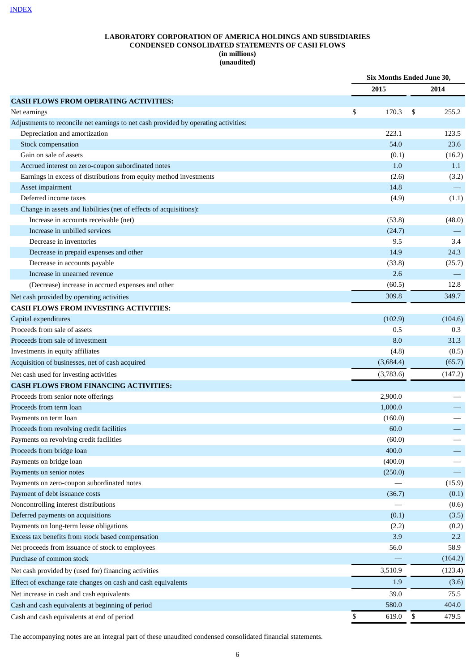## **LABORATORY CORPORATION OF AMERICA HOLDINGS AND SUBSIDIARIES CONDENSED CONSOLIDATED STATEMENTS OF CASH FLOWS (in millions) (unaudited)**

|                                                                                     | Six Months Ended June 30, |    |         |
|-------------------------------------------------------------------------------------|---------------------------|----|---------|
|                                                                                     | 2015                      |    | 2014    |
| <b>CASH FLOWS FROM OPERATING ACTIVITIES:</b>                                        |                           |    |         |
| Net earnings                                                                        | \$<br>170.3               | \$ | 255.2   |
| Adjustments to reconcile net earnings to net cash provided by operating activities: |                           |    |         |
| Depreciation and amortization                                                       | 223.1                     |    | 123.5   |
| Stock compensation                                                                  | 54.0                      |    | 23.6    |
| Gain on sale of assets                                                              | (0.1)                     |    | (16.2)  |
| Accrued interest on zero-coupon subordinated notes                                  | 1.0                       |    | 1.1     |
| Earnings in excess of distributions from equity method investments                  | (2.6)                     |    | (3.2)   |
| Asset impairment                                                                    | 14.8                      |    |         |
| Deferred income taxes                                                               | (4.9)                     |    | (1.1)   |
| Change in assets and liabilities (net of effects of acquisitions):                  |                           |    |         |
| Increase in accounts receivable (net)                                               | (53.8)                    |    | (48.0)  |
| Increase in unbilled services                                                       | (24.7)                    |    |         |
| Decrease in inventories                                                             | 9.5                       |    | 3.4     |
| Decrease in prepaid expenses and other                                              | 14.9                      |    | 24.3    |
| Decrease in accounts payable                                                        | (33.8)                    |    | (25.7)  |
| Increase in unearned revenue                                                        | 2.6                       |    |         |
| (Decrease) increase in accrued expenses and other                                   | (60.5)                    |    | 12.8    |
| Net cash provided by operating activities                                           | 309.8                     |    | 349.7   |
| <b>CASH FLOWS FROM INVESTING ACTIVITIES:</b>                                        |                           |    |         |
| Capital expenditures                                                                | (102.9)                   |    | (104.6) |
| Proceeds from sale of assets                                                        | 0.5                       |    | 0.3     |
| Proceeds from sale of investment                                                    | 8.0                       |    | 31.3    |
| Investments in equity affiliates                                                    | (4.8)                     |    | (8.5)   |
| Acquisition of businesses, net of cash acquired                                     | (3,684.4)                 |    | (65.7)  |
| Net cash used for investing activities                                              | (3,783.6)                 |    | (147.2) |
| <b>CASH FLOWS FROM FINANCING ACTIVITIES:</b>                                        |                           |    |         |
| Proceeds from senior note offerings                                                 | 2,900.0                   |    |         |
| Proceeds from term loan                                                             | 1,000.0                   |    |         |
| Payments on term loan                                                               | (160.0)                   |    |         |
| Proceeds from revolving credit facilities                                           | 60.0                      |    |         |
| Payments on revolving credit facilities                                             | (60.0)                    |    |         |
| Proceeds from bridge loan                                                           | 400.0                     |    |         |
| Payments on bridge loan                                                             | (400.0)                   |    |         |
| Payments on senior notes                                                            | (250.0)                   |    |         |
| Payments on zero-coupon subordinated notes                                          |                           |    | (15.9)  |
| Payment of debt issuance costs                                                      | (36.7)                    |    | (0.1)   |
| Noncontrolling interest distributions                                               |                           |    | (0.6)   |
| Deferred payments on acquisitions                                                   | (0.1)                     |    | (3.5)   |
| Payments on long-term lease obligations                                             | (2.2)                     |    | (0.2)   |
| Excess tax benefits from stock based compensation                                   | 3.9                       |    | 2.2     |
| Net proceeds from issuance of stock to employees                                    | 56.0                      |    | 58.9    |
| Purchase of common stock                                                            |                           |    | (164.2) |
|                                                                                     | 3,510.9                   |    | (123.4) |
| Net cash provided by (used for) financing activities                                |                           |    |         |
| Effect of exchange rate changes on cash and cash equivalents                        | 1.9                       |    | (3.6)   |
| Net increase in cash and cash equivalents                                           | 39.0                      |    | 75.5    |
| Cash and cash equivalents at beginning of period                                    | 580.0                     |    | 404.0   |
| Cash and cash equivalents at end of period                                          | \$<br>619.0               | \$ | 479.5   |

The accompanying notes are an integral part of these unaudited condensed consolidated financial statements.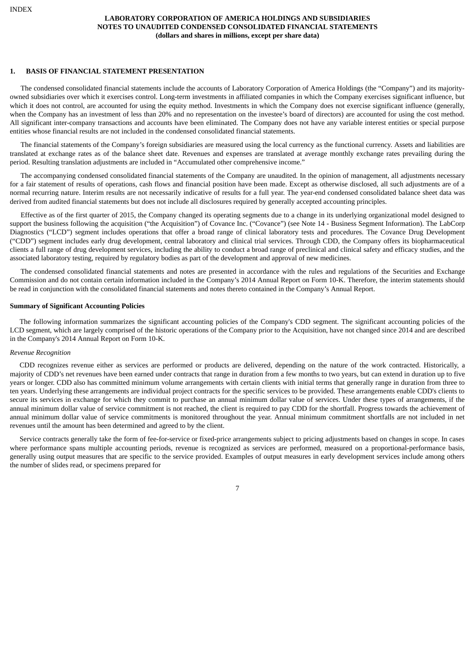#### <span id="page-7-0"></span>**1. BASIS OF FINANCIAL STATEMENT PRESENTATION**

The condensed consolidated financial statements include the accounts of Laboratory Corporation of America Holdings (the "Company") and its majorityowned subsidiaries over which it exercises control. Long-term investments in affiliated companies in which the Company exercises significant influence, but which it does not control, are accounted for using the equity method. Investments in which the Company does not exercise significant influence (generally, when the Company has an investment of less than 20% and no representation on the investee's board of directors) are accounted for using the cost method. All significant inter-company transactions and accounts have been eliminated. The Company does not have any variable interest entities or special purpose entities whose financial results are not included in the condensed consolidated financial statements.

The financial statements of the Company's foreign subsidiaries are measured using the local currency as the functional currency. Assets and liabilities are translated at exchange rates as of the balance sheet date. Revenues and expenses are translated at average monthly exchange rates prevailing during the period. Resulting translation adjustments are included in "Accumulated other comprehensive income."

The accompanying condensed consolidated financial statements of the Company are unaudited. In the opinion of management, all adjustments necessary for a fair statement of results of operations, cash flows and financial position have been made. Except as otherwise disclosed, all such adjustments are of a normal recurring nature. Interim results are not necessarily indicative of results for a full year. The year-end condensed consolidated balance sheet data was derived from audited financial statements but does not include all disclosures required by generally accepted accounting principles.

Effective as of the first quarter of 2015, the Company changed its operating segments due to a change in its underlying organizational model designed to support the business following the acquisition ("the Acquisition") of Covance Inc. ("Covance") (see Note 14 - Business Segment Information). The LabCorp Diagnostics ("LCD") segment includes operations that offer a broad range of clinical laboratory tests and procedures. The Covance Drug Development ("CDD") segment includes early drug development, central laboratory and clinical trial services. Through CDD, the Company offers its biopharmaceutical clients a full range of drug development services, including the ability to conduct a broad range of preclinical and clinical safety and efficacy studies, and the associated laboratory testing, required by regulatory bodies as part of the development and approval of new medicines.

The condensed consolidated financial statements and notes are presented in accordance with the rules and regulations of the Securities and Exchange Commission and do not contain certain information included in the Company's 2014 Annual Report on Form 10-K. Therefore, the interim statements should be read in conjunction with the consolidated financial statements and notes thereto contained in the Company's Annual Report.

## **Summary of Significant Accounting Policies**

The following information summarizes the significant accounting policies of the Company's CDD segment. The significant accounting policies of the LCD segment, which are largely comprised of the historic operations of the Company prior to the Acquisition, have not changed since 2014 and are described in the Company's 2014 Annual Report on Form 10-K.

## *Revenue Recognition*

CDD recognizes revenue either as services are performed or products are delivered, depending on the nature of the work contracted. Historically, a majority of CDD's net revenues have been earned under contracts that range in duration from a few months to two years, but can extend in duration up to five years or longer. CDD also has committed minimum volume arrangements with certain clients with initial terms that generally range in duration from three to ten years. Underlying these arrangements are individual project contracts for the specific services to be provided. These arrangements enable CDD's clients to secure its services in exchange for which they commit to purchase an annual minimum dollar value of services. Under these types of arrangements, if the annual minimum dollar value of service commitment is not reached, the client is required to pay CDD for the shortfall. Progress towards the achievement of annual minimum dollar value of service commitments is monitored throughout the year. Annual minimum commitment shortfalls are not included in net revenues until the amount has been determined and agreed to by the client.

Service contracts generally take the form of fee-for-service or fixed-price arrangements subject to pricing adjustments based on changes in scope. In cases where performance spans multiple accounting periods, revenue is recognized as services are performed, measured on a proportional-performance basis, generally using output measures that are specific to the service provided. Examples of output measures in early development services include among others the number of slides read, or specimens prepared for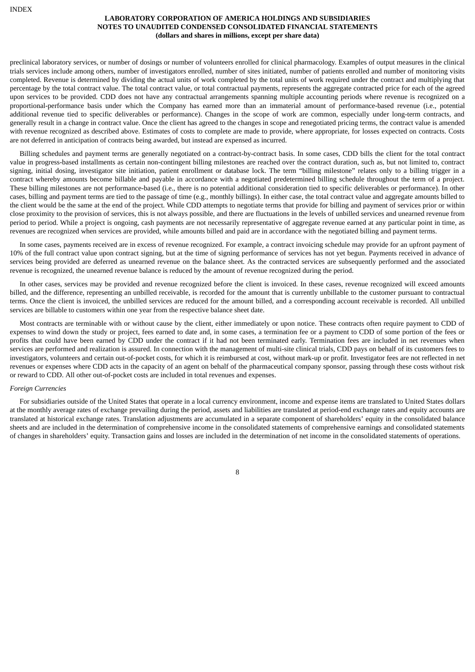preclinical laboratory services, or number of dosings or number of volunteers enrolled for clinical pharmacology. Examples of output measures in the clinical trials services include among others, number of investigators enrolled, number of sites initiated, number of patients enrolled and number of monitoring visits completed. Revenue is determined by dividing the actual units of work completed by the total units of work required under the contract and multiplying that percentage by the total contract value. The total contract value, or total contractual payments, represents the aggregate contracted price for each of the agreed upon services to be provided. CDD does not have any contractual arrangements spanning multiple accounting periods where revenue is recognized on a proportional-performance basis under which the Company has earned more than an immaterial amount of performance-based revenue (i.e., potential additional revenue tied to specific deliverables or performance). Changes in the scope of work are common, especially under long-term contracts, and generally result in a change in contract value. Once the client has agreed to the changes in scope and renegotiated pricing terms, the contract value is amended with revenue recognized as described above. Estimates of costs to complete are made to provide, where appropriate, for losses expected on contracts. Costs are not deferred in anticipation of contracts being awarded, but instead are expensed as incurred.

Billing schedules and payment terms are generally negotiated on a contract-by-contract basis. In some cases, CDD bills the client for the total contract value in progress-based installments as certain non-contingent billing milestones are reached over the contract duration, such as, but not limited to, contract signing, initial dosing, investigator site initiation, patient enrollment or database lock. The term "billing milestone" relates only to a billing trigger in a contract whereby amounts become billable and payable in accordance with a negotiated predetermined billing schedule throughout the term of a project. These billing milestones are not performance-based (i.e., there is no potential additional consideration tied to specific deliverables or performance). In other cases, billing and payment terms are tied to the passage of time (e.g., monthly billings). In either case, the total contract value and aggregate amounts billed to the client would be the same at the end of the project. While CDD attempts to negotiate terms that provide for billing and payment of services prior or within close proximity to the provision of services, this is not always possible, and there are fluctuations in the levels of unbilled services and unearned revenue from period to period. While a project is ongoing, cash payments are not necessarily representative of aggregate revenue earned at any particular point in time, as revenues are recognized when services are provided, while amounts billed and paid are in accordance with the negotiated billing and payment terms.

In some cases, payments received are in excess of revenue recognized. For example, a contract invoicing schedule may provide for an upfront payment of 10% of the full contract value upon contract signing, but at the time of signing performance of services has not yet begun. Payments received in advance of services being provided are deferred as unearned revenue on the balance sheet. As the contracted services are subsequently performed and the associated revenue is recognized, the unearned revenue balance is reduced by the amount of revenue recognized during the period.

In other cases, services may be provided and revenue recognized before the client is invoiced. In these cases, revenue recognized will exceed amounts billed, and the difference, representing an unbilled receivable, is recorded for the amount that is currently unbillable to the customer pursuant to contractual terms. Once the client is invoiced, the unbilled services are reduced for the amount billed, and a corresponding account receivable is recorded. All unbilled services are billable to customers within one year from the respective balance sheet date.

Most contracts are terminable with or without cause by the client, either immediately or upon notice. These contracts often require payment to CDD of expenses to wind down the study or project, fees earned to date and, in some cases, a termination fee or a payment to CDD of some portion of the fees or profits that could have been earned by CDD under the contract if it had not been terminated early. Termination fees are included in net revenues when services are performed and realization is assured. In connection with the management of multi-site clinical trials, CDD pays on behalf of its customers fees to investigators, volunteers and certain out-of-pocket costs, for which it is reimbursed at cost, without mark-up or profit. Investigator fees are not reflected in net revenues or expenses where CDD acts in the capacity of an agent on behalf of the pharmaceutical company sponsor, passing through these costs without risk or reward to CDD. All other out-of-pocket costs are included in total revenues and expenses.

#### *Foreign Currencies*

For subsidiaries outside of the United States that operate in a local currency environment, income and expense items are translated to United States dollars at the monthly average rates of exchange prevailing during the period, assets and liabilities are translated at period-end exchange rates and equity accounts are translated at historical exchange rates. Translation adjustments are accumulated in a separate component of shareholders' equity in the consolidated balance sheets and are included in the determination of comprehensive income in the consolidated statements of comprehensive earnings and consolidated statements of changes in shareholders' equity. Transaction gains and losses are included in the determination of net income in the consolidated statements of operations.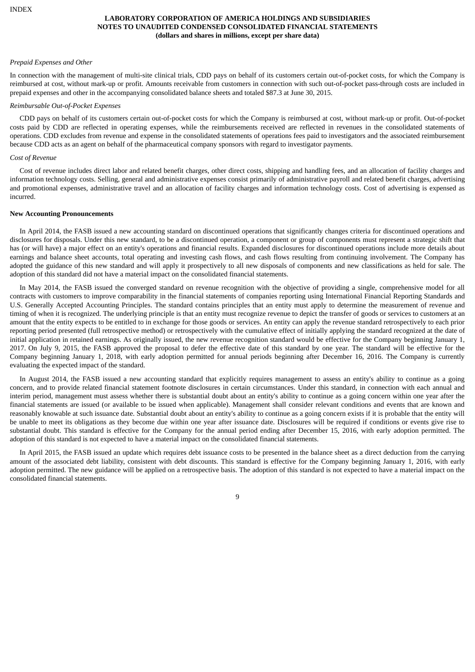#### *Prepaid Expenses and Other*

In connection with the management of multi-site clinical trials, CDD pays on behalf of its customers certain out-of-pocket costs, for which the Company is reimbursed at cost, without mark-up or profit. Amounts receivable from customers in connection with such out-of-pocket pass-through costs are included in prepaid expenses and other in the accompanying consolidated balance sheets and totaled \$87.3 at June 30, 2015.

#### *Reimbursable Out-of-Pocket Expenses*

CDD pays on behalf of its customers certain out-of-pocket costs for which the Company is reimbursed at cost, without mark-up or profit. Out-of-pocket costs paid by CDD are reflected in operating expenses, while the reimbursements received are reflected in revenues in the consolidated statements of operations. CDD excludes from revenue and expense in the consolidated statements of operations fees paid to investigators and the associated reimbursement because CDD acts as an agent on behalf of the pharmaceutical company sponsors with regard to investigator payments.

#### *Cost of Revenue*

Cost of revenue includes direct labor and related benefit charges, other direct costs, shipping and handling fees, and an allocation of facility charges and information technology costs. Selling, general and administrative expenses consist primarily of administrative payroll and related benefit charges, advertising and promotional expenses, administrative travel and an allocation of facility charges and information technology costs. Cost of advertising is expensed as incurred.

#### **New Accounting Pronouncements**

In April 2014, the FASB issued a new accounting standard on discontinued operations that significantly changes criteria for discontinued operations and disclosures for disposals. Under this new standard, to be a discontinued operation, a component or group of components must represent a strategic shift that has (or will have) a major effect on an entity's operations and financial results. Expanded disclosures for discontinued operations include more details about earnings and balance sheet accounts, total operating and investing cash flows, and cash flows resulting from continuing involvement. The Company has adopted the guidance of this new standard and will apply it prospectively to all new disposals of components and new classifications as held for sale. The adoption of this standard did not have a material impact on the consolidated financial statements.

In May 2014, the FASB issued the converged standard on revenue recognition with the objective of providing a single, comprehensive model for all contracts with customers to improve comparability in the financial statements of companies reporting using International Financial Reporting Standards and U.S. Generally Accepted Accounting Principles. The standard contains principles that an entity must apply to determine the measurement of revenue and timing of when it is recognized. The underlying principle is that an entity must recognize revenue to depict the transfer of goods or services to customers at an amount that the entity expects to be entitled to in exchange for those goods or services. An entity can apply the revenue standard retrospectively to each prior reporting period presented (full retrospective method) or retrospectively with the cumulative effect of initially applying the standard recognized at the date of initial application in retained earnings. As originally issued, the new revenue recognition standard would be effective for the Company beginning January 1, 2017. On July 9, 2015, the FASB approved the proposal to defer the effective date of this standard by one year. The standard will be effective for the Company beginning January 1, 2018, with early adoption permitted for annual periods beginning after December 16, 2016. The Company is currently evaluating the expected impact of the standard.

In August 2014, the FASB issued a new accounting standard that explicitly requires management to assess an entity's ability to continue as a going concern, and to provide related financial statement footnote disclosures in certain circumstances. Under this standard, in connection with each annual and interim period, management must assess whether there is substantial doubt about an entity's ability to continue as a going concern within one year after the financial statements are issued (or available to be issued when applicable). Management shall consider relevant conditions and events that are known and reasonably knowable at such issuance date. Substantial doubt about an entity's ability to continue as a going concern exists if it is probable that the entity will be unable to meet its obligations as they become due within one year after issuance date. Disclosures will be required if conditions or events give rise to substantial doubt. This standard is effective for the Company for the annual period ending after December 15, 2016, with early adoption permitted. The adoption of this standard is not expected to have a material impact on the consolidated financial statements.

In April 2015, the FASB issued an update which requires debt issuance costs to be presented in the balance sheet as a direct deduction from the carrying amount of the associated debt liability, consistent with debt discounts. This standard is effective for the Company beginning January 1, 2016, with early adoption permitted. The new guidance will be applied on a retrospective basis. The adoption of this standard is not expected to have a material impact on the consolidated financial statements.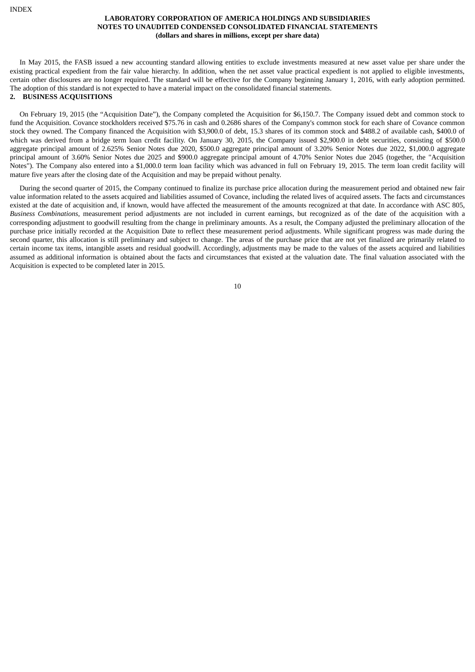In May 2015, the FASB issued a new accounting standard allowing entities to exclude investments measured at new asset value per share under the existing practical expedient from the fair value hierarchy. In addition, when the net asset value practical expedient is not applied to eligible investments, certain other disclosures are no longer required. The standard will be effective for the Company beginning January 1, 2016, with early adoption permitted. The adoption of this standard is not expected to have a material impact on the consolidated financial statements.

## **2. BUSINESS ACQUISITIONS**

On February 19, 2015 (the "Acquisition Date"), the Company completed the Acquisition for \$6,150.7. The Company issued debt and common stock to fund the Acquisition. Covance stockholders received \$75.76 in cash and 0.2686 shares of the Company's common stock for each share of Covance common stock they owned. The Company financed the Acquisition with \$3,900.0 of debt, 15.3 shares of its common stock and \$488.2 of available cash, \$400.0 of which was derived from a bridge term loan credit facility. On January 30, 2015, the Company issued \$2,900.0 in debt securities, consisting of \$500.0 aggregate principal amount of 2.625% Senior Notes due 2020, \$500.0 aggregate principal amount of 3.20% Senior Notes due 2022, \$1,000.0 aggregate principal amount of 3.60% Senior Notes due 2025 and \$900.0 aggregate principal amount of 4.70% Senior Notes due 2045 (together, the "Acquisition Notes"). The Company also entered into a \$1,000.0 term loan facility which was advanced in full on February 19, 2015. The term loan credit facility will mature five years after the closing date of the Acquisition and may be prepaid without penalty.

During the second quarter of 2015, the Company continued to finalize its purchase price allocation during the measurement period and obtained new fair value information related to the assets acquired and liabilities assumed of Covance, including the related lives of acquired assets. The facts and circumstances existed at the date of acquisition and, if known, would have affected the measurement of the amounts recognized at that date. In accordance with ASC 805, *Business Combinations*, measurement period adjustments are not included in current earnings, but recognized as of the date of the acquisition with a corresponding adjustment to goodwill resulting from the change in preliminary amounts. As a result, the Company adjusted the preliminary allocation of the purchase price initially recorded at the Acquisition Date to reflect these measurement period adjustments. While significant progress was made during the second quarter, this allocation is still preliminary and subject to change. The areas of the purchase price that are not yet finalized are primarily related to certain income tax items, intangible assets and residual goodwill. Accordingly, adjustments may be made to the values of the assets acquired and liabilities assumed as additional information is obtained about the facts and circumstances that existed at the valuation date. The final valuation associated with the Acquisition is expected to be completed later in 2015.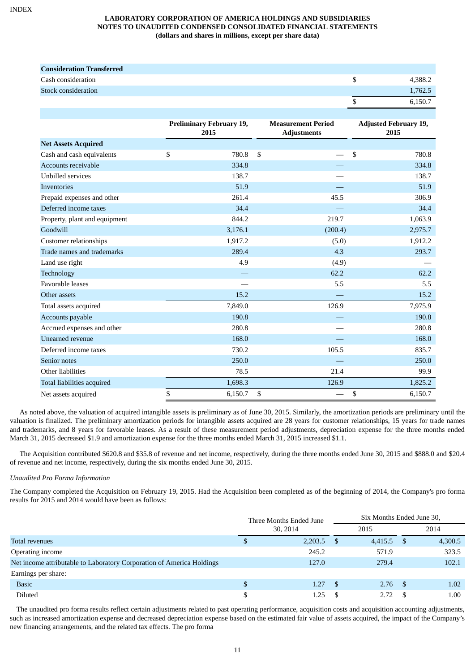| <b>Consideration Transferred</b> |         |
|----------------------------------|---------|
| Cash consideration               | 4.388.2 |
| Stock consideration              | 1,762.5 |
|                                  | 6.150.7 |

|                               | <b>Preliminary February 19,</b><br>2015 | <b>Measurement Period</b><br><b>Adjustments</b> | <b>Adjusted February 19,</b><br>2015 |
|-------------------------------|-----------------------------------------|-------------------------------------------------|--------------------------------------|
| <b>Net Assets Acquired</b>    |                                         |                                                 |                                      |
| Cash and cash equivalents     | \$<br>780.8                             | \$                                              | \$<br>780.8                          |
| Accounts receivable           | 334.8                                   |                                                 | 334.8                                |
| <b>Unbilled services</b>      | 138.7                                   |                                                 | 138.7                                |
| <b>Inventories</b>            | 51.9                                    |                                                 | 51.9                                 |
| Prepaid expenses and other    | 261.4                                   | 45.5                                            | 306.9                                |
| Deferred income taxes         | 34.4                                    |                                                 | 34.4                                 |
| Property, plant and equipment | 844.2                                   | 219.7                                           | 1,063.9                              |
| Goodwill                      | 3,176.1                                 | (200.4)                                         | 2,975.7                              |
| <b>Customer relationships</b> | 1,917.2                                 | (5.0)                                           | 1,912.2                              |
| Trade names and trademarks    | 289.4                                   | 4.3                                             | 293.7                                |
| Land use right                | 4.9                                     | (4.9)                                           |                                      |
| Technology                    |                                         | 62.2                                            | 62.2                                 |
| <b>Favorable leases</b>       |                                         | 5.5                                             | 5.5                                  |
| Other assets                  | 15.2                                    |                                                 | 15.2                                 |
| Total assets acquired         | 7,849.0                                 | 126.9                                           | 7,975.9                              |
| Accounts payable              | 190.8                                   |                                                 | 190.8                                |
| Accrued expenses and other    | 280.8                                   |                                                 | 280.8                                |
| Unearned revenue              | 168.0                                   |                                                 | 168.0                                |
| Deferred income taxes         | 730.2                                   | 105.5                                           | 835.7                                |
| Senior notes                  | 250.0                                   |                                                 | 250.0                                |
| Other liabilities             | 78.5                                    | 21.4                                            | 99.9                                 |
| Total liabilities acquired    | 1,698.3                                 | 126.9                                           | 1,825.2                              |
| Net assets acquired           | \$<br>6,150.7                           | \$                                              | \$<br>6,150.7                        |

As noted above, the valuation of acquired intangible assets is preliminary as of June 30, 2015. Similarly, the amortization periods are preliminary until the valuation is finalized. The preliminary amortization periods for intangible assets acquired are 28 years for customer relationships, 15 years for trade names and trademarks, and 8 years for favorable leases. As a result of these measurement period adjustments, depreciation expense for the three months ended March 31, 2015 decreased \$1.9 and amortization expense for the three months ended March 31, 2015 increased \$1.1.

The Acquisition contributed \$620.8 and \$35.8 of revenue and net income, respectively, during the three months ended June 30, 2015 and \$888.0 and \$20.4 of revenue and net income, respectively, during the six months ended June 30, 2015.

## *Unaudited Pro Forma Information*

The Company completed the Acquisition on February 19, 2015. Had the Acquisition been completed as of the beginning of 2014, the Company's pro forma results for 2015 and 2014 would have been as follows:

|                                                                       | Three Months Ended June<br>30, 2014 |         |          | Six Months Ended June 30, |  |         |  |  |
|-----------------------------------------------------------------------|-------------------------------------|---------|----------|---------------------------|--|---------|--|--|
|                                                                       |                                     |         |          | 2015                      |  | 2014    |  |  |
| Total revenues                                                        | S,                                  | 2,203.5 | - \$     | $4,415.5$ \$              |  | 4,300.5 |  |  |
| Operating income                                                      |                                     | 245.2   |          | 571.9                     |  | 323.5   |  |  |
| Net income attributable to Laboratory Corporation of America Holdings |                                     | 127.0   |          | 279.4                     |  | 102.1   |  |  |
| Earnings per share:                                                   |                                     |         |          |                           |  |         |  |  |
| <b>Basic</b>                                                          | S                                   | 1.27    | <b>S</b> | $2.76$ \$                 |  | 1.02    |  |  |
| <b>Diluted</b>                                                        | \$                                  | 1.25    |          | 2.72                      |  | 1.00    |  |  |

The unaudited pro forma results reflect certain adjustments related to past operating performance, acquisition costs and acquisition accounting adjustments, such as increased amortization expense and decreased depreciation expense based on the estimated fair value of assets acquired, the impact of the Company's new financing arrangements, and the related tax effects. The pro forma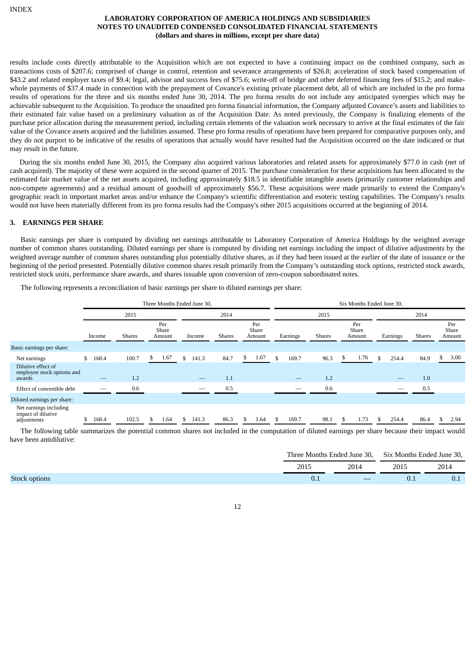results include costs directly attributable to the Acquisition which are not expected to have a continuing impact on the combined company, such as transactions costs of \$207.6; comprised of change in control, retention and severance arrangements of \$26.8; acceleration of stock based compensation of \$43.2 and related employer taxes of \$9.4; legal, advisor and success fees of \$75.6; write-off of bridge and other deferred financing fees of \$15.2; and makewhole payments of \$37.4 made in connection with the prepayment of Covance's existing private placement debt, all of which are included in the pro forma results of operations for the three and six months ended June 30, 2014. The pro forma results do not include any anticipated synergies which may be achievable subsequent to the Acquisition. To produce the unaudited pro forma financial information, the Company adjusted Covance's assets and liabilities to their estimated fair value based on a preliminary valuation as of the Acquisition Date. As noted previously, the Company is finalizing elements of the purchase price allocation during the measurement period, including certain elements of the valuation work necessary to arrive at the final estimates of the fair value of the Covance assets acquired and the liabilities assumed. These pro forma results of operations have been prepared for comparative purposes only, and they do not purport to be indicative of the results of operations that actually would have resulted had the Acquisition occurred on the date indicated or that may result in the future.

During the six months ended June 30, 2015, the Company also acquired various laboratories and related assets for approximately \$77.0 in cash (net of cash acquired). The majority of these were acquired in the second quarter of 2015. The purchase consideration for these acquisitions has been allocated to the estimated fair market value of the net assets acquired, including approximately \$18.5 in identifiable intangible assets (primarily customer relationships and non-compete agreements) and a residual amount of goodwill of approximately \$56.7. These acquisitions were made primarily to extend the Company's geographic reach in important market areas and/or enhance the Company's scientific differentiation and esoteric testing capabilities. The Company's results would not have been materially different from its pro forma results had the Company's other 2015 acquisitions occurred at the beginning of 2014.

## **3. EARNINGS PER SHARE**

Basic earnings per share is computed by dividing net earnings attributable to Laboratory Corporation of America Holdings by the weighted average number of common shares outstanding. Diluted earnings per share is computed by dividing net earnings including the impact of dilutive adjustments by the weighted average number of common shares outstanding plus potentially dilutive shares, as if they had been issued at the earlier of the date of issuance or the beginning of the period presented. Potentially dilutive common shares result primarily from the Company's outstanding stock options, restricted stock awards, restricted stock units, performance share awards, and shares issuable upon conversion of zero-coupon subordinated notes.

|                                                                                                                                                     |             |                                  |             | Three Months Ended June 30, |      |                        | Six Months Ended June 30, |      |                                  |              |               |                        |  |  |  |
|-----------------------------------------------------------------------------------------------------------------------------------------------------|-------------|----------------------------------|-------------|-----------------------------|------|------------------------|---------------------------|------|----------------------------------|--------------|---------------|------------------------|--|--|--|
|                                                                                                                                                     |             | 2015                             |             | 2014                        |      |                        |                           | 2015 |                                  |              | 2014          |                        |  |  |  |
| Income                                                                                                                                              |             | Per<br>Share<br>Shares<br>Amount |             | <b>Shares</b><br>Income     |      | Per<br>Share<br>Amount | Earnings                  |      | Per<br>Share<br>Shares<br>Amount |              | <b>Shares</b> | Per<br>Share<br>Amount |  |  |  |
| Basic earnings per share:                                                                                                                           |             |                                  |             |                             |      |                        |                           |      |                                  |              |               |                        |  |  |  |
| Net earnings                                                                                                                                        | \$<br>168.4 | 100.7                            | 1.67<br>\$  | \$<br>141.3                 | 84.7 | 1.67                   | 169.7<br>\$.              | 96.3 | 1.76                             | \$.<br>254.4 | 84.9          | 3.00<br>\$.            |  |  |  |
| Dilutive effect of<br>employee stock options and<br>awards                                                                                          |             | 1.2                              |             |                             | 1.1  |                        |                           | 1.2  |                                  |              | 1.0           |                        |  |  |  |
| Effect of convertible debt                                                                                                                          |             | 0.6                              |             |                             | 0.5  |                        |                           | 0.6  |                                  |              | 0.5           |                        |  |  |  |
| Diluted earnings per share:                                                                                                                         |             |                                  |             |                             |      |                        |                           |      |                                  |              |               |                        |  |  |  |
| Net earnings including<br>impact of dilutive<br>adjustments                                                                                         | 168.4       | 102.5                            | 1.64<br>\$. | 141.3<br>\$.                | 86.3 | 1.64                   | 169.7                     | 98.1 | 1.73                             | 254.4        | 86.4          | 2.94                   |  |  |  |
| The following table summarizes the potential common shares not included in the computation of diluted earnings per share because their impact would |             |                                  |             |                             |      |                        |                           |      |                                  |              |               |                        |  |  |  |

The following represents a reconciliation of basic earnings per share to diluted earnings per share:

have been antidilutive:

|                      |      |      | Three Months Ended June 30, Six Months Ended June 30, |      |  |  |
|----------------------|------|------|-------------------------------------------------------|------|--|--|
|                      | 2015 | 2014 | 2015                                                  | 2014 |  |  |
| <b>Stock options</b> | U.I  |      | 0.1                                                   | U.I  |  |  |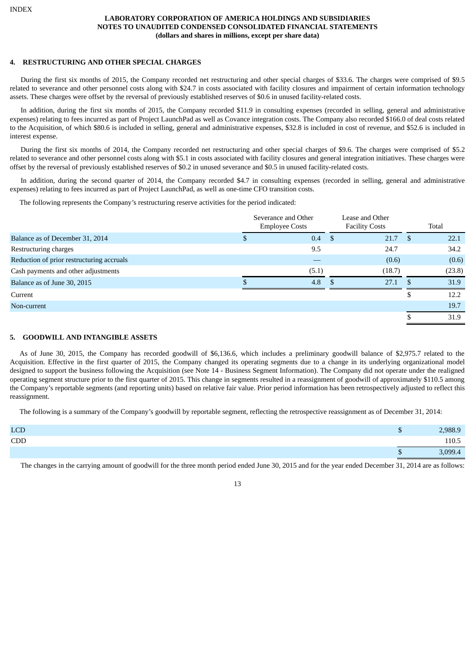#### **4. RESTRUCTURING AND OTHER SPECIAL CHARGES**

During the first six months of 2015, the Company recorded net restructuring and other special charges of \$33.6. The charges were comprised of \$9.5 related to severance and other personnel costs along with \$24.7 in costs associated with facility closures and impairment of certain information technology assets. These charges were offset by the reversal of previously established reserves of \$0.6 in unused facility-related costs.

In addition, during the first six months of 2015, the Company recorded \$11.9 in consulting expenses (recorded in selling, general and administrative expenses) relating to fees incurred as part of Project LaunchPad as well as Covance integration costs. The Company also recorded \$166.0 of deal costs related to the Acquisition, of which \$80.6 is included in selling, general and administrative expenses, \$32.8 is included in cost of revenue, and \$52.6 is included in interest expense.

During the first six months of 2014, the Company recorded net restructuring and other special charges of \$9.6. The charges were comprised of \$5.2 related to severance and other personnel costs along with \$5.1 in costs associated with facility closures and general integration initiatives. These charges were offset by the reversal of previously established reserves of \$0.2 in unused severance and \$0.5 in unused facility-related costs.

In addition, during the second quarter of 2014, the Company recorded \$4.7 in consulting expenses (recorded in selling, general and administrative expenses) relating to fees incurred as part of Project LaunchPad, as well as one-time CFO transition costs.

The following represents the Company's restructuring reserve activities for the period indicated:

|                                           | Severance and Other<br><b>Employee Costs</b> |          | Lease and Other<br><b>Facility Costs</b> |      | Total  |
|-------------------------------------------|----------------------------------------------|----------|------------------------------------------|------|--------|
| Balance as of December 31, 2014           | 0.4                                          | <b>S</b> | 21.7                                     | - \$ | 22.1   |
| Restructuring charges                     | 9.5                                          |          | 24.7                                     |      | 34.2   |
| Reduction of prior restructuring accruals |                                              |          | (0.6)                                    |      | (0.6)  |
| Cash payments and other adjustments       | (5.1)                                        |          | (18.7)                                   |      | (23.8) |
| Balance as of June 30, 2015               | 4.8                                          | - \$     | 27.1                                     |      | 31.9   |
| Current                                   |                                              |          |                                          | C    | 12.2   |
| Non-current                               |                                              |          |                                          |      | 19.7   |
|                                           |                                              |          |                                          |      | 31.9   |

#### **5. GOODWILL AND INTANGIBLE ASSETS**

As of June 30, 2015, the Company has recorded goodwill of \$6,136.6, which includes a preliminary goodwill balance of \$2,975.7 related to the Acquisition. Effective in the first quarter of 2015, the Company changed its operating segments due to a change in its underlying organizational model designed to support the business following the Acquisition (see Note 14 - Business Segment Information). The Company did not operate under the realigned operating segment structure prior to the first quarter of 2015. This change in segments resulted in a reassignment of goodwill of approximately \$110.5 among the Company's reportable segments (and reporting units) based on relative fair value. Prior period information has been retrospectively adjusted to reflect this reassignment.

The following is a summary of the Company's goodwill by reportable segment, reflecting the retrospective reassignment as of December 31, 2014:

| <b>LCD</b> |   | 2,988.9 |
|------------|---|---------|
| CDD        |   | 110.5   |
|            | w | 3,099.4 |

The changes in the carrying amount of goodwill for the three month period ended June 30, 2015 and for the year ended December 31, 2014 are as follows:

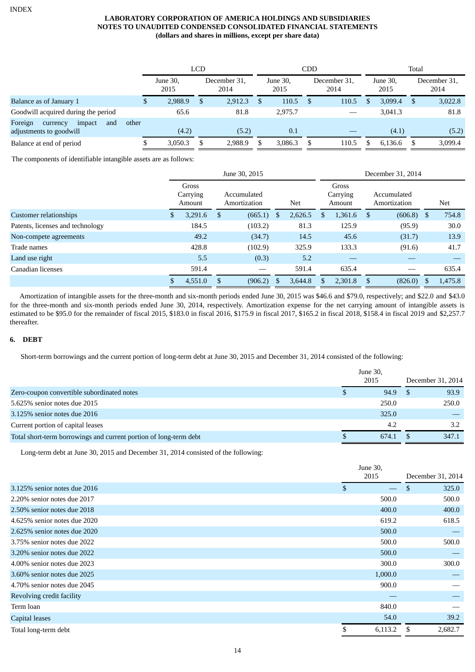|                                                                 |       |                  | <b>LCD</b> |                      |  | CDD              |     | Total                |    |                  |    |                      |
|-----------------------------------------------------------------|-------|------------------|------------|----------------------|--|------------------|-----|----------------------|----|------------------|----|----------------------|
|                                                                 |       | June 30,<br>2015 |            | December 31,<br>2014 |  | June 30,<br>2015 |     | December 31,<br>2014 |    | June 30,<br>2015 |    | December 31,<br>2014 |
| Balance as of January 1                                         | \$    | 2,988.9          | S          | 2,912.3              |  | 110.5            | \$. | 110.5                |    | 3.099.4          | -S | 3,022.8              |
| Goodwill acquired during the period                             |       | 65.6             |            | 81.8                 |  | 2.975.7          |     |                      |    | 3,041.3          |    | 81.8                 |
| Foreign<br>impact<br>currency<br>and<br>adjustments to goodwill | other | (4.2)            |            | (5.2)                |  | 0.1              |     |                      |    | (4.1)            |    | (5.2)                |
| Balance at end of period                                        |       | 3,050.3          | S          | 2,988.9              |  | 3,086.3          |     | 110.5                | S. | 6.136.6          | S  | 3,099.4              |

The components of identifiable intangible assets are as follows:

|                                  | June 30, 2015 |                             |                             |         |    |         |                             | December 31, 2014 |                             |              |   |         |  |
|----------------------------------|---------------|-----------------------------|-----------------------------|---------|----|---------|-----------------------------|-------------------|-----------------------------|--------------|---|---------|--|
|                                  |               | Gross<br>Carrying<br>Amount | Accumulated<br>Amortization |         |    | Net     | Gross<br>Carrying<br>Amount |                   | Accumulated<br>Amortization |              |   | Net     |  |
| Customer relationships           | \$            | 3,291.6                     | <sup>\$</sup>               | (665.1) | S. | 2,626.5 | S                           | 1,361.6           | <sup>\$</sup>               | $(606.8)$ \$ |   | 754.8   |  |
| Patents, licenses and technology |               | 184.5                       |                             | (103.2) |    | 81.3    |                             | 125.9             |                             | (95.9)       |   | 30.0    |  |
| Non-compete agreements           |               | 49.2                        |                             | (34.7)  |    | 14.5    |                             | 45.6              |                             | (31.7)       |   | 13.9    |  |
| Trade names                      |               | 428.8                       |                             | (102.9) |    | 325.9   |                             | 133.3             |                             | (91.6)       |   | 41.7    |  |
| Land use right                   |               | 5.5                         |                             | (0.3)   |    | 5.2     |                             |                   |                             |              |   |         |  |
| Canadian licenses                |               | 591.4                       |                             |         |    | 591.4   |                             | 635.4             |                             |              |   | 635.4   |  |
|                                  | \$            | 4,551.0                     | S                           | (906.2) | Ъ  | 3,644.8 | S                           | 2,301.8           |                             | (826.0)      | S | 1,475.8 |  |

Amortization of intangible assets for the three-month and six-month periods ended June 30, 2015 was \$46.6 and \$79.0, respectively; and \$22.0 and \$43.0 for the three-month and six-month periods ended June 30, 2014, respectively. Amortization expense for the net carrying amount of intangible assets is estimated to be \$95.0 for the remainder of fiscal 2015, \$183.0 in fiscal 2016, \$175.9 in fiscal 2017, \$165.2 in fiscal 2018, \$158.4 in fiscal 2019 and \$2,257.7 thereafter.

## **6. DEBT**

Short-term borrowings and the current portion of long-term debt at June 30, 2015 and December 31, 2014 consisted of the following:

|                                                                   | June 30, |                   |
|-------------------------------------------------------------------|----------|-------------------|
|                                                                   | 2015     | December 31, 2014 |
| Zero-coupon convertible subordinated notes                        | 94.9     | 93.9              |
| 5.625% senior notes due 2015                                      | 250.0    | 250.0             |
| 3.125% senior notes due 2016                                      | 325.0    |                   |
| Current portion of capital leases                                 | 4.2      | 3.2               |
| Total short-term borrowings and current portion of long-term debt | 674.1    | 347.1             |

Long-term debt at June 30, 2015 and December 31, 2014 consisted of the following:

|                              | June 30,                 |     |                   |
|------------------------------|--------------------------|-----|-------------------|
|                              | 2015                     |     | December 31, 2014 |
| 3.125% senior notes due 2016 | \$.<br>$\hspace{0.05cm}$ | \$. | 325.0             |
| 2.20% senior notes due 2017  | 500.0                    |     | 500.0             |
| 2.50% senior notes due 2018  | 400.0                    |     | 400.0             |
| 4.625% senior notes due 2020 | 619.2                    |     | 618.5             |
| 2.625% senior notes due 2020 | 500.0                    |     |                   |
| 3.75% senior notes due 2022  | 500.0                    |     | 500.0             |
| 3.20% senior notes due 2022  | 500.0                    |     |                   |
| 4.00% senior notes due 2023  | 300.0                    |     | 300.0             |
| 3.60% senior notes due 2025  | 1,000.0                  |     |                   |
| 4.70% senior notes due 2045  | 900.0                    |     |                   |
| Revolving credit facility    |                          |     |                   |
| Term loan                    | 840.0                    |     |                   |
| <b>Capital leases</b>        | 54.0                     |     | 39.2              |
| Total long-term debt         | \$<br>6,113.2            | -S  | 2,682.7           |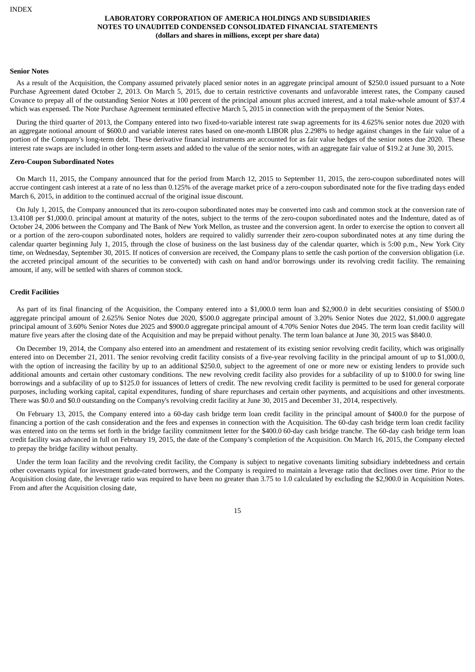#### **Senior Notes**

As a result of the Acquisition, the Company assumed privately placed senior notes in an aggregate principal amount of \$250.0 issued pursuant to a Note Purchase Agreement dated October 2, 2013. On March 5, 2015, due to certain restrictive covenants and unfavorable interest rates, the Company caused Covance to prepay all of the outstanding Senior Notes at 100 percent of the principal amount plus accrued interest, and a total make-whole amount of \$37.4 which was expensed. The Note Purchase Agreement terminated effective March 5, 2015 in connection with the prepayment of the Senior Notes.

During the third quarter of 2013, the Company entered into two fixed-to-variable interest rate swap agreements for its 4.625% senior notes due 2020 with an aggregate notional amount of \$600.0 and variable interest rates based on one-month LIBOR plus 2.298% to hedge against changes in the fair value of a portion of the Company's long-term debt. These derivative financial instruments are accounted for as fair value hedges of the senior notes due 2020. These interest rate swaps are included in other long-term assets and added to the value of the senior notes, with an aggregate fair value of \$19.2 at June 30, 2015.

#### **Zero-Coupon Subordinated Notes**

On March 11, 2015, the Company announced that for the period from March 12, 2015 to September 11, 2015, the zero-coupon subordinated notes will accrue contingent cash interest at a rate of no less than 0.125% of the average market price of a zero-coupon subordinated note for the five trading days ended March 6, 2015, in addition to the continued accrual of the original issue discount.

On July 1, 2015, the Company announced that its zero-coupon subordinated notes may be converted into cash and common stock at the conversion rate of 13.4108 per \$1,000.0. principal amount at maturity of the notes, subject to the terms of the zero-coupon subordinated notes and the Indenture, dated as of October 24, 2006 between the Company and The Bank of New York Mellon, as trustee and the conversion agent. In order to exercise the option to convert all or a portion of the zero-coupon subordinated notes, holders are required to validly surrender their zero-coupon subordinated notes at any time during the calendar quarter beginning July 1, 2015, through the close of business on the last business day of the calendar quarter, which is 5:00 p.m., New York City time, on Wednesday, September 30, 2015. If notices of conversion are received, the Company plans to settle the cash portion of the conversion obligation (i.e. the accreted principal amount of the securities to be converted) with cash on hand and/or borrowings under its revolving credit facility. The remaining amount, if any, will be settled with shares of common stock.

#### **Credit Facilities**

As part of its final financing of the Acquisition, the Company entered into a \$1,000.0 term loan and \$2,900.0 in debt securities consisting of \$500.0 aggregate principal amount of 2.625% Senior Notes due 2020, \$500.0 aggregate principal amount of 3.20% Senior Notes due 2022, \$1,000.0 aggregate principal amount of 3.60% Senior Notes due 2025 and \$900.0 aggregate principal amount of 4.70% Senior Notes due 2045. The term loan credit facility will mature five years after the closing date of the Acquisition and may be prepaid without penalty. The term loan balance at June 30, 2015 was \$840.0.

On December 19, 2014, the Company also entered into an amendment and restatement of its existing senior revolving credit facility, which was originally entered into on December 21, 2011. The senior revolving credit facility consists of a five-year revolving facility in the principal amount of up to \$1,000.0, with the option of increasing the facility by up to an additional \$250.0, subject to the agreement of one or more new or existing lenders to provide such additional amounts and certain other customary conditions. The new revolving credit facility also provides for a subfacility of up to \$100.0 for swing line borrowings and a subfacility of up to \$125.0 for issuances of letters of credit. The new revolving credit facility is permitted to be used for general corporate purposes, including working capital, capital expenditures, funding of share repurchases and certain other payments, and acquisitions and other investments. There was \$0.0 and \$0.0 outstanding on the Company's revolving credit facility at June 30, 2015 and December 31, 2014, respectively.

On February 13, 2015, the Company entered into a 60-day cash bridge term loan credit facility in the principal amount of \$400.0 for the purpose of financing a portion of the cash consideration and the fees and expenses in connection with the Acquisition. The 60-day cash bridge term loan credit facility was entered into on the terms set forth in the bridge facility commitment letter for the \$400.0 60-day cash bridge tranche. The 60-day cash bridge term loan credit facility was advanced in full on February 19, 2015, the date of the Company's completion of the Acquisition. On March 16, 2015, the Company elected to prepay the bridge facility without penalty.

Under the term loan facility and the revolving credit facility, the Company is subject to negative covenants limiting subsidiary indebtedness and certain other covenants typical for investment grade-rated borrowers, and the Company is required to maintain a leverage ratio that declines over time. Prior to the Acquisition closing date, the leverage ratio was required to have been no greater than 3.75 to 1.0 calculated by excluding the \$2,900.0 in Acquisition Notes. From and after the Acquisition closing date,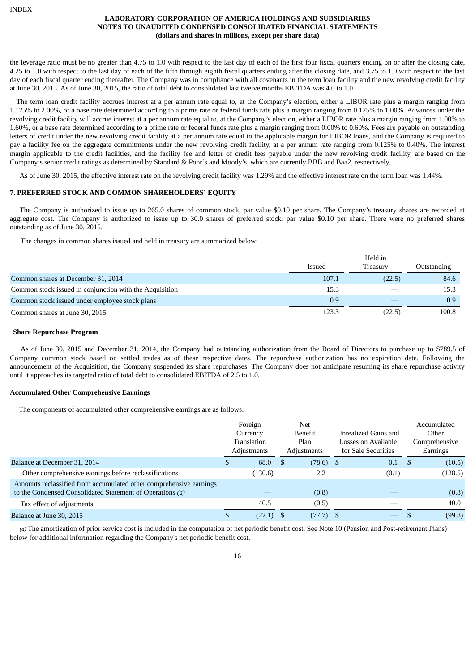the leverage ratio must be no greater than 4.75 to 1.0 with respect to the last day of each of the first four fiscal quarters ending on or after the closing date, 4.25 to 1.0 with respect to the last day of each of the fifth through eighth fiscal quarters ending after the closing date, and 3.75 to 1.0 with respect to the last day of each fiscal quarter ending thereafter. The Company was in compliance with all covenants in the term loan facility and the new revolving credit facility at June 30, 2015. As of June 30, 2015, the ratio of total debt to consolidated last twelve months EBITDA was 4.0 to 1.0.

The term loan credit facility accrues interest at a per annum rate equal to, at the Company's election, either a LIBOR rate plus a margin ranging from 1.125% to 2.00%, or a base rate determined according to a prime rate or federal funds rate plus a margin ranging from 0.125% to 1.00%. Advances under the revolving credit facility will accrue interest at a per annum rate equal to, at the Company's election, either a LIBOR rate plus a margin ranging from 1.00% to 1.60%, or a base rate determined according to a prime rate or federal funds rate plus a margin ranging from 0.00% to 0.60%. Fees are payable on outstanding letters of credit under the new revolving credit facility at a per annum rate equal to the applicable margin for LIBOR loans, and the Company is required to pay a facility fee on the aggregate commitments under the new revolving credit facility, at a per annum rate ranging from 0.125% to 0.40%. The interest margin applicable to the credit facilities, and the facility fee and letter of credit fees payable under the new revolving credit facility, are based on the Company's senior credit ratings as determined by Standard & Poor's and Moody's, which are currently BBB and Baa2, respectively.

As of June 30, 2015, the effective interest rate on the revolving credit facility was 1.29% and the effective interest rate on the term loan was 1.44%.

#### **7. PREFERRED STOCK AND COMMON SHAREHOLDERS' EQUITY**

The Company is authorized to issue up to 265.0 shares of common stock, par value \$0.10 per share. The Company's treasury shares are recorded at aggregate cost. The Company is authorized to issue up to 30.0 shares of preferred stock, par value \$0.10 per share. There were no preferred shares outstanding as of June 30, 2015.

The changes in common shares issued and held in treasury are summarized below:

|                                                         |        | Held in  |             |  |  |
|---------------------------------------------------------|--------|----------|-------------|--|--|
|                                                         | Issued | Treasurv | Outstanding |  |  |
| Common shares at December 31, 2014                      | 107.1  | (22.5)   | 84.6        |  |  |
| Common stock issued in conjunction with the Acquisition | 15.3   |          | 15.3        |  |  |
| Common stock issued under employee stock plans          | 0.9    |          | 0.9         |  |  |
| Common shares at June 30, 2015                          | 123.3  | (22.5)   | 100.8       |  |  |

#### **Share Repurchase Program**

As of June 30, 2015 and December 31, 2014, the Company had outstanding authorization from the Board of Directors to purchase up to \$789.5 of Company common stock based on settled trades as of these respective dates. The repurchase authorization has no expiration date. Following the announcement of the Acquisition, the Company suspended its share repurchases. The Company does not anticipate resuming its share repurchase activity until it approaches its targeted ratio of total debt to consolidated EBITDA of 2.5 to 1.0.

#### **Accumulated Other Comprehensive Earnings**

The components of accumulated other comprehensive earnings are as follows:

|                                                                                                                                 | Foreign<br>Currency<br>Translation<br>Adjustments |             | <b>Net</b><br>Benefit<br>Plan<br>Adjustments | Unrealized Gains and<br>Losses on Available<br>for Sale Securities |       |    | Accumulated<br>Other<br>Comprehensive<br>Earnings |
|---------------------------------------------------------------------------------------------------------------------------------|---------------------------------------------------|-------------|----------------------------------------------|--------------------------------------------------------------------|-------|----|---------------------------------------------------|
| Balance at December 31, 2014                                                                                                    |                                                   | 68.0        | $(78.6)$ \$                                  |                                                                    | 0.1   | -S | (10.5)                                            |
| Other comprehensive earnings before reclassifications                                                                           |                                                   | (130.6)     | 2.2                                          |                                                                    | (0.1) |    | (128.5)                                           |
| Amounts reclassified from accumulated other comprehensive earnings<br>to the Condensed Consolidated Statement of Operations (a) |                                                   |             | (0.8)                                        |                                                                    |       |    | (0.8)                                             |
| Tax effect of adjustments                                                                                                       |                                                   | 40.5        | (0.5)                                        |                                                                    |       |    | 40.0                                              |
| Balance at June 30, 2015                                                                                                        |                                                   | $(22.1)$ \$ | (77.7)                                       | - \$                                                               |       |    | (99.8)                                            |

*(a)* The amortization of prior service cost is included in the computation of net periodic benefit cost. See Note 10 (Pension and Post-retirement Plans) below for additional information regarding the Company's net periodic benefit cost.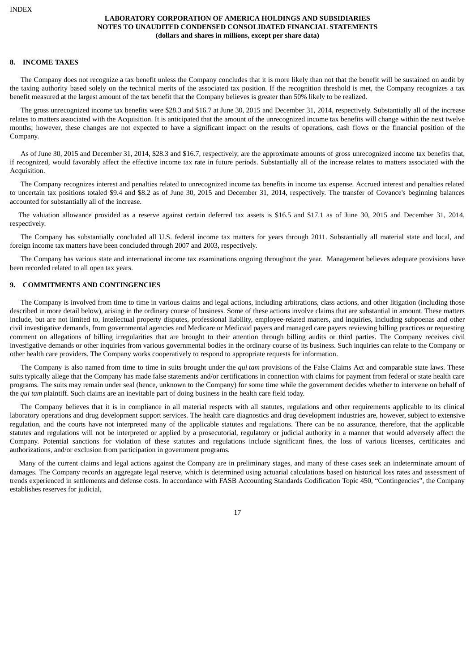#### **8. INCOME TAXES**

The Company does not recognize a tax benefit unless the Company concludes that it is more likely than not that the benefit will be sustained on audit by the taxing authority based solely on the technical merits of the associated tax position. If the recognition threshold is met, the Company recognizes a tax benefit measured at the largest amount of the tax benefit that the Company believes is greater than 50% likely to be realized.

The gross unrecognized income tax benefits were \$28.3 and \$16.7 at June 30, 2015 and December 31, 2014, respectively. Substantially all of the increase relates to matters associated with the Acquisition. It is anticipated that the amount of the unrecognized income tax benefits will change within the next twelve months; however, these changes are not expected to have a significant impact on the results of operations, cash flows or the financial position of the Company.

As of June 30, 2015 and December 31, 2014, \$28.3 and \$16.7, respectively, are the approximate amounts of gross unrecognized income tax benefits that, if recognized, would favorably affect the effective income tax rate in future periods. Substantially all of the increase relates to matters associated with the Acquisition.

The Company recognizes interest and penalties related to unrecognized income tax benefits in income tax expense. Accrued interest and penalties related to uncertain tax positions totaled \$9.4 and \$8.2 as of June 30, 2015 and December 31, 2014, respectively. The transfer of Covance's beginning balances accounted for substantially all of the increase.

The valuation allowance provided as a reserve against certain deferred tax assets is \$16.5 and \$17.1 as of June 30, 2015 and December 31, 2014, respectively.

The Company has substantially concluded all U.S. federal income tax matters for years through 2011. Substantially all material state and local, and foreign income tax matters have been concluded through 2007 and 2003, respectively.

The Company has various state and international income tax examinations ongoing throughout the year. Management believes adequate provisions have been recorded related to all open tax years.

## **9. COMMITMENTS AND CONTINGENCIES**

The Company is involved from time to time in various claims and legal actions, including arbitrations, class actions, and other litigation (including those described in more detail below), arising in the ordinary course of business. Some of these actions involve claims that are substantial in amount. These matters include, but are not limited to, intellectual property disputes, professional liability, employee-related matters, and inquiries, including subpoenas and other civil investigative demands, from governmental agencies and Medicare or Medicaid payers and managed care payers reviewing billing practices or requesting comment on allegations of billing irregularities that are brought to their attention through billing audits or third parties. The Company receives civil investigative demands or other inquiries from various governmental bodies in the ordinary course of its business. Such inquiries can relate to the Company or other health care providers. The Company works cooperatively to respond to appropriate requests for information.

The Company is also named from time to time in suits brought under the *qui tam* provisions of the False Claims Act and comparable state laws. These suits typically allege that the Company has made false statements and/or certifications in connection with claims for payment from federal or state health care programs. The suits may remain under seal (hence, unknown to the Company) for some time while the government decides whether to intervene on behalf of the *qui tam* plaintiff. Such claims are an inevitable part of doing business in the health care field today.

The Company believes that it is in compliance in all material respects with all statutes, regulations and other requirements applicable to its clinical laboratory operations and drug development support services. The health care diagnostics and drug development industries are, however, subject to extensive regulation, and the courts have not interpreted many of the applicable statutes and regulations. There can be no assurance, therefore, that the applicable statutes and regulations will not be interpreted or applied by a prosecutorial, regulatory or judicial authority in a manner that would adversely affect the Company. Potential sanctions for violation of these statutes and regulations include significant fines, the loss of various licenses, certificates and authorizations, and/or exclusion from participation in government programs.

Many of the current claims and legal actions against the Company are in preliminary stages, and many of these cases seek an indeterminate amount of damages. The Company records an aggregate legal reserve, which is determined using actuarial calculations based on historical loss rates and assessment of trends experienced in settlements and defense costs. In accordance with FASB Accounting Standards Codification Topic 450, "Contingencies", the Company establishes reserves for judicial,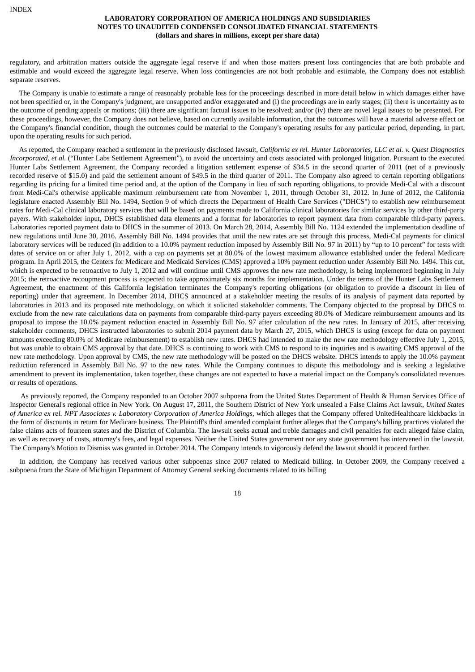regulatory, and arbitration matters outside the aggregate legal reserve if and when those matters present loss contingencies that are both probable and estimable and would exceed the aggregate legal reserve. When loss contingencies are not both probable and estimable, the Company does not establish separate reserves.

The Company is unable to estimate a range of reasonably probable loss for the proceedings described in more detail below in which damages either have not been specified or, in the Company's judgment, are unsupported and/or exaggerated and (i) the proceedings are in early stages; (ii) there is uncertainty as to the outcome of pending appeals or motions; (iii) there are significant factual issues to be resolved; and/or (iv) there are novel legal issues to be presented. For these proceedings, however, the Company does not believe, based on currently available information, that the outcomes will have a material adverse effect on the Company's financial condition, though the outcomes could be material to the Company's operating results for any particular period, depending, in part, upon the operating results for such period.

As reported, the Company reached a settlement in the previously disclosed lawsuit, California ex rel. Hunter Laboratories, LLC et al. v. Quest Diagnostics *Incorporated, et al.* ("Hunter Labs Settlement Agreement"), to avoid the uncertainty and costs associated with prolonged litigation. Pursuant to the executed Hunter Labs Settlement Agreement, the Company recorded a litigation settlement expense of \$34.5 in the second quarter of 2011 (net of a previously recorded reserve of \$15.0) and paid the settlement amount of \$49.5 in the third quarter of 2011. The Company also agreed to certain reporting obligations regarding its pricing for a limited time period and, at the option of the Company in lieu of such reporting obligations, to provide Medi-Cal with a discount from Medi-Cal's otherwise applicable maximum reimbursement rate from November 1, 2011, through October 31, 2012. In June of 2012, the California legislature enacted Assembly Bill No. 1494, Section 9 of which directs the Department of Health Care Services ("DHCS") to establish new reimbursement rates for Medi-Cal clinical laboratory services that will be based on payments made to California clinical laboratories for similar services by other third-party payers. With stakeholder input, DHCS established data elements and a format for laboratories to report payment data from comparable third-party payers. Laboratories reported payment data to DHCS in the summer of 2013. On March 28, 2014, Assembly Bill No. 1124 extended the implementation deadline of new regulations until June 30, 2016. Assembly Bill No. 1494 provides that until the new rates are set through this process, Medi-Cal payments for clinical laboratory services will be reduced (in addition to a 10.0% payment reduction imposed by Assembly Bill No. 97 in 2011) by "up to 10 percent" for tests with dates of service on or after July 1, 2012, with a cap on payments set at 80.0% of the lowest maximum allowance established under the federal Medicare program. In April 2015, the Centers for Medicare and Medicaid Services (CMS) approved a 10% payment reduction under Assembly Bill No. 1494. This cut, which is expected to be retroactive to July 1, 2012 and will continue until CMS approves the new rate methodology, is being implemented beginning in July 2015; the retroactive recoupment process is expected to take approximately six months for implementation. Under the terms of the Hunter Labs Settlement Agreement, the enactment of this California legislation terminates the Company's reporting obligations (or obligation to provide a discount in lieu of reporting) under that agreement. In December 2014, DHCS announced at a stakeholder meeting the results of its analysis of payment data reported by laboratories in 2013 and its proposed rate methodology, on which it solicited stakeholder comments. The Company objected to the proposal by DHCS to exclude from the new rate calculations data on payments from comparable third-party payers exceeding 80.0% of Medicare reimbursement amounts and its proposal to impose the 10.0% payment reduction enacted in Assembly Bill No. 97 after calculation of the new rates. In January of 2015, after receiving stakeholder comments, DHCS instructed laboratories to submit 2014 payment data by March 27, 2015, which DHCS is using (except for data on payment amounts exceeding 80.0% of Medicare reimbursement) to establish new rates. DHCS had intended to make the new rate methodology effective July 1, 2015, but was unable to obtain CMS approval by that date. DHCS is continuing to work with CMS to respond to its inquiries and is awaiting CMS approval of the new rate methodology. Upon approval by CMS, the new rate methodology will be posted on the DHCS website. DHCS intends to apply the 10.0% payment reduction referenced in Assembly Bill No. 97 to the new rates. While the Company continues to dispute this methodology and is seeking a legislative amendment to prevent its implementation, taken together, these changes are not expected to have a material impact on the Company's consolidated revenues or results of operations.

As previously reported, the Company responded to an October 2007 subpoena from the United States Department of Health & Human Services Office of Inspector General's regional office in New York. On August 17, 2011, the Southern District of New York unsealed a False Claims Act lawsuit, *United States* of America ex rel. NPT Associates v. Laboratory Corporation of America Holdings, which alleges that the Company offered UnitedHealthcare kickbacks in the form of discounts in return for Medicare business. The Plaintiff's third amended complaint further alleges that the Company's billing practices violated the false claims acts of fourteen states and the District of Columbia. The lawsuit seeks actual and treble damages and civil penalties for each alleged false claim, as well as recovery of costs, attorney's fees, and legal expenses. Neither the United States government nor any state government has intervened in the lawsuit. The Company's Motion to Dismiss was granted in October 2014. The Company intends to vigorously defend the lawsuit should it proceed further.

In addition, the Company has received various other subpoenas since 2007 related to Medicaid billing. In October 2009, the Company received a subpoena from the State of Michigan Department of Attorney General seeking documents related to its billing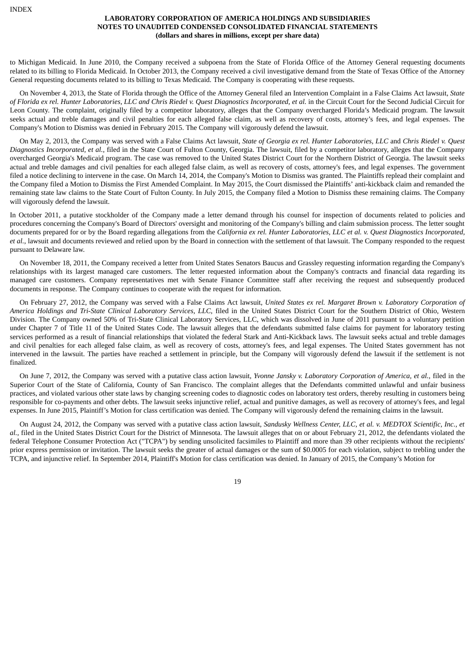to Michigan Medicaid. In June 2010, the Company received a subpoena from the State of Florida Office of the Attorney General requesting documents related to its billing to Florida Medicaid. In October 2013, the Company received a civil investigative demand from the State of Texas Office of the Attorney General requesting documents related to its billing to Texas Medicaid. The Company is cooperating with these requests.

On November 4, 2013, the State of Florida through the Office of the Attorney General filed an Intervention Complaint in a False Claims Act lawsuit, *State* of Florida ex rel. Hunter Laboratories, LLC and Chris Riedel v. Quest Diagnostics Incorporated, et al. in the Circuit Court for the Second Judicial Circuit for Leon County. The complaint, originally filed by a competitor laboratory, alleges that the Company overcharged Florida's Medicaid program. The lawsuit seeks actual and treble damages and civil penalties for each alleged false claim, as well as recovery of costs, attorney's fees, and legal expenses. The Company's Motion to Dismiss was denied in February 2015. The Company will vigorously defend the lawsuit.

On May 2, 2013, the Company was served with a False Claims Act lawsuit, State of Georgia ex rel. Hunter Laboratories, LLC and Chris Riedel v. Quest *Diagnostics Incorporated, et al.*, filed in the State Court of Fulton County, Georgia. The lawsuit, filed by a competitor laboratory, alleges that the Company overcharged Georgia's Medicaid program. The case was removed to the United States District Court for the Northern District of Georgia. The lawsuit seeks actual and treble damages and civil penalties for each alleged false claim, as well as recovery of costs, attorney's fees, and legal expenses. The government filed a notice declining to intervene in the case. On March 14, 2014, the Company's Motion to Dismiss was granted. The Plaintiffs replead their complaint and the Company filed a Motion to Dismiss the First Amended Complaint. In May 2015, the Court dismissed the Plaintiffs' anti-kickback claim and remanded the remaining state law claims to the State Court of Fulton County. In July 2015, the Company filed a Motion to Dismiss these remaining claims. The Company will vigorously defend the lawsuit.

In October 2011, a putative stockholder of the Company made a letter demand through his counsel for inspection of documents related to policies and procedures concerning the Company's Board of Directors' oversight and monitoring of the Company's billing and claim submission process. The letter sought documents prepared for or by the Board regarding allegations from the California ex rel. Hunter Laboratories, LLC et al. v. Quest Diagnostics Incorporated, *et al.*, lawsuit and documents reviewed and relied upon by the Board in connection with the settlement of that lawsuit. The Company responded to the request pursuant to Delaware law.

On November 18, 2011, the Company received a letter from United States Senators Baucus and Grassley requesting information regarding the Company's relationships with its largest managed care customers. The letter requested information about the Company's contracts and financial data regarding its managed care customers. Company representatives met with Senate Finance Committee staff after receiving the request and subsequently produced documents in response. The Company continues to cooperate with the request for information.

On February 27, 2012, the Company was served with a False Claims Act lawsuit, *United States ex rel. Margaret Brown v. Laboratory Corporation of America Holdings and Tri-State Clinical Laboratory Services, LLC*, filed in the United States District Court for the Southern District of Ohio, Western Division. The Company owned 50% of Tri-State Clinical Laboratory Services, LLC, which was dissolved in June of 2011 pursuant to a voluntary petition under Chapter 7 of Title 11 of the United States Code. The lawsuit alleges that the defendants submitted false claims for payment for laboratory testing services performed as a result of financial relationships that violated the federal Stark and Anti-Kickback laws. The lawsuit seeks actual and treble damages and civil penalties for each alleged false claim, as well as recovery of costs, attorney's fees, and legal expenses. The United States government has not intervened in the lawsuit. The parties have reached a settlement in principle, but the Company will vigorously defend the lawsuit if the settlement is not finalized.

On June 7, 2012, the Company was served with a putative class action lawsuit, *Yvonne Jansky v. Laboratory Corporation of America, et al.*, filed in the Superior Court of the State of California, County of San Francisco. The complaint alleges that the Defendants committed unlawful and unfair business practices, and violated various other state laws by changing screening codes to diagnostic codes on laboratory test orders, thereby resulting in customers being responsible for co-payments and other debts. The lawsuit seeks injunctive relief, actual and punitive damages, as well as recovery of attorney's fees, and legal expenses. In June 2015, Plaintiff's Motion for class certification was denied. The Company will vigorously defend the remaining claims in the lawsuit.

On August 24, 2012, the Company was served with a putative class action lawsuit, Sandusky Wellness Center, LLC, et al. v. MEDTOX Scientific, Inc., et *al.*, filed in the United States District Court for the District of Minnesota. The lawsuit alleges that on or about February 21, 2012, the defendants violated the federal Telephone Consumer Protection Act ("TCPA") by sending unsolicited facsimiles to Plaintiff and more than 39 other recipients without the recipients' prior express permission or invitation. The lawsuit seeks the greater of actual damages or the sum of \$0.0005 for each violation, subject to trebling under the TCPA, and injunctive relief. In September 2014, Plaintiff's Motion for class certification was denied. In January of 2015, the Company's Motion for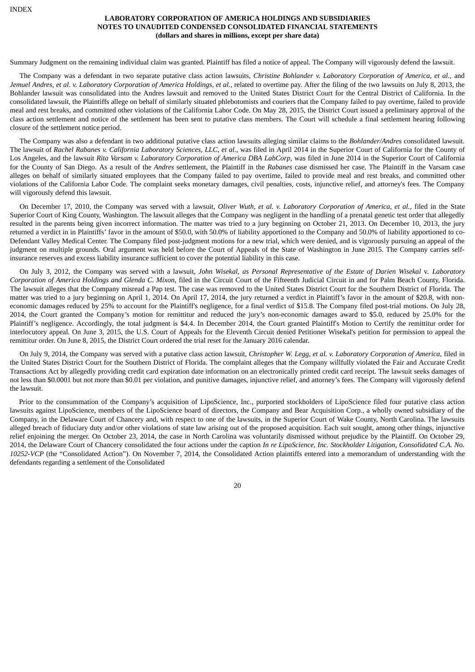Summary Judgment on the remaining individual claim was granted. Plaintiff has filed a notice of appeal. The Company will vigorously defend the lawsuit.

The Company was a defendant in two separate putative class action lawsuits, *Christine Bohlander v. Laboratory Corporation of America, et al.,* and Jemuel Andres, et al. v. Laboratory Corporation of America Holdings, et al., related to overtime pay. After the filing of the two lawsuits on July 8, 2013, the Bohlander lawsuit was consolidated into the Andres lawsuit and removed to the United States District Court for the Central District of California. In the consolidated lawsuit, the Plaintiffs allege on behalf of similarly situated phlebotomists and couriers that the Company failed to pay overtime, failed to provide meal and rest breaks, and committed other violations of the California Labor Code. On May 28, 2015, the District Court issued a preliminary approval of the class action settlement and notice of the settlement has been sent to putative class members. The Court will schedule a final settlement hearing following closure of the settlement notice period.

The Company was also a defendant in two additional putative class action lawsuits alleging similar claims to the *Bohlander/Andres* consolidated lawsuit. The lawsuit of *Rachel Rabanes v. California Laboratory Sciences, LLC, et al.,* was filed in April 2014 in the Superior Court of California for the County of Los Angeles, and the lawsuit *Rita Varsam v. Laboratory Corporation of America DBA LabCorp*, was filed in June 2014 in the Superior Court of California for the County of San Diego. As a result of the *Andres* settlement, the Plaintiff in the *Rabanes* case dismissed her case. The Plaintiff in the Varsam case alleges on behalf of similarly situated employees that the Company failed to pay overtime, failed to provide meal and rest breaks, and committed other violations of the California Labor Code. The complaint seeks monetary damages, civil penalties, costs, injunctive relief, and attorney's fees. The Company will vigorously defend this lawsuit.

On December 17, 2010, the Company was served with a lawsuit, *Oliver Wuth, et al. v. Laboratory Corporation of America, et al.*, filed in the State Superior Court of King County, Washington. The lawsuit alleges that the Company was negligent in the handling of a prenatal genetic test order that allegedly resulted in the parents being given incorrect information. The matter was tried to a jury beginning on October 21, 2013. On December 10, 2013, the jury returned a verdict in in Plaintiffs' favor in the amount of \$50.0, with 50.0% of liability apportioned to the Company and 50.0% of liability apportioned to co-Defendant Valley Medical Center. The Company filed post-judgment motions for a new trial, which were denied, and is vigorously pursuing an appeal of the judgment on multiple grounds. Oral argument was held before the Court of Appeals of the State of Washington in June 2015. The Company carries selfinsurance reserves and excess liability insurance sufficient to cover the potential liability in this case.

On July 3, 2012, the Company was served with a lawsuit, John Wisekal, as Personal Representative of the Estate of Darien Wisekal v. Laboratory *Corporation of America Holdings and Glenda C. Mixon*, filed in the Circuit Court of the Fifteenth Judicial Circuit in and for Palm Beach County, Florida. The lawsuit alleges that the Company misread a Pap test. The case was removed to the United States District Court for the Southern District of Florida. The matter was tried to a jury beginning on April 1, 2014. On April 17, 2014, the jury returned a verdict in Plaintiff's favor in the amount of \$20.8, with noneconomic damages reduced by 25% to account for the Plaintiff's negligence, for a final verdict of \$15.8. The Company filed post-trial motions. On July 28, 2014, the Court granted the Company's motion for remittitur and reduced the jury's non-economic damages award to \$5.0, reduced by 25.0% for the Plaintiff's negligence. Accordingly, the total judgment is \$4.4. In December 2014, the Court granted Plaintiff's Motion to Certify the remittitur order for interlocutory appeal. On June 3, 2015, the U.S. Court of Appeals for the Eleventh Circuit denied Petitioner Wisekal's petition for permission to appeal the remittitur order. On June 8, 2015, the District Court ordered the trial reset for the January 2016 calendar.

On July 9, 2014, the Company was served with a putative class action lawsuit, *Christopher W. Legg, et al. v. Laboratory Corporation of America*, filed in the United States District Court for the Southern District of Florida. The complaint alleges that the Company willfully violated the Fair and Accurate Credit Transactions Act by allegedly providing credit card expiration date information on an electronically printed credit card receipt. The lawsuit seeks damages of not less than \$0.0001 but not more than \$0.01 per violation, and punitive damages, injunctive relief, and attorney's fees. The Company will vigorously defend the lawsuit.

Prior to the consummation of the Company's acquisition of LipoScience, Inc., purported stockholders of LipoScience filed four putative class action lawsuits against LipoScience, members of the LipoScience board of directors, the Company and Bear Acquisition Corp., a wholly owned subsidiary of the Company, in the Delaware Court of Chancery and, with respect to one of the lawsuits, in the Superior Court of Wake County, North Carolina. The lawsuits alleged breach of fiduciary duty and/or other violations of state law arising out of the proposed acquisition. Each suit sought, among other things, injunctive relief enjoining the merger. On October 23, 2014, the case in North Carolina was voluntarily dismissed without prejudice by the Plaintiff. On October 29, 2014, the Delaware Court of Chancery consolidated the four actions under the caption *In re LipoScience, Inc. Stockholder Litigation, Consolidated C.A. No. 10252-VCP* (the "Consolidated Action"). On November 7, 2014, the Consolidated Action plaintiffs entered into a memorandum of understanding with the defendants regarding a settlement of the Consolidated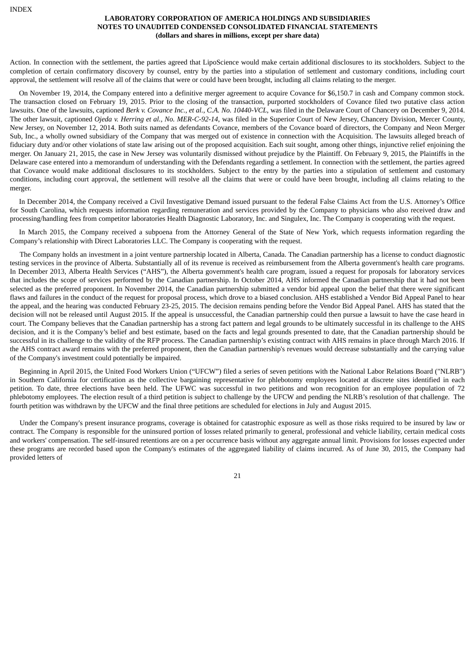Action. In connection with the settlement, the parties agreed that LipoScience would make certain additional disclosures to its stockholders. Subject to the completion of certain confirmatory discovery by counsel, entry by the parties into a stipulation of settlement and customary conditions, including court approval, the settlement will resolve all of the claims that were or could have been brought, including all claims relating to the merger.

On November 19, 2014, the Company entered into a definitive merger agreement to acquire Covance for \$6,150.7 in cash and Company common stock. The transaction closed on February 19, 2015. Prior to the closing of the transaction, purported stockholders of Covance filed two putative class action lawsuits. One of the lawsuits, captioned *Berk v. Covance Inc., et al., C.A. No. 10440-VCL*, was filed in the Delaware Court of Chancery on December 9, 2014. The other lawsuit, captioned *Ojeda v. Herring et al., No. MER-C-92-14*, was filed in the Superior Court of New Jersey, Chancery Division, Mercer County, New Jersey, on November 12, 2014. Both suits named as defendants Covance, members of the Covance board of directors, the Company and Neon Merger Sub, Inc., a wholly owned subsidiary of the Company that was merged out of existence in connection with the Acquisition. The lawsuits alleged breach of fiduciary duty and/or other violations of state law arising out of the proposed acquisition. Each suit sought, among other things, injunctive relief enjoining the merger. On January 21, 2015, the case in New Jersey was voluntarily dismissed without prejudice by the Plaintiff. On February 9, 2015, the Plaintiffs in the Delaware case entered into a memorandum of understanding with the Defendants regarding a settlement. In connection with the settlement, the parties agreed that Covance would make additional disclosures to its stockholders. Subject to the entry by the parties into a stipulation of settlement and customary conditions, including court approval, the settlement will resolve all the claims that were or could have been brought, including all claims relating to the merger.

In December 2014, the Company received a Civil Investigative Demand issued pursuant to the federal False Claims Act from the U.S. Attorney's Office for South Carolina, which requests information regarding remuneration and services provided by the Company to physicians who also received draw and processing/handling fees from competitor laboratories Health Diagnostic Laboratory, Inc. and Singulex, Inc. The Company is cooperating with the request.

In March 2015, the Company received a subpoena from the Attorney General of the State of New York, which requests information regarding the Company's relationship with Direct Laboratories LLC. The Company is cooperating with the request.

The Company holds an investment in a joint venture partnership located in Alberta, Canada. The Canadian partnership has a license to conduct diagnostic testing services in the province of Alberta. Substantially all of its revenue is received as reimbursement from the Alberta government's health care programs. In December 2013, Alberta Health Services ("AHS"), the Alberta government's health care program, issued a request for proposals for laboratory services that includes the scope of services performed by the Canadian partnership. In October 2014, AHS informed the Canadian partnership that it had not been selected as the preferred proponent. In November 2014, the Canadian partnership submitted a vendor bid appeal upon the belief that there were significant flaws and failures in the conduct of the request for proposal process, which drove to a biased conclusion. AHS established a Vendor Bid Appeal Panel to hear the appeal, and the hearing was conducted February 23-25, 2015. The decision remains pending before the Vendor Bid Appeal Panel. AHS has stated that the decision will not be released until August 2015. If the appeal is unsuccessful, the Canadian partnership could then pursue a lawsuit to have the case heard in court. The Company believes that the Canadian partnership has a strong fact pattern and legal grounds to be ultimately successful in its challenge to the AHS decision, and it is the Company's belief and best estimate, based on the facts and legal grounds presented to date, that the Canadian partnership should be successful in its challenge to the validity of the RFP process. The Canadian partnership's existing contract with AHS remains in place through March 2016. If the AHS contract award remains with the preferred proponent, then the Canadian partnership's revenues would decrease substantially and the carrying value of the Company's investment could potentially be impaired.

Beginning in April 2015, the United Food Workers Union ("UFCW") filed a series of seven petitions with the National Labor Relations Board ("NLRB") in Southern California for certification as the collective bargaining representative for phlebotomy employees located at discrete sites identified in each petition. To date, three elections have been held. The UFWC was successful in two petitions and won recognition for an employee population of 72 phlebotomy employees. The election result of a third petition is subject to challenge by the UFCW and pending the NLRB's resolution of that challenge. The fourth petition was withdrawn by the UFCW and the final three petitions are scheduled for elections in July and August 2015.

Under the Company's present insurance programs, coverage is obtained for catastrophic exposure as well as those risks required to be insured by law or contract. The Company is responsible for the uninsured portion of losses related primarily to general, professional and vehicle liability, certain medical costs and workers' compensation. The self-insured retentions are on a per occurrence basis without any aggregate annual limit. Provisions for losses expected under these programs are recorded based upon the Company's estimates of the aggregated liability of claims incurred. As of June 30, 2015, the Company had provided letters of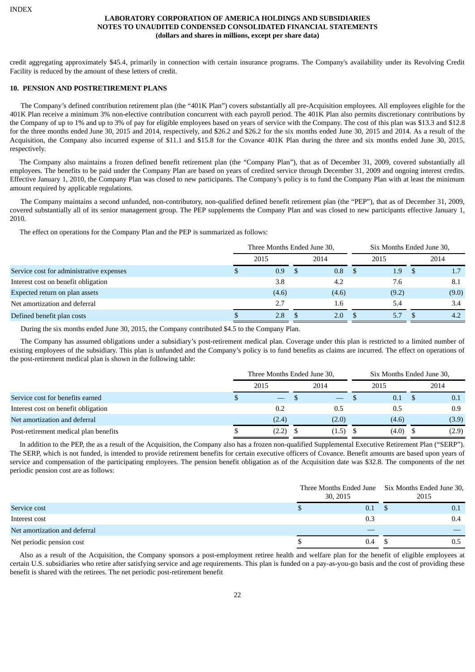credit aggregating approximately \$45.4, primarily in connection with certain insurance programs. The Company's availability under its Revolving Credit Facility is reduced by the amount of these letters of credit.

## **10. PENSION AND POSTRETIREMENT PLANS**

The Company's defined contribution retirement plan (the "401K Plan") covers substantially all pre-Acquisition employees. All employees eligible for the 401K Plan receive a minimum 3% non-elective contribution concurrent with each payroll period. The 401K Plan also permits discretionary contributions by the Company of up to 1% and up to 3% of pay for eligible employees based on years of service with the Company. The cost of this plan was \$13.3 and \$12.8 for the three months ended June 30, 2015 and 2014, respectively, and \$26.2 and \$26.2 for the six months ended June 30, 2015 and 2014. As a result of the Acquisition, the Company also incurred expense of \$11.1 and \$15.8 for the Covance 401K Plan during the three and six months ended June 30, 2015, respectively.

The Company also maintains a frozen defined benefit retirement plan (the "Company Plan"), that as of December 31, 2009, covered substantially all employees. The benefits to be paid under the Company Plan are based on years of credited service through December 31, 2009 and ongoing interest credits. Effective January 1, 2010, the Company Plan was closed to new participants. The Company's policy is to fund the Company Plan with at least the minimum amount required by applicable regulations.

The Company maintains a second unfunded, non-contributory, non-qualified defined benefit retirement plan (the "PEP"), that as of December 31, 2009, covered substantially all of its senior management group. The PEP supplements the Company Plan and was closed to new participants effective January 1, 2010.

The effect on operations for the Company Plan and the PEP is summarized as follows:

|                                          | Three Months Ended June 30, |  |       |  | Six Months Ended June 30, |      |       |  |
|------------------------------------------|-----------------------------|--|-------|--|---------------------------|------|-------|--|
|                                          | 2015                        |  | 2014  |  | 2015                      |      | 2014  |  |
| Service cost for administrative expenses | 0.9                         |  | 0.8   |  | 1.9                       | - \$ |       |  |
| Interest cost on benefit obligation      | 3.8                         |  | 4.2   |  | 7.6                       |      | 8.1   |  |
| Expected return on plan assets           | (4.6)                       |  | (4.6) |  | (9.2)                     |      | (9.0) |  |
| Net amortization and deferral            | 2.7                         |  | 1.6   |  | 5.4                       |      | 3.4   |  |
| Defined benefit plan costs               | 2.8                         |  | 2.0   |  | 5.7                       |      | 4.2   |  |

During the six months ended June 30, 2015, the Company contributed \$4.5 to the Company Plan.

The Company has assumed obligations under a subsidiary's post-retirement medical plan. Coverage under this plan is restricted to a limited number of existing employees of the subsidiary. This plan is unfunded and the Company's policy is to fund benefits as claims are incurred. The effect on operations of the post-retirement medical plan is shown in the following table:

|                                       | Three Months Ended June 30, |  | Six Months Ended June 30, |  |       |  |       |
|---------------------------------------|-----------------------------|--|---------------------------|--|-------|--|-------|
|                                       | 2015                        |  | 2014                      |  | 2015  |  | 2014  |
| Service cost for benefits earned      | $\overline{\phantom{m}}$    |  |                           |  | 0.1   |  | 0.1   |
| Interest cost on benefit obligation   | 0.2                         |  | 0.5                       |  | 0.5   |  | 0.9   |
| Net amortization and deferral         | (2.4)                       |  | (2.0)                     |  | (4.6) |  | (3.9) |
| Post-retirement medical plan benefits | (2.2)                       |  | (1.5)                     |  | (4.0) |  | (2.9) |

In addition to the PEP, the as a result of the Acquisition, the Company also has a frozen non-qualified Supplemental Executive Retirement Plan ("SERP"). The SERP, which is not funded, is intended to provide retirement benefits for certain executive officers of Covance. Benefit amounts are based upon years of service and compensation of the participating employees. The pension benefit obligation as of the Acquisition date was \$32.8. The components of the net periodic pension cost are as follows:

|                               |  |  | 30, 2015 | Three Months Ended June Six Months Ended June 30,<br>2015 |     |  |
|-------------------------------|--|--|----------|-----------------------------------------------------------|-----|--|
| Service cost                  |  |  |          | $0.1 \quad$ \$<br>0.1                                     |     |  |
| Interest cost                 |  |  | 0.3      |                                                           | 0.4 |  |
| Net amortization and deferral |  |  |          |                                                           |     |  |
| Net periodic pension cost     |  |  | $0.4\,$  |                                                           | 0.5 |  |

Also as a result of the Acquisition, the Company sponsors a post-employment retiree health and welfare plan for the benefit of eligible employees at certain U.S. subsidiaries who retire after satisfying service and age requirements. This plan is funded on a pay-as-you-go basis and the cost of providing these benefit is shared with the retirees. The net periodic post-retirement benefit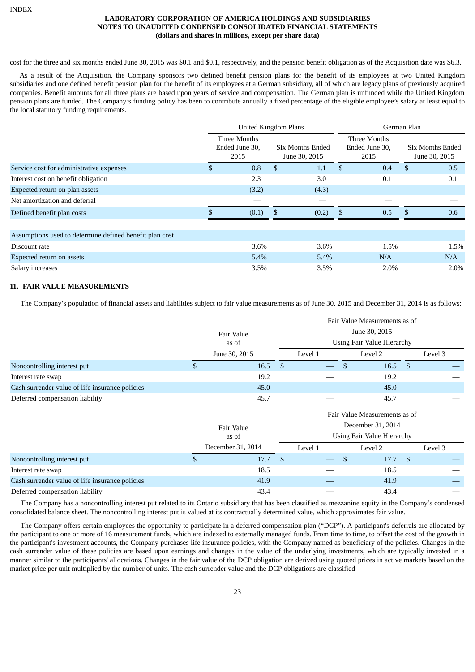cost for the three and six months ended June 30, 2015 was \$0.1 and \$0.1, respectively, and the pension benefit obligation as of the Acquisition date was \$6.3.

As a result of the Acquisition, the Company sponsors two defined benefit pension plans for the benefit of its employees at two United Kingdom subsidiaries and one defined benefit pension plan for the benefit of its employees at a German subsidiary, all of which are legacy plans of previously acquired companies. Benefit amounts for all three plans are based upon years of service and compensation. The German plan is unfunded while the United Kingdom pension plans are funded. The Company's funding policy has been to contribute annually a fixed percentage of the eligible employee's salary at least equal to the local statutory funding requirements.

|                                                         |    | <b>United Kingdom Plans</b>            |     |                                          | German Plan                            |      |                                          |      |  |  |
|---------------------------------------------------------|----|----------------------------------------|-----|------------------------------------------|----------------------------------------|------|------------------------------------------|------|--|--|
|                                                         |    | Three Months<br>Ended June 30,<br>2015 |     | <b>Six Months Ended</b><br>June 30, 2015 | Three Months<br>Ended June 30,<br>2015 |      | <b>Six Months Ended</b><br>June 30, 2015 |      |  |  |
| Service cost for administrative expenses                | S. | 0.8                                    | \$. | 1.1                                      | <sup>\$</sup>                          | 0.4  | \$.                                      | 0.5  |  |  |
| Interest cost on benefit obligation                     |    | 2.3                                    |     | 3.0                                      |                                        | 0.1  |                                          | 0.1  |  |  |
| Expected return on plan assets                          |    | (3.2)                                  |     | (4.3)                                    |                                        |      |                                          |      |  |  |
| Net amortization and deferral                           |    |                                        |     |                                          |                                        |      |                                          |      |  |  |
| Defined benefit plan costs                              |    | (0.1)                                  |     | (0.2)                                    | $\mathbf{\$}$                          | 0.5  | \$                                       | 0.6  |  |  |
|                                                         |    |                                        |     |                                          |                                        |      |                                          |      |  |  |
| Assumptions used to determine defined benefit plan cost |    |                                        |     |                                          |                                        |      |                                          |      |  |  |
| Discount rate                                           |    | $3.6\%$                                |     | 3.6%                                     |                                        | 1.5% |                                          | 1.5% |  |  |
| Expected return on assets                               |    | 5.4%                                   |     | 5.4%                                     |                                        | N/A  |                                          | N/A  |  |  |
| Salary increases                                        |    | 3.5%                                   |     | 3.5%                                     |                                        | 2.0% |                                          | 2.0% |  |  |

## **11. FAIR VALUE MEASUREMENTS**

The Company's population of financial assets and liabilities subject to fair value measurements as of June 30, 2015 and December 31, 2014 is as follows:

|                                                 | Fair Value Measurements as of |               |                                   |                            |         |                |         |  |  |  |  |
|-------------------------------------------------|-------------------------------|---------------|-----------------------------------|----------------------------|---------|----------------|---------|--|--|--|--|
|                                                 | Fair Value                    | June 30, 2015 |                                   |                            |         |                |         |  |  |  |  |
|                                                 | as of                         |               | <b>Using Fair Value Hierarchy</b> |                            |         |                |         |  |  |  |  |
|                                                 | June 30, 2015                 |               | Level 1                           |                            | Level 2 |                | Level 3 |  |  |  |  |
| Noncontrolling interest put                     | \$<br>16.5                    | $\mathbb{S}$  |                                   | \$                         | 16.5    | \$             |         |  |  |  |  |
| Interest rate swap                              | 19.2                          |               |                                   |                            | 19.2    |                |         |  |  |  |  |
| Cash surrender value of life insurance policies | 45.0                          |               |                                   |                            | 45.0    |                |         |  |  |  |  |
| Deferred compensation liability                 | 45.7                          |               |                                   |                            | 45.7    |                |         |  |  |  |  |
|                                                 |                               |               | Fair Value Measurements as of     |                            |         |                |         |  |  |  |  |
|                                                 | Fair Value                    |               | December 31, 2014                 |                            |         |                |         |  |  |  |  |
|                                                 | as of                         |               |                                   | Using Fair Value Hierarchy |         |                |         |  |  |  |  |
|                                                 | December 31, 2014             |               | Level 1                           |                            | Level 2 |                | Level 3 |  |  |  |  |
| Noncontrolling interest put                     | \$<br>17.7                    | <b>S</b>      |                                   | \$                         | 17.7    | $\mathfrak{F}$ |         |  |  |  |  |
| Interest rate swap                              | 18.5                          |               |                                   |                            | 18.5    |                |         |  |  |  |  |
| Cash surrender value of life insurance policies | 41.9                          |               |                                   |                            | 41.9    |                |         |  |  |  |  |
| Deferred compensation liability                 | 43.4                          |               |                                   |                            | 43.4    |                |         |  |  |  |  |

The Company has a noncontrolling interest put related to its Ontario subsidiary that has been classified as mezzanine equity in the Company's condensed consolidated balance sheet. The noncontrolling interest put is valued at its contractually determined value, which approximates fair value.

The Company offers certain employees the opportunity to participate in a deferred compensation plan ("DCP"). A participant's deferrals are allocated by the participant to one or more of 16 measurement funds, which are indexed to externally managed funds. From time to time, to offset the cost of the growth in the participant's investment accounts, the Company purchases life insurance policies, with the Company named as beneficiary of the policies. Changes in the cash surrender value of these policies are based upon earnings and changes in the value of the underlying investments, which are typically invested in a manner similar to the participants' allocations. Changes in the fair value of the DCP obligation are derived using quoted prices in active markets based on the market price per unit multiplied by the number of units. The cash surrender value and the DCP obligations are classified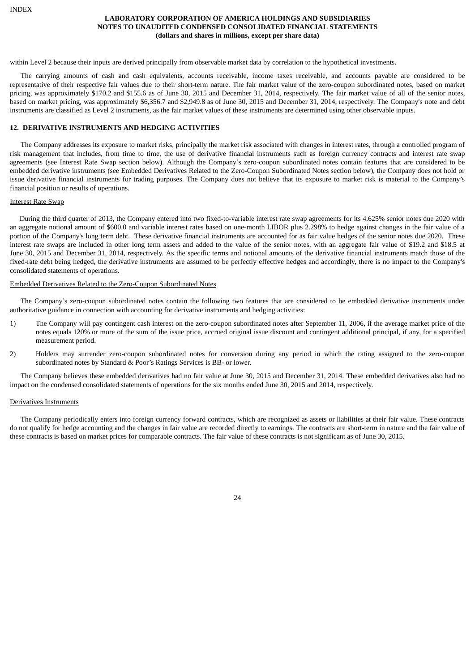within Level 2 because their inputs are derived principally from observable market data by correlation to the hypothetical investments.

The carrying amounts of cash and cash equivalents, accounts receivable, income taxes receivable, and accounts payable are considered to be representative of their respective fair values due to their short-term nature. The fair market value of the zero-coupon subordinated notes, based on market pricing, was approximately \$170.2 and \$155.6 as of June 30, 2015 and December 31, 2014, respectively. The fair market value of all of the senior notes, based on market pricing, was approximately \$6,356.7 and \$2,949.8 as of June 30, 2015 and December 31, 2014, respectively. The Company's note and debt instruments are classified as Level 2 instruments, as the fair market values of these instruments are determined using other observable inputs.

## **12. DERIVATIVE INSTRUMENTS AND HEDGING ACTIVITIES**

The Company addresses its exposure to market risks, principally the market risk associated with changes in interest rates, through a controlled program of risk management that includes, from time to time, the use of derivative financial instruments such as foreign currency contracts and interest rate swap agreements (see Interest Rate Swap section below). Although the Company's zero-coupon subordinated notes contain features that are considered to be embedded derivative instruments (see Embedded Derivatives Related to the Zero-Coupon Subordinated Notes section below), the Company does not hold or issue derivative financial instruments for trading purposes. The Company does not believe that its exposure to market risk is material to the Company's financial position or results of operations.

#### Interest Rate Swap

During the third quarter of 2013, the Company entered into two fixed-to-variable interest rate swap agreements for its 4.625% senior notes due 2020 with an aggregate notional amount of \$600.0 and variable interest rates based on one-month LIBOR plus 2.298% to hedge against changes in the fair value of a portion of the Company's long term debt. These derivative financial instruments are accounted for as fair value hedges of the senior notes due 2020. These interest rate swaps are included in other long term assets and added to the value of the senior notes, with an aggregate fair value of \$19.2 and \$18.5 at June 30, 2015 and December 31, 2014, respectively. As the specific terms and notional amounts of the derivative financial instruments match those of the fixed-rate debt being hedged, the derivative instruments are assumed to be perfectly effective hedges and accordingly, there is no impact to the Company's consolidated statements of operations.

#### Embedded Derivatives Related to the Zero-Coupon Subordinated Notes

The Company's zero-coupon subordinated notes contain the following two features that are considered to be embedded derivative instruments under authoritative guidance in connection with accounting for derivative instruments and hedging activities:

- 1) The Company will pay contingent cash interest on the zero-coupon subordinated notes after September 11, 2006, if the average market price of the notes equals 120% or more of the sum of the issue price, accrued original issue discount and contingent additional principal, if any, for a specified measurement period.
- 2) Holders may surrender zero-coupon subordinated notes for conversion during any period in which the rating assigned to the zero-coupon subordinated notes by Standard & Poor's Ratings Services is BB- or lower.

The Company believes these embedded derivatives had no fair value at June 30, 2015 and December 31, 2014. These embedded derivatives also had no impact on the condensed consolidated statements of operations for the six months ended June 30, 2015 and 2014, respectively.

#### Derivatives Instruments

The Company periodically enters into foreign currency forward contracts, which are recognized as assets or liabilities at their fair value. These contracts do not qualify for hedge accounting and the changes in fair value are recorded directly to earnings. The contracts are short-term in nature and the fair value of these contracts is based on market prices for comparable contracts. The fair value of these contracts is not significant as of June 30, 2015.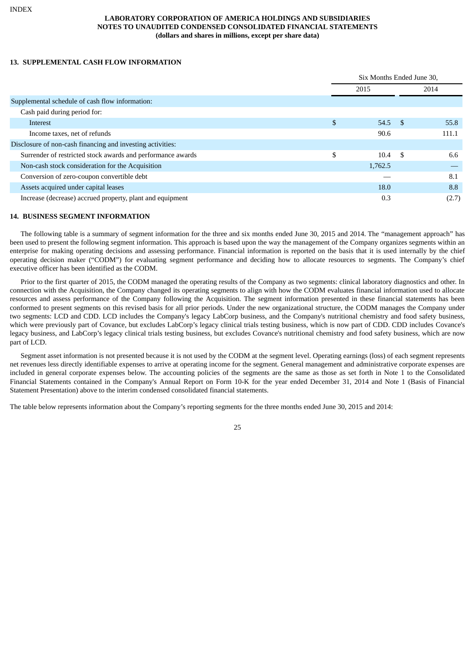## **13. SUPPLEMENTAL CASH FLOW INFORMATION**

|                                                             |    |           | Six Months Ended June 30, |       |  |
|-------------------------------------------------------------|----|-----------|---------------------------|-------|--|
|                                                             |    | 2015      |                           | 2014  |  |
| Supplemental schedule of cash flow information:             |    |           |                           |       |  |
| Cash paid during period for:                                |    |           |                           |       |  |
| Interest                                                    | \$ | $54.5$ \$ |                           | 55.8  |  |
| Income taxes, net of refunds                                |    | 90.6      |                           | 111.1 |  |
| Disclosure of non-cash financing and investing activities:  |    |           |                           |       |  |
| Surrender of restricted stock awards and performance awards | \$ | 10.4      | - \$                      | 6.6   |  |
| Non-cash stock consideration for the Acquisition            |    | 1,762.5   |                           |       |  |
| Conversion of zero-coupon convertible debt                  |    |           |                           | 8.1   |  |
| Assets acquired under capital leases                        |    | 18.0      |                           | 8.8   |  |
| Increase (decrease) accrued property, plant and equipment   |    | 0.3       |                           | (2.7) |  |

## **14. BUSINESS SEGMENT INFORMATION**

The following table is a summary of segment information for the three and six months ended June 30, 2015 and 2014. The "management approach" has been used to present the following segment information. This approach is based upon the way the management of the Company organizes segments within an enterprise for making operating decisions and assessing performance. Financial information is reported on the basis that it is used internally by the chief operating decision maker ("CODM") for evaluating segment performance and deciding how to allocate resources to segments. The Company's chief executive officer has been identified as the CODM.

Prior to the first quarter of 2015, the CODM managed the operating results of the Company as two segments: clinical laboratory diagnostics and other. In connection with the Acquisition, the Company changed its operating segments to align with how the CODM evaluates financial information used to allocate resources and assess performance of the Company following the Acquisition. The segment information presented in these financial statements has been conformed to present segments on this revised basis for all prior periods. Under the new organizational structure, the CODM manages the Company under two segments: LCD and CDD. LCD includes the Company's legacy LabCorp business, and the Company's nutritional chemistry and food safety business, which were previously part of Covance, but excludes LabCorp's legacy clinical trials testing business, which is now part of CDD. CDD includes Covance's legacy business, and LabCorp's legacy clinical trials testing business, but excludes Covance's nutritional chemistry and food safety business, which are now part of LCD.

Segment asset information is not presented because it is not used by the CODM at the segment level. Operating earnings (loss) of each segment represents net revenues less directly identifiable expenses to arrive at operating income for the segment. General management and administrative corporate expenses are included in general corporate expenses below. The accounting policies of the segments are the same as those as set forth in Note 1 to the Consolidated Financial Statements contained in the Company's Annual Report on Form 10-K for the year ended December 31, 2014 and Note 1 (Basis of Financial Statement Presentation) above to the interim condensed consolidated financial statements.

The table below represents information about the Company's reporting segments for the three months ended June 30, 2015 and 2014: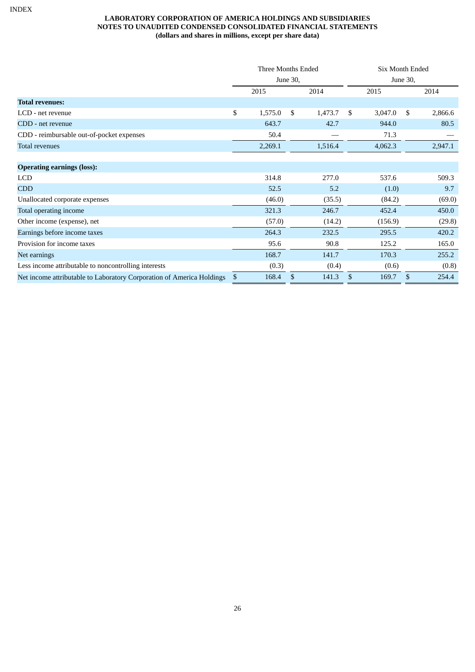|                                                                       | Three Months Ended |          |    |         |    | <b>Six Month Ended</b> |              |         |  |
|-----------------------------------------------------------------------|--------------------|----------|----|---------|----|------------------------|--------------|---------|--|
|                                                                       |                    | June 30, |    |         |    | June 30,               |              |         |  |
|                                                                       |                    | 2015     |    | 2014    |    | 2015                   |              | 2014    |  |
| <b>Total revenues:</b>                                                |                    |          |    |         |    |                        |              |         |  |
| LCD - net revenue                                                     | \$                 | 1,575.0  | \$ | 1,473.7 | \$ | 3,047.0                | \$           | 2,866.6 |  |
| CDD - net revenue                                                     |                    | 643.7    |    | 42.7    |    | 944.0                  |              | 80.5    |  |
| CDD - reimbursable out-of-pocket expenses                             |                    | 50.4     |    |         |    | 71.3                   |              |         |  |
| <b>Total revenues</b>                                                 |                    | 2,269.1  |    | 1,516.4 |    | 4,062.3                |              | 2,947.1 |  |
|                                                                       |                    |          |    |         |    |                        |              |         |  |
| <b>Operating earnings (loss):</b>                                     |                    |          |    |         |    |                        |              |         |  |
| LCD                                                                   |                    | 314.8    |    | 277.0   |    | 537.6                  |              | 509.3   |  |
| <b>CDD</b>                                                            |                    | 52.5     |    | 5.2     |    | (1.0)                  |              | 9.7     |  |
| Unallocated corporate expenses                                        |                    | (46.0)   |    | (35.5)  |    | (84.2)                 |              | (69.0)  |  |
| Total operating income                                                |                    | 321.3    |    | 246.7   |    | 452.4                  |              | 450.0   |  |
| Other income (expense), net                                           |                    | (57.0)   |    | (14.2)  |    | (156.9)                |              | (29.8)  |  |
| Earnings before income taxes                                          |                    | 264.3    |    | 232.5   |    | 295.5                  |              | 420.2   |  |
| Provision for income taxes                                            |                    | 95.6     |    | 90.8    |    | 125.2                  |              | 165.0   |  |
| Net earnings                                                          |                    | 168.7    |    | 141.7   |    | 170.3                  |              | 255.2   |  |
| Less income attributable to noncontrolling interests                  |                    | (0.3)    |    | (0.4)   |    | (0.6)                  |              | (0.8)   |  |
| Net income attributable to Laboratory Corporation of America Holdings | \$                 | 168.4    | \$ | 141.3   | \$ | 169.7                  | $\mathbb{S}$ | 254.4   |  |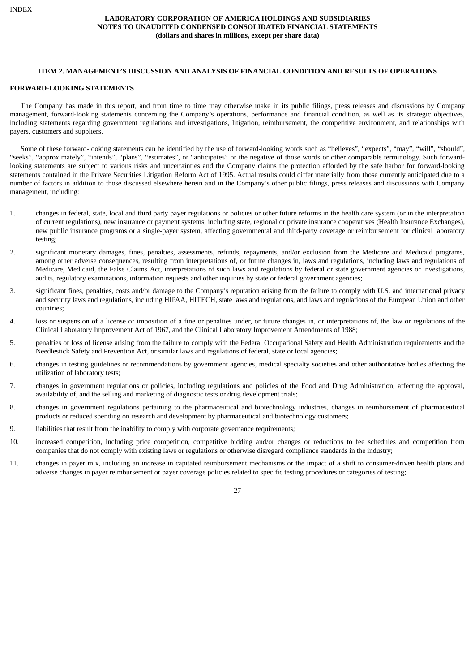#### **ITEM 2. MANAGEMENT'S DISCUSSION AND ANALYSIS OF FINANCIAL CONDITION AND RESULTS OF OPERATIONS**

#### <span id="page-27-0"></span>**FORWARD-LOOKING STATEMENTS**

The Company has made in this report, and from time to time may otherwise make in its public filings, press releases and discussions by Company management, forward-looking statements concerning the Company's operations, performance and financial condition, as well as its strategic objectives, including statements regarding government regulations and investigations, litigation, reimbursement, the competitive environment, and relationships with payers, customers and suppliers.

Some of these forward-looking statements can be identified by the use of forward-looking words such as "believes", "expects", "may", "will", "should", "seeks", "approximately", "intends", "plans", "estimates", or "anticipates" or the negative of those words or other comparable terminology. Such forwardlooking statements are subject to various risks and uncertainties and the Company claims the protection afforded by the safe harbor for forward-looking statements contained in the Private Securities Litigation Reform Act of 1995. Actual results could differ materially from those currently anticipated due to a number of factors in addition to those discussed elsewhere herein and in the Company's other public filings, press releases and discussions with Company management, including:

- 1. changes in federal, state, local and third party payer regulations or policies or other future reforms in the health care system (or in the interpretation of current regulations), new insurance or payment systems, including state, regional or private insurance cooperatives (Health Insurance Exchanges), new public insurance programs or a single-payer system, affecting governmental and third-party coverage or reimbursement for clinical laboratory testing;
- 2. significant monetary damages, fines, penalties, assessments, refunds, repayments, and/or exclusion from the Medicare and Medicaid programs, among other adverse consequences, resulting from interpretations of, or future changes in, laws and regulations, including laws and regulations of Medicare, Medicaid, the False Claims Act, interpretations of such laws and regulations by federal or state government agencies or investigations, audits, regulatory examinations, information requests and other inquiries by state or federal government agencies;
- 3. significant fines, penalties, costs and/or damage to the Company's reputation arising from the failure to comply with U.S. and international privacy and security laws and regulations, including HIPAA, HITECH, state laws and regulations, and laws and regulations of the European Union and other countries;
- 4. loss or suspension of a license or imposition of a fine or penalties under, or future changes in, or interpretations of, the law or regulations of the Clinical Laboratory Improvement Act of 1967, and the Clinical Laboratory Improvement Amendments of 1988;
- 5. penalties or loss of license arising from the failure to comply with the Federal Occupational Safety and Health Administration requirements and the Needlestick Safety and Prevention Act, or similar laws and regulations of federal, state or local agencies;
- 6. changes in testing guidelines or recommendations by government agencies, medical specialty societies and other authoritative bodies affecting the utilization of laboratory tests;
- 7. changes in government regulations or policies, including regulations and policies of the Food and Drug Administration, affecting the approval, availability of, and the selling and marketing of diagnostic tests or drug development trials;
- 8. changes in government regulations pertaining to the pharmaceutical and biotechnology industries, changes in reimbursement of pharmaceutical products or reduced spending on research and development by pharmaceutical and biotechnology customers;
- 9. liabilities that result from the inability to comply with corporate governance requirements;
- 10. increased competition, including price competition, competitive bidding and/or changes or reductions to fee schedules and competition from companies that do not comply with existing laws or regulations or otherwise disregard compliance standards in the industry;
- 11. changes in payer mix, including an increase in capitated reimbursement mechanisms or the impact of a shift to consumer-driven health plans and adverse changes in payer reimbursement or payer coverage policies related to specific testing procedures or categories of testing;

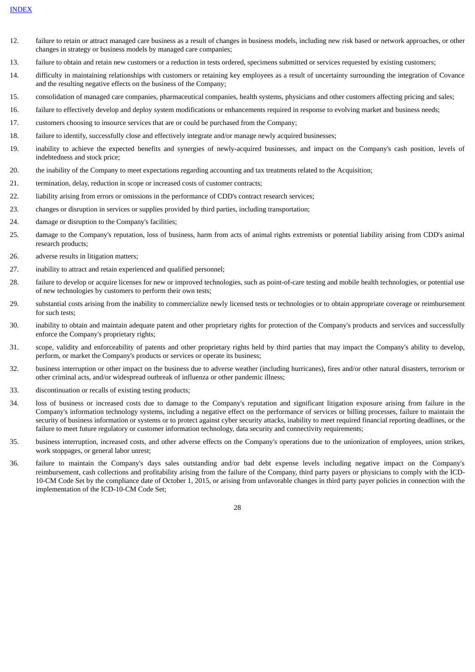- 12. failure to retain or attract managed care business as a result of changes in business models, including new risk based or network approaches, or other changes in strategy or business models by managed care companies;
- 13. failure to obtain and retain new customers or a reduction in tests ordered, specimens submitted or services requested by existing customers;
- 14. difficulty in maintaining relationships with customers or retaining key employees as a result of uncertainty surrounding the integration of Covance and the resulting negative effects on the business of the Company;
- 15. consolidation of managed care companies, pharmaceutical companies, health systems, physicians and other customers affecting pricing and sales;
- 16. failure to effectively develop and deploy system modifications or enhancements required in response to evolving market and business needs;
- 17. customers choosing to insource services that are or could be purchased from the Company;
- 18. failure to identify, successfully close and effectively integrate and/or manage newly acquired businesses;
- 19. inability to achieve the expected benefits and synergies of newly-acquired businesses, and impact on the Company's cash position, levels of indebtedness and stock price;
- 20. the inability of the Company to meet expectations regarding accounting and tax treatments related to the Acquisition;
- 21. termination, delay, reduction in scope or increased costs of customer contracts;
- 22. liability arising from errors or omissions in the performance of CDD's contract research services;
- 23. changes or disruption in services or supplies provided by third parties, including transportation;
- 24. damage or disruption to the Company's facilities;
- 25. damage to the Company's reputation, loss of business, harm from acts of animal rights extremists or potential liability arising from CDD's animal research products;
- 26. adverse results in litigation matters;
- 27. inability to attract and retain experienced and qualified personnel;
- 28. failure to develop or acquire licenses for new or improved technologies, such as point-of-care testing and mobile health technologies, or potential use of new technologies by customers to perform their own tests;
- 29. substantial costs arising from the inability to commercialize newly licensed tests or technologies or to obtain appropriate coverage or reimbursement for such tests;
- 30. inability to obtain and maintain adequate patent and other proprietary rights for protection of the Company's products and services and successfully enforce the Company's proprietary rights;
- 31. scope, validity and enforceability of patents and other proprietary rights held by third parties that may impact the Company's ability to develop, perform, or market the Company's products or services or operate its business;
- 32. business interruption or other impact on the business due to adverse weather (including hurricanes), fires and/or other natural disasters, terrorism or other criminal acts, and/or widespread outbreak of influenza or other pandemic illness;
- 33. discontinuation or recalls of existing testing products;
- 34. loss of business or increased costs due to damage to the Company's reputation and significant litigation exposure arising from failure in the Company's information technology systems, including a negative effect on the performance of services or billing processes, failure to maintain the security of business information or systems or to protect against cyber security attacks, inability to meet required financial reporting deadlines, or the failure to meet future regulatory or customer information technology, data security and connectivity requirements;
- 35. business interruption, increased costs, and other adverse effects on the Company's operations due to the unionization of employees, union strikes, work stoppages, or general labor unrest;
- 36. failure to maintain the Company's days sales outstanding and/or bad debt expense levels including negative impact on the Company's reimbursement, cash collections and profitability arising from the failure of the Company, third party payers or physicians to comply with the ICD-10-CM Code Set by the compliance date of October 1, 2015, or arising from unfavorable changes in third party payer policies in connection with the implementation of the ICD-10-CM Code Set;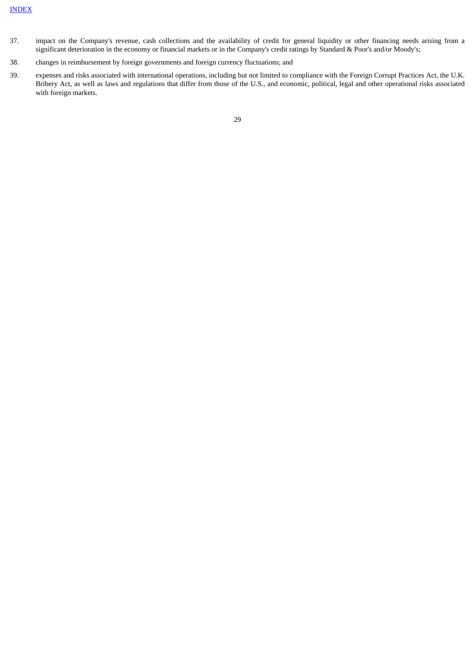- 37. impact on the Company's revenue, cash collections and the availability of credit for general liquidity or other financing needs arising from a significant deterioration in the economy or financial markets or in the Company's credit ratings by Standard & Poor's and/or Moody's;
- 38. changes in reimbursement by foreign governments and foreign currency fluctuations; and
- 39. expenses and risks associated with international operations, including but not limited to compliance with the Foreign Corrupt Practices Act, the U.K. Bribery Act, as well as laws and regulations that differ from those of the U.S., and economic, political, legal and other operational risks associated with foreign markets.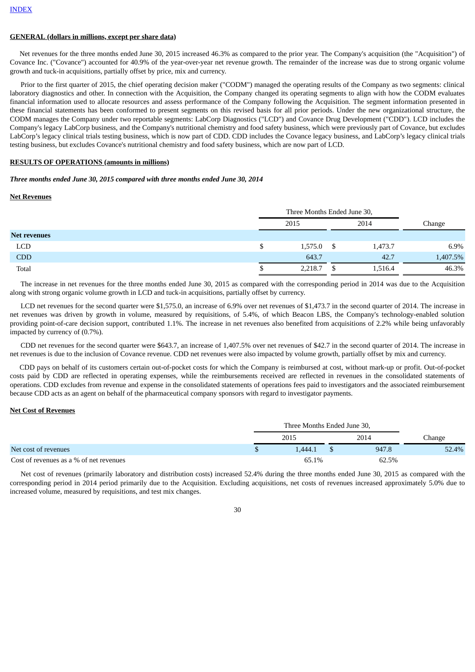#### **GENERAL (dollars in millions, except per share data)**

Net revenues for the three months ended June 30, 2015 increased 46.3% as compared to the prior year. The Company's acquisition (the "Acquisition") of Covance Inc. ("Covance") accounted for 40.9% of the year-over-year net revenue growth. The remainder of the increase was due to strong organic volume growth and tuck-in acquisitions, partially offset by price, mix and currency.

Prior to the first quarter of 2015, the chief operating decision maker ("CODM") managed the operating results of the Company as two segments: clinical laboratory diagnostics and other. In connection with the Acquisition, the Company changed its operating segments to align with how the CODM evaluates financial information used to allocate resources and assess performance of the Company following the Acquisition. The segment information presented in these financial statements has been conformed to present segments on this revised basis for all prior periods. Under the new organizational structure, the CODM manages the Company under two reportable segments: LabCorp Diagnostics ("LCD") and Covance Drug Development ("CDD"). LCD includes the Company's legacy LabCorp business, and the Company's nutritional chemistry and food safety business, which were previously part of Covance, but excludes LabCorp's legacy clinical trials testing business, which is now part of CDD. CDD includes the Covance legacy business, and LabCorp's legacy clinical trials testing business, but excludes Covance's nutritional chemistry and food safety business, which are now part of LCD.

#### **RESULTS OF OPERATIONS (amounts in millions)**

#### *Three months ended June 30, 2015 compared with three months ended June 30, 2014*

#### **Net Revenues**

|                     |      | Three Months Ended June 30, |      |         |          |
|---------------------|------|-----------------------------|------|---------|----------|
|                     | 2015 |                             | 2014 |         | Change   |
| <b>Net revenues</b> |      |                             |      |         |          |
| <b>LCD</b>          | S    | 1,575.0                     |      | 1,473.7 | $6.9\%$  |
| <b>CDD</b>          |      | 643.7                       |      | 42.7    | 1,407.5% |
| Total               |      | 2,218.7                     |      | 1,516.4 | 46.3%    |

The increase in net revenues for the three months ended June 30, 2015 as compared with the corresponding period in 2014 was due to the Acquisition along with strong organic volume growth in LCD and tuck-in acquisitions, partially offset by currency.

LCD net revenues for the second quarter were \$1,575.0, an increase of 6.9% over net revenues of \$1,473.7 in the second quarter of 2014. The increase in net revenues was driven by growth in volume, measured by requisitions, of 5.4%, of which Beacon LBS, the Company's technology-enabled solution providing point-of-care decision support, contributed 1.1%. The increase in net revenues also benefited from acquisitions of 2.2% while being unfavorably impacted by currency of (0.7%).

CDD net revenues for the second quarter were \$643.7, an increase of 1,407.5% over net revenues of \$42.7 in the second quarter of 2014. The increase in net revenues is due to the inclusion of Covance revenue. CDD net revenues were also impacted by volume growth, partially offset by mix and currency.

CDD pays on behalf of its customers certain out-of-pocket costs for which the Company is reimbursed at cost, without mark-up or profit. Out-of-pocket costs paid by CDD are reflected in operating expenses, while the reimbursements received are reflected in revenues in the consolidated statements of operations. CDD excludes from revenue and expense in the consolidated statements of operations fees paid to investigators and the associated reimbursement because CDD acts as an agent on behalf of the pharmaceutical company sponsors with regard to investigator payments.

#### **Net Cost of Revenues**

|                                            |  | Three Months Ended June 30, |      |       |               |  |
|--------------------------------------------|--|-----------------------------|------|-------|---------------|--|
|                                            |  | 2015                        | 2014 |       | <b>Change</b> |  |
| Net cost of revenues                       |  | .444.1                      |      | 947.8 | 52.4%         |  |
| Cost of revenues as a $\%$ of net revenues |  | 65.1%                       |      | 62.5% |               |  |

Net cost of revenues (primarily laboratory and distribution costs) increased 52.4% during the three months ended June 30, 2015 as compared with the corresponding period in 2014 period primarily due to the Acquisition. Excluding acquisitions, net costs of revenues increased approximately 5.0% due to increased volume, measured by requisitions, and test mix changes.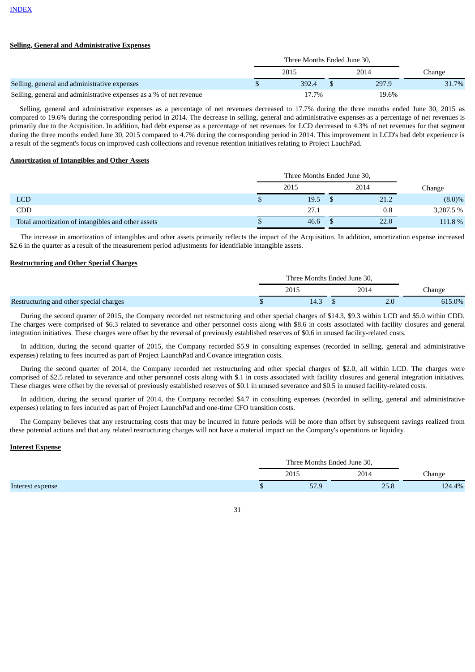#### **Selling, General and Administrative Expenses**

|                                                                    |  | 2015     | 2014 |       | Change |
|--------------------------------------------------------------------|--|----------|------|-------|--------|
| Selling, general and administrative expenses                       |  | 392.4    |      | 297.9 | 31.7%  |
| Selling, general and administrative expenses as a % of net revenue |  | $17.7\%$ |      | 19.6% |        |

Selling, general and administrative expenses as a percentage of net revenues decreased to 17.7% during the three months ended June 30, 2015 as compared to 19.6% during the corresponding period in 2014. The decrease in selling, general and administrative expenses as a percentage of net revenues is primarily due to the Acquisition. In addition, bad debt expense as a percentage of net revenues for LCD decreased to 4.3% of net revenues for that segment during the three months ended June 30, 2015 compared to 4.7% during the corresponding period in 2014. This improvement in LCD's bad debt experience is a result of the segment's focus on improved cash collections and revenue retention initiatives relating to Project LauchPad.

#### **Amortization of Intangibles and Other Assets**

|                                                    |  | 2015 | 2014 | Change    |
|----------------------------------------------------|--|------|------|-----------|
| <b>LCD</b>                                         |  | 19.5 | 21.2 | $(8.0)\%$ |
| <b>CDD</b>                                         |  | 27.1 | 0.8  | 3,287.5 % |
| Total amortization of intangibles and other assets |  | 46.6 | 22.0 | 111.8 %   |

The increase in amortization of intangibles and other assets primarily reflects the impact of the Acquisition. In addition, amortization expense increased \$2.6 in the quarter as a result of the measurement period adjustments for identifiable intangible assets.

#### **Restructuring and Other Special Charges**

|                                         | Three Months Ended June 30, |      |  |      |        |  |
|-----------------------------------------|-----------------------------|------|--|------|--------|--|
|                                         |                             | 2015 |  | 2014 | ∵hange |  |
| Restructuring and other special charges |                             | 14.3 |  |      | 615.0% |  |

During the second quarter of 2015, the Company recorded net restructuring and other special charges of \$14.3, \$9.3 within LCD and \$5.0 within CDD. The charges were comprised of \$6.3 related to severance and other personnel costs along with \$8.6 in costs associated with facility closures and general integration initiatives. These charges were offset by the reversal of previously established reserves of \$0.6 in unused facility-related costs.

In addition, during the second quarter of 2015, the Company recorded \$5.9 in consulting expenses (recorded in selling, general and administrative expenses) relating to fees incurred as part of Project LaunchPad and Covance integration costs.

During the second quarter of 2014, the Company recorded net restructuring and other special charges of \$2.0, all within LCD. The charges were comprised of \$2.5 related to severance and other personnel costs along with \$.1 in costs associated with facility closures and general integration initiatives. These charges were offset by the reversal of previously established reserves of \$0.1 in unused severance and \$0.5 in unused facility-related costs.

In addition, during the second quarter of 2014, the Company recorded \$4.7 in consulting expenses (recorded in selling, general and administrative expenses) relating to fees incurred as part of Project LaunchPad and one-time CFO transition costs.

The Company believes that any restructuring costs that may be incurred in future periods will be more than offset by subsequent savings realized from these potential actions and that any related restructuring charges will not have a material impact on the Company's operations or liquidity.

#### **Interest Expense**

|  | Three Months Ended June 30, |                                            |        |
|--|-----------------------------|--------------------------------------------|--------|
|  | 2015                        | 2014<br>$\sim$ $\sim$ $\sim$ $\sim$ $\sim$ | Change |
|  | 도그 이<br>. טר                | 20.0                                       | 124.4% |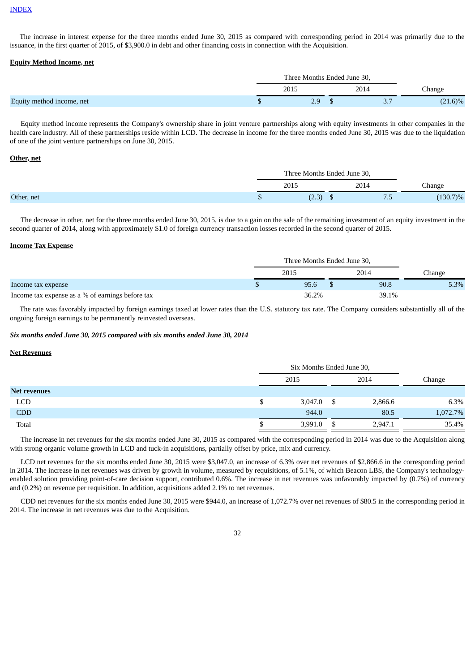#### [INDEX](#page-0-0)

The increase in interest expense for the three months ended June 30, 2015 as compared with corresponding period in 2014 was primarily due to the issuance, in the first quarter of 2015, of \$3,900.0 in debt and other financing costs in connection with the Acquisition.

#### **Equity Method Income, net**

|                           | Three Months Ended June 30, |   |      |               |
|---------------------------|-----------------------------|---|------|---------------|
|                           | 2015                        |   | 2014 | <b>Change</b> |
| Equity method income, net | ر . ے                       | w | .پ   | $(21.6)\%$    |

Equity method income represents the Company's ownership share in joint venture partnerships along with equity investments in other companies in the health care industry. All of these partnerships reside within LCD. The decrease in income for the three months ended June 30, 2015 was due to the liquidation of one of the joint venture partnerships on June 30, 2015.

#### **Other, net**

|  | Three Months Ended June 30, |   |      |               |
|--|-----------------------------|---|------|---------------|
|  | 2015                        |   | 2014 | <b>Change</b> |
|  | ור רז<br>ا ت                | Ψ | ה /  | $(130.7)\%$   |

The decrease in other, net for the three months ended June 30, 2015, is due to a gain on the sale of the remaining investment of an equity investment in the second quarter of 2014, along with approximately \$1.0 of foreign currency transaction losses recorded in the second quarter of 2015.

#### **Income Tax Expense**

|                                                  | Three Months Ended June 30, |       |  |       |               |
|--------------------------------------------------|-----------------------------|-------|--|-------|---------------|
|                                                  |                             | 2015  |  | 2014  | <b>Change</b> |
| Income tax expense                               |                             | 95.6  |  | 90.8  | 5.3%          |
| Income tax expense as a % of earnings before tax |                             | 36.2% |  | 39.1% |               |

The rate was favorably impacted by foreign earnings taxed at lower rates than the U.S. statutory tax rate. The Company considers substantially all of the ongoing foreign earnings to be permanently reinvested overseas.

#### *Six months ended June 30, 2015 compared with six months ended June 30, 2014*

#### **Net Revenues**

|                     |   | Six Months Ended June 30, |   |         |          |
|---------------------|---|---------------------------|---|---------|----------|
|                     |   | 2015                      |   | 2014    | Change   |
| <b>Net revenues</b> |   |                           |   |         |          |
| <b>LCD</b>          | S | 3,047.0                   | S | 2,866.6 | 6.3%     |
| <b>CDD</b>          |   | 944.0                     |   | 80.5    | 1,072.7% |
| Total               |   | 3,991.0                   |   | 2,947.1 | 35.4%    |

The increase in net revenues for the six months ended June 30, 2015 as compared with the corresponding period in 2014 was due to the Acquisition along with strong organic volume growth in LCD and tuck-in acquisitions, partially offset by price, mix and currency.

LCD net revenues for the six months ended June 30, 2015 were \$3,047.0, an increase of 6.3% over net revenues of \$2,866.6 in the corresponding period in 2014. The increase in net revenues was driven by growth in volume, measured by requisitions, of 5.1%, of which Beacon LBS, the Company's technologyenabled solution providing point-of-care decision support, contributed 0.6%. The increase in net revenues was unfavorably impacted by (0.7%) of currency and (0.2%) on revenue per requisition. In addition, acquisitions added 2.1% to net revenues.

CDD net revenues for the six months ended June 30, 2015 were \$944.0, an increase of 1,072.7% over net revenues of \$80.5 in the corresponding period in 2014. The increase in net revenues was due to the Acquisition.

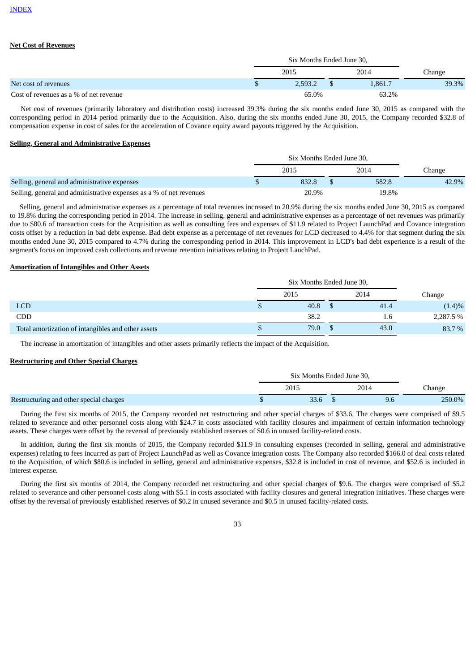## **Net Cost of Revenues**

|                                        |    | Six Months Ended June 30. |  |         |               |  |  |
|----------------------------------------|----|---------------------------|--|---------|---------------|--|--|
| Net cost of revenues                   |    | 2015                      |  | 2014    | <b>Change</b> |  |  |
|                                        | ۰υ | 2.593.2                   |  | 1.861.7 | 39.3%         |  |  |
| Cost of revenues as a % of net revenue |    | 65.0%                     |  |         |               |  |  |

Net cost of revenues (primarily laboratory and distribution costs) increased 39.3% during the six months ended June 30, 2015 as compared with the corresponding period in 2014 period primarily due to the Acquisition. Also, during the six months ended June 30, 2015, the Company recorded \$32.8 of compensation expense in cost of sales for the acceleration of Covance equity award payouts triggered by the Acquisition.

## **Selling, General and Administrative Expenses**

|                                                                     |  | Six Months Ended June 30, |  |       |        |  |
|---------------------------------------------------------------------|--|---------------------------|--|-------|--------|--|
|                                                                     |  | 2015                      |  | 2014  | Change |  |
| Selling, general and administrative expenses                        |  | 832.8                     |  | 582.8 | 42.9%  |  |
| Selling, general and administrative expenses as a % of net revenues |  | 20.9%                     |  | 19.8% |        |  |

Selling, general and administrative expenses as a percentage of total revenues increased to 20.9% during the six months ended June 30, 2015 as compared to 19.8% during the corresponding period in 2014. The increase in selling, general and administrative expenses as a percentage of net revenues was primarily due to \$80.6 of transaction costs for the Acquisition as well as consulting fees and expenses of \$11.9 related to Project LaunchPad and Covance integration costs offset by a reduction in bad debt expense. Bad debt expense as a percentage of net revenues for LCD decreased to 4.4% for that segment during the six months ended June 30, 2015 compared to 4.7% during the corresponding period in 2014. This improvement in LCD's bad debt experience is a result of the segment's focus on improved cash collections and revenue retention initiatives relating to Project LauchPad.

#### **Amortization of Intangibles and Other Assets**

|                                                    | Six Months Ended June 30, |  |      |           |  |  |
|----------------------------------------------------|---------------------------|--|------|-----------|--|--|
|                                                    | 2015                      |  | 2014 | Change    |  |  |
| <b>LCD</b>                                         | 40.8                      |  | 41.4 | (1.4)%    |  |  |
| CDD                                                | 38.2                      |  | 1.6  | 2,287.5 % |  |  |
| Total amortization of intangibles and other assets | 79.0                      |  | 43.0 | 83.7 %    |  |  |

The increase in amortization of intangibles and other assets primarily reflects the impact of the Acquisition.

#### **Restructuring and Other Special Charges**

|                                         | Six Months Ended June 30, |  |      |               |  |
|-----------------------------------------|---------------------------|--|------|---------------|--|
|                                         | 2015                      |  | 2014 | <b>Change</b> |  |
| Restructuring and other special charges |                           |  |      | 250.0%        |  |

During the first six months of 2015, the Company recorded net restructuring and other special charges of \$33.6. The charges were comprised of \$9.5 related to severance and other personnel costs along with \$24.7 in costs associated with facility closures and impairment of certain information technology assets. These charges were offset by the reversal of previously established reserves of \$0.6 in unused facility-related costs.

In addition, during the first six months of 2015, the Company recorded \$11.9 in consulting expenses (recorded in selling, general and administrative expenses) relating to fees incurred as part of Project LaunchPad as well as Covance integration costs. The Company also recorded \$166.0 of deal costs related to the Acquisition, of which \$80.6 is included in selling, general and administrative expenses, \$32.8 is included in cost of revenue, and \$52.6 is included in interest expense.

During the first six months of 2014, the Company recorded net restructuring and other special charges of \$9.6. The charges were comprised of \$5.2 related to severance and other personnel costs along with \$5.1 in costs associated with facility closures and general integration initiatives. These charges were offset by the reversal of previously established reserves of \$0.2 in unused severance and \$0.5 in unused facility-related costs.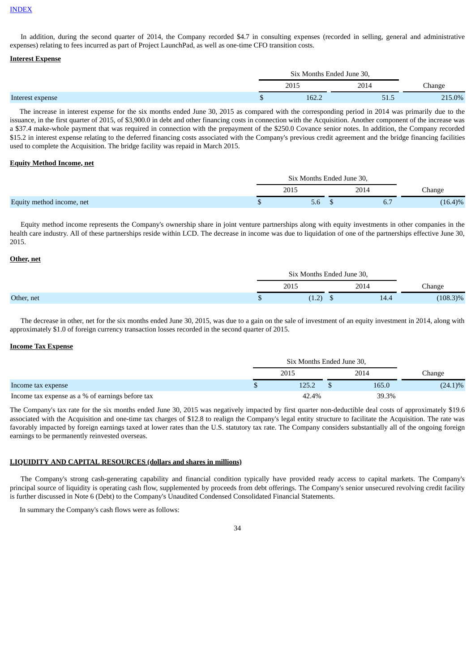#### **[INDEX](#page-0-0)**

In addition, during the second quarter of 2014, the Company recorded \$4.7 in consulting expenses (recorded in selling, general and administrative expenses) relating to fees incurred as part of Project LaunchPad, as well as one-time CFO transition costs.

#### **Interest Expense**

|                  | Six Months Ended June 30, |      |               |  |
|------------------|---------------------------|------|---------------|--|
|                  | 2015                      | 2014 | <b>Change</b> |  |
| Interest expense | 162.2                     | 51.5 | 215.0%        |  |

The increase in interest expense for the six months ended June 30, 2015 as compared with the corresponding period in 2014 was primarily due to the issuance, in the first quarter of 2015, of \$3,900.0 in debt and other financing costs in connection with the Acquisition. Another component of the increase was a \$37.4 make-whole payment that was required in connection with the prepayment of the \$250.0 Covance senior notes. In addition, the Company recorded \$15.2 in interest expense relating to the deferred financing costs associated with the Company's previous credit agreement and the bridge financing facilities used to complete the Acquisition. The bridge facility was repaid in March 2015.

#### **Equity Method Income, net**

|                           | Six Months Ended June 30, |      |            |  |
|---------------------------|---------------------------|------|------------|--|
|                           | 2015                      | 2014 | hange.     |  |
| Equity method income, net | 5.6                       | b.,  | $(16.4)\%$ |  |

Equity method income represents the Company's ownership share in joint venture partnerships along with equity investments in other companies in the health care industry. All of these partnerships reside within LCD. The decrease in income was due to liquidation of one of the partnerships effective June 30, 2015.

#### **Other, net**

|            |             | Six Months Ended June 30, |      |             |  |
|------------|-------------|---------------------------|------|-------------|--|
|            | 2015        | 2014                      |      | Change      |  |
| Other, net | $\sim$<br>. | <u>ω</u>                  | 14.4 | $(108.3)\%$ |  |

The decrease in other, net for the six months ended June 30, 2015, was due to a gain on the sale of investment of an equity investment in 2014, along with approximately \$1.0 of foreign currency transaction losses recorded in the second quarter of 2015.

#### **Income Tax Expense**

|                                                  |  | Six Months Ended June 30, |  |       |         |  |  |  |
|--------------------------------------------------|--|---------------------------|--|-------|---------|--|--|--|
|                                                  |  | 2015                      |  | 2014  | Change  |  |  |  |
| Income tax expense                               |  | 125.2                     |  | 165.0 | (24.1)% |  |  |  |
| Income tax expense as a % of earnings before tax |  | 42.4%                     |  | 39.3% |         |  |  |  |

The Company's tax rate for the six months ended June 30, 2015 was negatively impacted by first quarter non-deductible deal costs of approximately \$19.6 associated with the Acquisition and one-time tax charges of \$12.8 to realign the Company's legal entity structure to facilitate the Acquisition. The rate was favorably impacted by foreign earnings taxed at lower rates than the U.S. statutory tax rate. The Company considers substantially all of the ongoing foreign earnings to be permanently reinvested overseas.

## **LIQUIDITY AND CAPITAL RESOURCES (dollars and shares in millions)**

The Company's strong cash-generating capability and financial condition typically have provided ready access to capital markets. The Company's principal source of liquidity is operating cash flow, supplemented by proceeds from debt offerings. The Company's senior unsecured revolving credit facility is further discussed in Note 6 (Debt) to the Company's Unaudited Condensed Consolidated Financial Statements.

In summary the Company's cash flows were as follows:

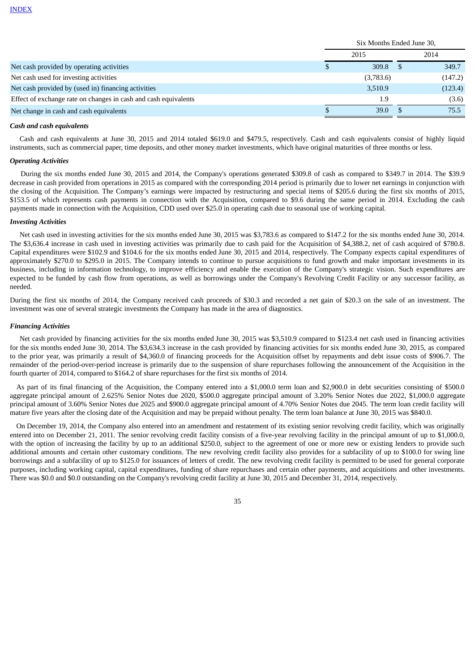|                                                                 | Six Months Ended June 30, |           |      |         |  |  |
|-----------------------------------------------------------------|---------------------------|-----------|------|---------|--|--|
|                                                                 |                           | 2015      | 2014 |         |  |  |
| Net cash provided by operating activities                       |                           | 309.8     |      | 349.7   |  |  |
| Net cash used for investing activities                          |                           | (3,783.6) |      | (147.2) |  |  |
| Net cash provided by (used in) financing activities             |                           | 3,510.9   |      | (123.4) |  |  |
| Effect of exchange rate on changes in cash and cash equivalents |                           | 1.9       |      | (3.6)   |  |  |
| Net change in cash and cash equivalents                         |                           | 39.0      |      | 75.5    |  |  |

#### *Cash and cash equivalents*

Cash and cash equivalents at June 30, 2015 and 2014 totaled \$619.0 and \$479.5, respectively. Cash and cash equivalents consist of highly liquid instruments, such as commercial paper, time deposits, and other money market investments, which have original maturities of three months or less.

#### *Operating Activities*

During the six months ended June 30, 2015 and 2014, the Company's operations generated \$309.8 of cash as compared to \$349.7 in 2014. The \$39.9 decrease in cash provided from operations in 2015 as compared with the corresponding 2014 period is primarily due to lower net earnings in conjunction with the closing of the Acquisition. The Company's earnings were impacted by restructuring and special items of \$205.6 during the first six months of 2015, \$153.5 of which represents cash payments in connection with the Acquisition, compared to \$9.6 during the same period in 2014. Excluding the cash payments made in connection with the Acquisition, CDD used over \$25.0 in operating cash due to seasonal use of working capital.

#### *Investing Activities*

Net cash used in investing activities for the six months ended June 30, 2015 was \$3,783.6 as compared to \$147.2 for the six months ended June 30, 2014. The \$3,636.4 increase in cash used in investing activities was primarily due to cash paid for the Acquisition of \$4,388.2, net of cash acquired of \$780.8. Capital expenditures were \$102.9 and \$104.6 for the six months ended June 30, 2015 and 2014, respectively. The Company expects capital expenditures of approximately \$270.0 to \$295.0 in 2015. The Company intends to continue to pursue acquisitions to fund growth and make important investments in its business, including in information technology, to improve efficiency and enable the execution of the Company's strategic vision. Such expenditures are expected to be funded by cash flow from operations, as well as borrowings under the Company's Revolving Credit Facility or any successor facility, as needed.

During the first six months of 2014, the Company received cash proceeds of \$30.3 and recorded a net gain of \$20.3 on the sale of an investment. The investment was one of several strategic investments the Company has made in the area of diagnostics.

#### *Financing Activities*

Net cash provided by financing activities for the six months ended June 30, 2015 was \$3,510.9 compared to \$123.4 net cash used in financing activities for the six months ended June 30, 2014. The \$3,634.3 increase in the cash provided by financing activities for six months ended June 30, 2015, as compared to the prior year, was primarily a result of \$4,360.0 of financing proceeds for the Acquisition offset by repayments and debt issue costs of \$906.7. The remainder of the period-over-period increase is primarily due to the suspension of share repurchases following the announcement of the Acquisition in the fourth quarter of 2014, compared to \$164.2 of share repurchases for the first six months of 2014.

As part of its final financing of the Acquisition, the Company entered into a \$1,000.0 term loan and \$2,900.0 in debt securities consisting of \$500.0 aggregate principal amount of 2.625% Senior Notes due 2020, \$500.0 aggregate principal amount of 3.20% Senior Notes due 2022, \$1,000.0 aggregate principal amount of 3.60% Senior Notes due 2025 and \$900.0 aggregate principal amount of 4.70% Senior Notes due 2045. The term loan credit facility will mature five years after the closing date of the Acquisition and may be prepaid without penalty. The term loan balance at June 30, 2015 was \$840.0.

On December 19, 2014, the Company also entered into an amendment and restatement of its existing senior revolving credit facility, which was originally entered into on December 21, 2011. The senior revolving credit facility consists of a five-year revolving facility in the principal amount of up to \$1,000.0, with the option of increasing the facility by up to an additional \$250.0, subject to the agreement of one or more new or existing lenders to provide such additional amounts and certain other customary conditions. The new revolving credit facility also provides for a subfacility of up to \$100.0 for swing line borrowings and a subfacility of up to \$125.0 for issuances of letters of credit. The new revolving credit facility is permitted to be used for general corporate purposes, including working capital, capital expenditures, funding of share repurchases and certain other payments, and acquisitions and other investments. There was \$0.0 and \$0.0 outstanding on the Company's revolving credit facility at June 30, 2015 and December 31, 2014, respectively.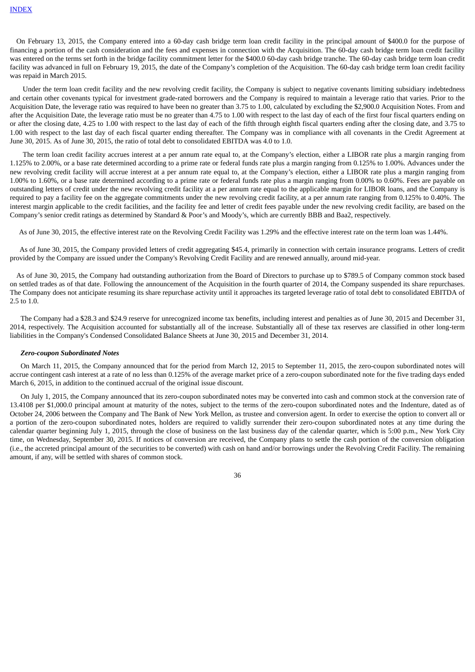On February 13, 2015, the Company entered into a 60-day cash bridge term loan credit facility in the principal amount of \$400.0 for the purpose of financing a portion of the cash consideration and the fees and expenses in connection with the Acquisition. The 60-day cash bridge term loan credit facility was entered on the terms set forth in the bridge facility commitment letter for the \$400.0 60-day cash bridge tranche. The 60-day cash bridge term loan credit facility was advanced in full on February 19, 2015, the date of the Company's completion of the Acquisition. The 60-day cash bridge term loan credit facility was repaid in March 2015.

Under the term loan credit facility and the new revolving credit facility, the Company is subject to negative covenants limiting subsidiary indebtedness and certain other covenants typical for investment grade-rated borrowers and the Company is required to maintain a leverage ratio that varies. Prior to the Acquisition Date, the leverage ratio was required to have been no greater than 3.75 to 1.00, calculated by excluding the \$2,900.0 Acquisition Notes. From and after the Acquisition Date, the leverage ratio must be no greater than 4.75 to 1.00 with respect to the last day of each of the first four fiscal quarters ending on or after the closing date, 4.25 to 1.00 with respect to the last day of each of the fifth through eighth fiscal quarters ending after the closing date, and 3.75 to 1.00 with respect to the last day of each fiscal quarter ending thereafter. The Company was in compliance with all covenants in the Credit Agreement at June 30, 2015. As of June 30, 2015, the ratio of total debt to consolidated EBITDA was 4.0 to 1.0.

The term loan credit facility accrues interest at a per annum rate equal to, at the Company's election, either a LIBOR rate plus a margin ranging from 1.125% to 2.00%, or a base rate determined according to a prime rate or federal funds rate plus a margin ranging from 0.125% to 1.00%. Advances under the new revolving credit facility will accrue interest at a per annum rate equal to, at the Company's election, either a LIBOR rate plus a margin ranging from 1.00% to 1.60%, or a base rate determined according to a prime rate or federal funds rate plus a margin ranging from 0.00% to 0.60%. Fees are payable on outstanding letters of credit under the new revolving credit facility at a per annum rate equal to the applicable margin for LIBOR loans, and the Company is required to pay a facility fee on the aggregate commitments under the new revolving credit facility, at a per annum rate ranging from 0.125% to 0.40%. The interest margin applicable to the credit facilities, and the facility fee and letter of credit fees payable under the new revolving credit facility, are based on the Company's senior credit ratings as determined by Standard & Poor's and Moody's, which are currently BBB and Baa2, respectively.

As of June 30, 2015, the effective interest rate on the Revolving Credit Facility was 1.29% and the effective interest rate on the term loan was 1.44%.

As of June 30, 2015, the Company provided letters of credit aggregating \$45.4, primarily in connection with certain insurance programs. Letters of credit provided by the Company are issued under the Company's Revolving Credit Facility and are renewed annually, around mid-year.

As of June 30, 2015, the Company had outstanding authorization from the Board of Directors to purchase up to \$789.5 of Company common stock based on settled trades as of that date. Following the announcement of the Acquisition in the fourth quarter of 2014, the Company suspended its share repurchases. The Company does not anticipate resuming its share repurchase activity until it approaches its targeted leverage ratio of total debt to consolidated EBITDA of 2.5 to 1.0.

The Company had a \$28.3 and \$24.9 reserve for unrecognized income tax benefits, including interest and penalties as of June 30, 2015 and December 31, 2014, respectively. The Acquisition accounted for substantially all of the increase. Substantially all of these tax reserves are classified in other long-term liabilities in the Company's Condensed Consolidated Balance Sheets at June 30, 2015 and December 31, 2014.

#### *Zero-coupon Subordinated Notes*

On March 11, 2015, the Company announced that for the period from March 12, 2015 to September 11, 2015, the zero-coupon subordinated notes will accrue contingent cash interest at a rate of no less than 0.125% of the average market price of a zero-coupon subordinated note for the five trading days ended March 6, 2015, in addition to the continued accrual of the original issue discount.

On July 1, 2015, the Company announced that its zero-coupon subordinated notes may be converted into cash and common stock at the conversion rate of 13.4108 per \$1,000.0 principal amount at maturity of the notes, subject to the terms of the zero-coupon subordinated notes and the Indenture, dated as of October 24, 2006 between the Company and The Bank of New York Mellon, as trustee and conversion agent. In order to exercise the option to convert all or a portion of the zero-coupon subordinated notes, holders are required to validly surrender their zero-coupon subordinated notes at any time during the calendar quarter beginning July 1, 2015, through the close of business on the last business day of the calendar quarter, which is 5:00 p.m., New York City time, on Wednesday, September 30, 2015. If notices of conversion are received, the Company plans to settle the cash portion of the conversion obligation (i.e., the accreted principal amount of the securities to be converted) with cash on hand and/or borrowings under the Revolving Credit Facility. The remaining amount, if any, will be settled with shares of common stock.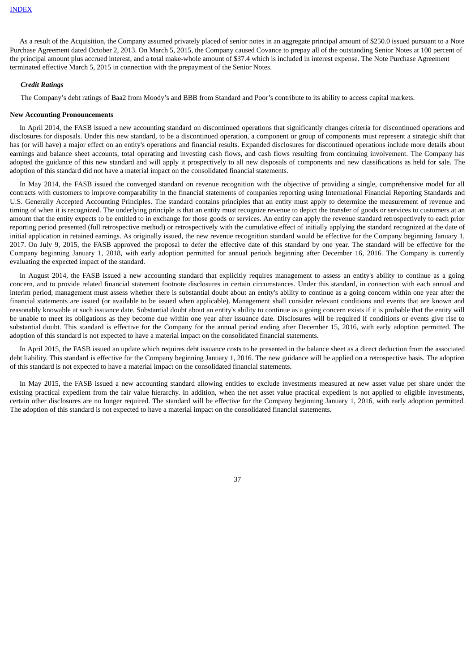As a result of the Acquisition, the Company assumed privately placed of senior notes in an aggregate principal amount of \$250.0 issued pursuant to a Note Purchase Agreement dated October 2, 2013. On March 5, 2015, the Company caused Covance to prepay all of the outstanding Senior Notes at 100 percent of the principal amount plus accrued interest, and a total make-whole amount of \$37.4 which is included in interest expense. The Note Purchase Agreement terminated effective March 5, 2015 in connection with the prepayment of the Senior Notes.

#### *Credit Ratings*

The Company's debt ratings of Baa2 from Moody's and BBB from Standard and Poor's contribute to its ability to access capital markets.

#### **New Accounting Pronouncements**

In April 2014, the FASB issued a new accounting standard on discontinued operations that significantly changes criteria for discontinued operations and disclosures for disposals. Under this new standard, to be a discontinued operation, a component or group of components must represent a strategic shift that has (or will have) a major effect on an entity's operations and financial results. Expanded disclosures for discontinued operations include more details about earnings and balance sheet accounts, total operating and investing cash flows, and cash flows resulting from continuing involvement. The Company has adopted the guidance of this new standard and will apply it prospectively to all new disposals of components and new classifications as held for sale. The adoption of this standard did not have a material impact on the consolidated financial statements.

In May 2014, the FASB issued the converged standard on revenue recognition with the objective of providing a single, comprehensive model for all contracts with customers to improve comparability in the financial statements of companies reporting using International Financial Reporting Standards and U.S. Generally Accepted Accounting Principles. The standard contains principles that an entity must apply to determine the measurement of revenue and timing of when it is recognized. The underlying principle is that an entity must recognize revenue to depict the transfer of goods or services to customers at an amount that the entity expects to be entitled to in exchange for those goods or services. An entity can apply the revenue standard retrospectively to each prior reporting period presented (full retrospective method) or retrospectively with the cumulative effect of initially applying the standard recognized at the date of initial application in retained earnings. As originally issued, the new revenue recognition standard would be effective for the Company beginning January 1, 2017. On July 9, 2015, the FASB approved the proposal to defer the effective date of this standard by one year. The standard will be effective for the Company beginning January 1, 2018, with early adoption permitted for annual periods beginning after December 16, 2016. The Company is currently evaluating the expected impact of the standard.

In August 2014, the FASB issued a new accounting standard that explicitly requires management to assess an entity's ability to continue as a going concern, and to provide related financial statement footnote disclosures in certain circumstances. Under this standard, in connection with each annual and interim period, management must assess whether there is substantial doubt about an entity's ability to continue as a going concern within one year after the financial statements are issued (or available to be issued when applicable). Management shall consider relevant conditions and events that are known and reasonably knowable at such issuance date. Substantial doubt about an entity's ability to continue as a going concern exists if it is probable that the entity will be unable to meet its obligations as they become due within one year after issuance date. Disclosures will be required if conditions or events give rise to substantial doubt. This standard is effective for the Company for the annual period ending after December 15, 2016, with early adoption permitted. The adoption of this standard is not expected to have a material impact on the consolidated financial statements.

In April 2015, the FASB issued an update which requires debt issuance costs to be presented in the balance sheet as a direct deduction from the associated debt liability. This standard is effective for the Company beginning January 1, 2016. The new guidance will be applied on a retrospective basis. The adoption of this standard is not expected to have a material impact on the consolidated financial statements.

<span id="page-37-0"></span>In May 2015, the FASB issued a new accounting standard allowing entities to exclude investments measured at new asset value per share under the existing practical expedient from the fair value hierarchy. In addition, when the net asset value practical expedient is not applied to eligible investments, certain other disclosures are no longer required. The standard will be effective for the Company beginning January 1, 2016, with early adoption permitted. The adoption of this standard is not expected to have a material impact on the consolidated financial statements.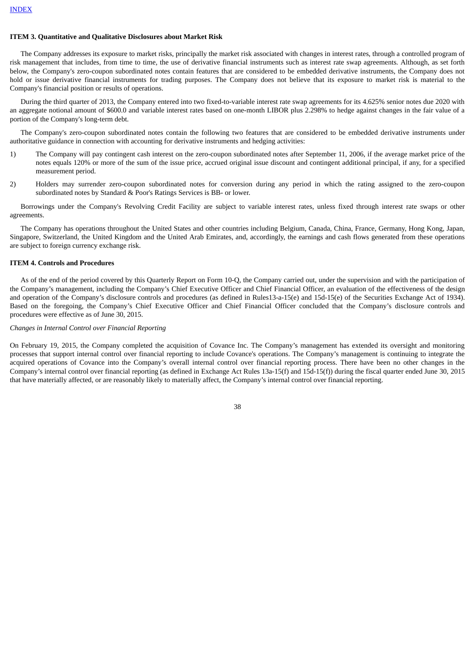#### **ITEM 3. Quantitative and Qualitative Disclosures about Market Risk**

The Company addresses its exposure to market risks, principally the market risk associated with changes in interest rates, through a controlled program of risk management that includes, from time to time, the use of derivative financial instruments such as interest rate swap agreements. Although, as set forth below, the Company's zero-coupon subordinated notes contain features that are considered to be embedded derivative instruments, the Company does not hold or issue derivative financial instruments for trading purposes. The Company does not believe that its exposure to market risk is material to the Company's financial position or results of operations.

During the third quarter of 2013, the Company entered into two fixed-to-variable interest rate swap agreements for its 4.625% senior notes due 2020 with an aggregate notional amount of \$600.0 and variable interest rates based on one-month LIBOR plus 2.298% to hedge against changes in the fair value of a portion of the Company's long-term debt.

The Company's zero-coupon subordinated notes contain the following two features that are considered to be embedded derivative instruments under authoritative guidance in connection with accounting for derivative instruments and hedging activities:

- 1) The Company will pay contingent cash interest on the zero-coupon subordinated notes after September 11, 2006, if the average market price of the notes equals 120% or more of the sum of the issue price, accrued original issue discount and contingent additional principal, if any, for a specified measurement period.
- 2) Holders may surrender zero-coupon subordinated notes for conversion during any period in which the rating assigned to the zero-coupon subordinated notes by Standard & Poor's Ratings Services is BB- or lower.

Borrowings under the Company's Revolving Credit Facility are subject to variable interest rates, unless fixed through interest rate swaps or other agreements.

The Company has operations throughout the United States and other countries including Belgium, Canada, China, France, Germany, Hong Kong, Japan, Singapore, Switzerland, the United Kingdom and the United Arab Emirates, and, accordingly, the earnings and cash flows generated from these operations are subject to foreign currency exchange risk.

#### <span id="page-38-0"></span>**ITEM 4. Controls and Procedures**

As of the end of the period covered by this Quarterly Report on Form 10-Q, the Company carried out, under the supervision and with the participation of the Company's management, including the Company's Chief Executive Officer and Chief Financial Officer, an evaluation of the effectiveness of the design and operation of the Company's disclosure controls and procedures (as defined in Rules13-a-15(e) and 15d-15(e) of the Securities Exchange Act of 1934). Based on the foregoing, the Company's Chief Executive Officer and Chief Financial Officer concluded that the Company's disclosure controls and procedures were effective as of June 30, 2015.

## *Changes in Internal Control over Financial Reporting*

On February 19, 2015, the Company completed the acquisition of Covance Inc. The Company's management has extended its oversight and monitoring processes that support internal control over financial reporting to include Covance's operations. The Company's management is continuing to integrate the acquired operations of Covance into the Company's overall internal control over financial reporting process. There have been no other changes in the Company's internal control over financial reporting (as defined in Exchange Act Rules 13a-15(f) and 15d-15(f)) during the fiscal quarter ended June 30, 2015 that have materially affected, or are reasonably likely to materially affect, the Company's internal control over financial reporting.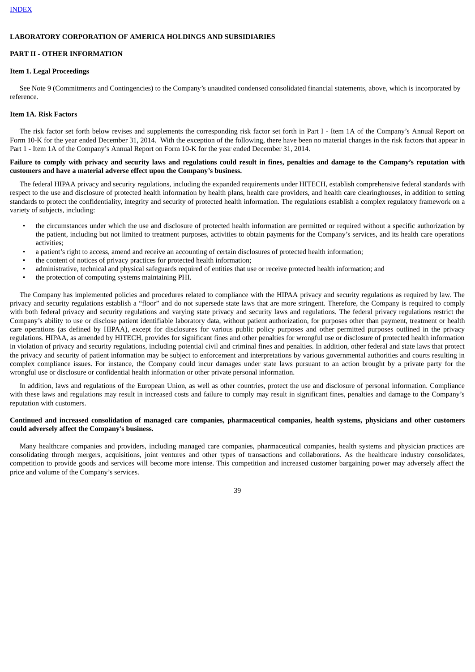#### **LABORATORY CORPORATION OF AMERICA HOLDINGS AND SUBSIDIARIES**

## <span id="page-39-0"></span>**PART II - OTHER INFORMATION**

#### **Item 1. Legal Proceedings**

See Note 9 (Commitments and Contingencies) to the Company's unaudited condensed consolidated financial statements, above, which is incorporated by reference.

#### <span id="page-39-1"></span>**Item 1A. Risk Factors**

The risk factor set forth below revises and supplements the corresponding risk factor set forth in Part I - Item 1A of the Company's Annual Report on Form 10-K for the year ended December 31, 2014. With the exception of the following, there have been no material changes in the risk factors that appear in Part 1 - Item 1A of the Company's Annual Report on Form 10-K for the year ended December 31, 2014.

## Failure to comply with privacy and security laws and regulations could result in fines, penalties and damage to the Company's reputation with **customers and have a material adverse effect upon the Company's business.**

The federal HIPAA privacy and security regulations, including the expanded requirements under HITECH, establish comprehensive federal standards with respect to the use and disclosure of protected health information by health plans, health care providers, and health care clearinghouses, in addition to setting standards to protect the confidentiality, integrity and security of protected health information. The regulations establish a complex regulatory framework on a variety of subjects, including:

- the circumstances under which the use and disclosure of protected health information are permitted or required without a specific authorization by the patient, including but not limited to treatment purposes, activities to obtain payments for the Company's services, and its health care operations activities;
- a patient's right to access, amend and receive an accounting of certain disclosures of protected health information;
- the content of notices of privacy practices for protected health information;
- administrative, technical and physical safeguards required of entities that use or receive protected health information; and
- the protection of computing systems maintaining PHI.

The Company has implemented policies and procedures related to compliance with the HIPAA privacy and security regulations as required by law. The privacy and security regulations establish a "floor" and do not supersede state laws that are more stringent. Therefore, the Company is required to comply with both federal privacy and security regulations and varying state privacy and security laws and regulations. The federal privacy regulations restrict the Company's ability to use or disclose patient identifiable laboratory data, without patient authorization, for purposes other than payment, treatment or health care operations (as defined by HIPAA), except for disclosures for various public policy purposes and other permitted purposes outlined in the privacy regulations. HIPAA, as amended by HITECH, provides for significant fines and other penalties for wrongful use or disclosure of protected health information in violation of privacy and security regulations, including potential civil and criminal fines and penalties. In addition, other federal and state laws that protect the privacy and security of patient information may be subject to enforcement and interpretations by various governmental authorities and courts resulting in complex compliance issues. For instance, the Company could incur damages under state laws pursuant to an action brought by a private party for the wrongful use or disclosure or confidential health information or other private personal information.

In addition, laws and regulations of the European Union, as well as other countries, protect the use and disclosure of personal information. Compliance with these laws and regulations may result in increased costs and failure to comply may result in significant fines, penalties and damage to the Company's reputation with customers.

## Continued and increased consolidation of managed care companies, pharmaceutical companies, health systems, physicians and other customers **could adversely affect the Company's business.**

Many healthcare companies and providers, including managed care companies, pharmaceutical companies, health systems and physician practices are consolidating through mergers, acquisitions, joint ventures and other types of transactions and collaborations. As the healthcare industry consolidates, competition to provide goods and services will become more intense. This competition and increased customer bargaining power may adversely affect the price and volume of the Company's services.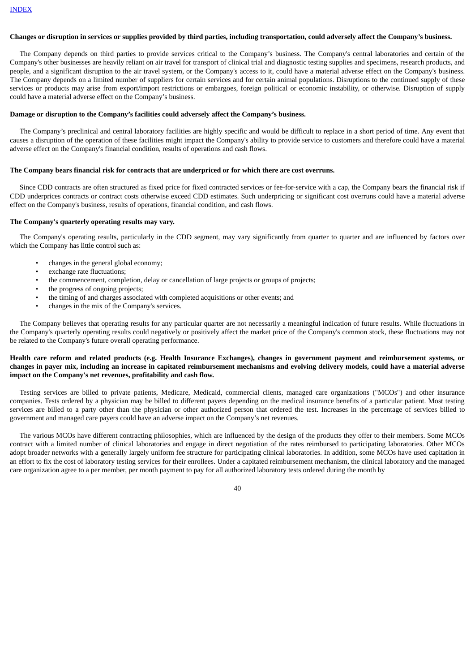#### Changes or disruption in services or supplies provided by third parties, including transportation, could adversely affect the Company's business.

The Company depends on third parties to provide services critical to the Company's business. The Company's central laboratories and certain of the Company's other businesses are heavily reliant on air travel for transport of clinical trial and diagnostic testing supplies and specimens, research products, and people, and a significant disruption to the air travel system, or the Company's access to it, could have a material adverse effect on the Company's business. The Company depends on a limited number of suppliers for certain services and for certain animal populations. Disruptions to the continued supply of these services or products may arise from export/import restrictions or embargoes, foreign political or economic instability, or otherwise. Disruption of supply could have a material adverse effect on the Company's business.

#### **Damage or disruption to the Company's facilities could adversely affect the Company's business.**

The Company's preclinical and central laboratory facilities are highly specific and would be difficult to replace in a short period of time. Any event that causes a disruption of the operation of these facilities might impact the Company's ability to provide service to customers and therefore could have a material adverse effect on the Company's financial condition, results of operations and cash flows.

#### **The Company bears financial risk for contracts that are underpriced or for which there are cost overruns.**

Since CDD contracts are often structured as fixed price for fixed contracted services or fee-for-service with a cap, the Company bears the financial risk if CDD underprices contracts or contract costs otherwise exceed CDD estimates. Such underpricing or significant cost overruns could have a material adverse effect on the Company's business, results of operations, financial condition, and cash flows.

## **The Company's quarterly operating results may vary.**

The Company's operating results, particularly in the CDD segment, may vary significantly from quarter to quarter and are influenced by factors over which the Company has little control such as:

- changes in the general global economy;
- exchange rate fluctuations;
- the commencement, completion, delay or cancellation of large projects or groups of projects;
- the progress of ongoing projects;
- the timing of and charges associated with completed acquisitions or other events; and
- changes in the mix of the Company's services.

The Company believes that operating results for any particular quarter are not necessarily a meaningful indication of future results. While fluctuations in the Company's quarterly operating results could negatively or positively affect the market price of the Company's common stock, these fluctuations may not be related to the Company's future overall operating performance.

#### Health care reform and related products (e.g. Health Insurance Exchanges), changes in government payment and reimbursement systems, or changes in payer mix, including an increase in capitated reimbursement mechanisms and evolving delivery models, could have a material adverse **impact on the Company's net revenues, profitability and cash flow.**

Testing services are billed to private patients, Medicare, Medicaid, commercial clients, managed care organizations ("MCOs") and other insurance companies. Tests ordered by a physician may be billed to different payers depending on the medical insurance benefits of a particular patient. Most testing services are billed to a party other than the physician or other authorized person that ordered the test. Increases in the percentage of services billed to government and managed care payers could have an adverse impact on the Company's net revenues.

The various MCOs have different contracting philosophies, which are influenced by the design of the products they offer to their members. Some MCOs contract with a limited number of clinical laboratories and engage in direct negotiation of the rates reimbursed to participating laboratories. Other MCOs adopt broader networks with a generally largely uniform fee structure for participating clinical laboratories. In addition, some MCOs have used capitation in an effort to fix the cost of laboratory testing services for their enrollees. Under a capitated reimbursement mechanism, the clinical laboratory and the managed care organization agree to a per member, per month payment to pay for all authorized laboratory tests ordered during the month by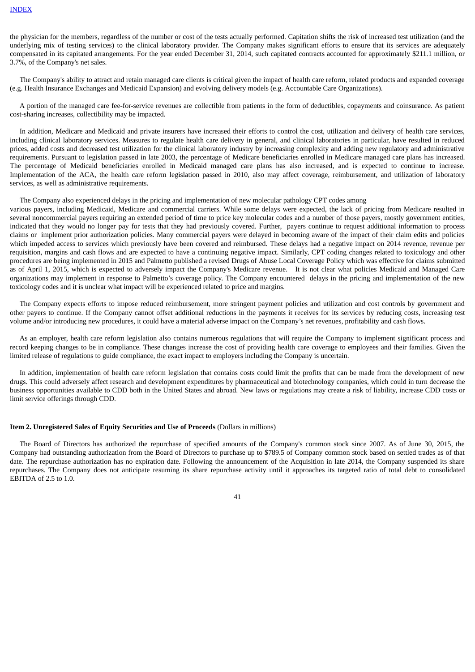the physician for the members, regardless of the number or cost of the tests actually performed. Capitation shifts the risk of increased test utilization (and the underlying mix of testing services) to the clinical laboratory provider. The Company makes significant efforts to ensure that its services are adequately compensated in its capitated arrangements. For the year ended December 31, 2014, such capitated contracts accounted for approximately \$211.1 million, or 3.7%, of the Company's net sales.

The Company's ability to attract and retain managed care clients is critical given the impact of health care reform, related products and expanded coverage (e.g. Health Insurance Exchanges and Medicaid Expansion) and evolving delivery models (e.g. Accountable Care Organizations).

A portion of the managed care fee-for-service revenues are collectible from patients in the form of deductibles, copayments and coinsurance. As patient cost-sharing increases, collectibility may be impacted.

In addition, Medicare and Medicaid and private insurers have increased their efforts to control the cost, utilization and delivery of health care services, including clinical laboratory services. Measures to regulate health care delivery in general, and clinical laboratories in particular, have resulted in reduced prices, added costs and decreased test utilization for the clinical laboratory industry by increasing complexity and adding new regulatory and administrative requirements. Pursuant to legislation passed in late 2003, the percentage of Medicare beneficiaries enrolled in Medicare managed care plans has increased. The percentage of Medicaid beneficiaries enrolled in Medicaid managed care plans has also increased, and is expected to continue to increase. Implementation of the ACA, the health care reform legislation passed in 2010, also may affect coverage, reimbursement, and utilization of laboratory services, as well as administrative requirements.

The Company also experienced delays in the pricing and implementation of new molecular pathology CPT codes among

various payers, including Medicaid, Medicare and commercial carriers. While some delays were expected, the lack of pricing from Medicare resulted in several noncommercial payers requiring an extended period of time to price key molecular codes and a number of those payers, mostly government entities, indicated that they would no longer pay for tests that they had previously covered. Further, payers continue to request additional information to process claims or implement prior authorization policies. Many commercial payers were delayed in becoming aware of the impact of their claim edits and policies which impeded access to services which previously have been covered and reimbursed. These delays had a negative impact on 2014 revenue, revenue per requisition, margins and cash flows and are expected to have a continuing negative impact. Similarly, CPT coding changes related to toxicology and other procedures are being implemented in 2015 and Palmetto published a revised Drugs of Abuse Local Coverage Policy which was effective for claims submitted as of April 1, 2015, which is expected to adversely impact the Company's Medicare revenue. It is not clear what policies Medicaid and Managed Care organizations may implement in response to Palmetto's coverage policy. The Company encountered delays in the pricing and implementation of the new toxicology codes and it is unclear what impact will be experienced related to price and margins.

The Company expects efforts to impose reduced reimbursement, more stringent payment policies and utilization and cost controls by government and other payers to continue. If the Company cannot offset additional reductions in the payments it receives for its services by reducing costs, increasing test volume and/or introducing new procedures, it could have a material adverse impact on the Company's net revenues, profitability and cash flows.

As an employer, health care reform legislation also contains numerous regulations that will require the Company to implement significant process and record keeping changes to be in compliance. These changes increase the cost of providing health care coverage to employees and their families. Given the limited release of regulations to guide compliance, the exact impact to employers including the Company is uncertain.

In addition, implementation of health care reform legislation that contains costs could limit the profits that can be made from the development of new drugs. This could adversely affect research and development expenditures by pharmaceutical and biotechnology companies, which could in turn decrease the business opportunities available to CDD both in the United States and abroad. New laws or regulations may create a risk of liability, increase CDD costs or limit service offerings through CDD.

#### <span id="page-41-0"></span>**Item 2. Unregistered Sales of Equity Securities and Use of Proceeds** (Dollars in millions)

<span id="page-41-1"></span>The Board of Directors has authorized the repurchase of specified amounts of the Company's common stock since 2007. As of June 30, 2015, the Company had outstanding authorization from the Board of Directors to purchase up to \$789.5 of Company common stock based on settled trades as of that date. The repurchase authorization has no expiration date. Following the announcement of the Acquisition in late 2014, the Company suspended its share repurchases. The Company does not anticipate resuming its share repurchase activity until it approaches its targeted ratio of total debt to consolidated EBITDA of 2.5 to 1.0.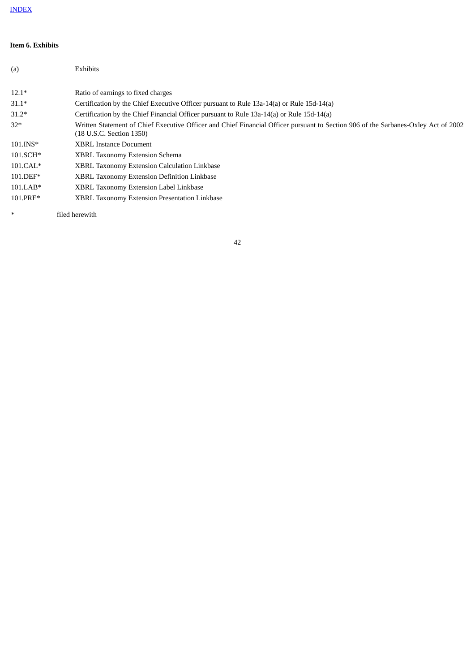## **Item 6. Exhibits**

| (a)        | Exhibits                                                                                                                                                       |
|------------|----------------------------------------------------------------------------------------------------------------------------------------------------------------|
| $12.1*$    | Ratio of earnings to fixed charges                                                                                                                             |
| $31.1*$    | Certification by the Chief Executive Officer pursuant to Rule 13a-14(a) or Rule 15d-14(a)                                                                      |
| $31.2*$    | Certification by the Chief Financial Officer pursuant to Rule 13a-14(a) or Rule 15d-14(a)                                                                      |
| $32*$      | Written Statement of Chief Executive Officer and Chief Financial Officer pursuant to Section 906 of the Sarbanes-Oxley Act of 2002<br>(18 U.S.C. Section 1350) |
| 101.INS*   | <b>XBRL Instance Document</b>                                                                                                                                  |
| 101.SCH*   | <b>XBRL Taxonomy Extension Schema</b>                                                                                                                          |
| $101.CAL*$ | <b>XBRL Taxonomy Extension Calculation Linkbase</b>                                                                                                            |
| 101.DEF*   | <b>XBRL Taxonomy Extension Definition Linkbase</b>                                                                                                             |
| $101.LAB*$ | XBRL Taxonomy Extension Label Linkbase                                                                                                                         |
| 101.PRE*   | <b>XBRL Taxonomy Extension Presentation Linkbase</b>                                                                                                           |

\* filed herewith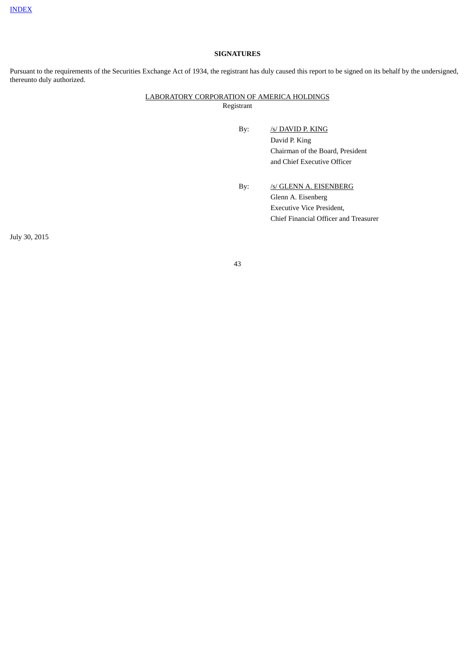## **SIGNATURES**

Pursuant to the requirements of the Securities Exchange Act of 1934, the registrant has duly caused this report to be signed on its behalf by the undersigned, thereunto duly authorized.

## LABORATORY CORPORATION OF AMERICA HOLDINGS Registrant

- By: /s/ DAVID P. KING David P. King Chairman of the Board, President and Chief Executive Officer
- By: /s/ GLENN A. EISENBERG Glenn A. Eisenberg Executive Vice President, Chief Financial Officer and Treasurer

July 30, 2015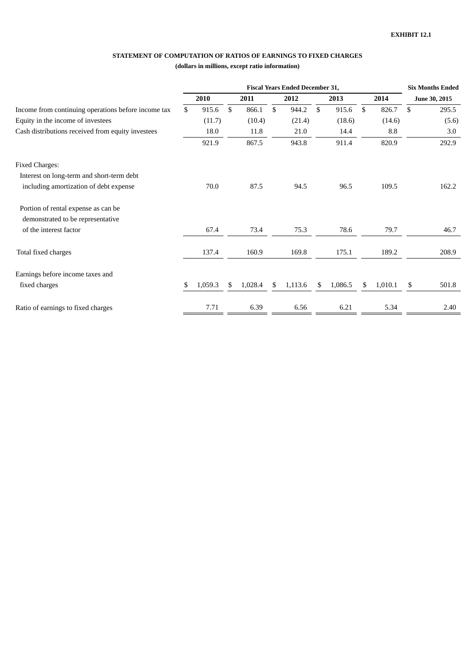## **STATEMENT OF COMPUTATION OF RATIOS OF EARNINGS TO FIXED CHARGES**

## **(dollars in millions, except ratio information)**

|                                                     | <b>Fiscal Years Ended December 31,</b> |         |    |         |      |         |      |         |      |         | <b>Six Months Ended</b> |       |
|-----------------------------------------------------|----------------------------------------|---------|----|---------|------|---------|------|---------|------|---------|-------------------------|-------|
|                                                     |                                        | 2010    |    | 2011    | 2012 |         | 2013 |         | 2014 |         | June 30, 2015           |       |
| Income from continuing operations before income tax | \$                                     | 915.6   | \$ | 866.1   | \$   | 944.2   | \$   | 915.6   | \$   | 826.7   | \$                      | 295.5 |
| Equity in the income of investees                   |                                        | (11.7)  |    | (10.4)  |      | (21.4)  |      | (18.6)  |      | (14.6)  |                         | (5.6) |
| Cash distributions received from equity investees   |                                        | 18.0    |    | 11.8    |      | 21.0    |      | 14.4    |      | 8.8     |                         | 3.0   |
|                                                     |                                        | 921.9   |    | 867.5   |      | 943.8   |      | 911.4   |      | 820.9   |                         | 292.9 |
| <b>Fixed Charges:</b>                               |                                        |         |    |         |      |         |      |         |      |         |                         |       |
| Interest on long-term and short-term debt           |                                        |         |    |         |      |         |      |         |      |         |                         |       |
| including amortization of debt expense              |                                        | 70.0    |    | 87.5    |      | 94.5    |      | 96.5    |      | 109.5   |                         | 162.2 |
| Portion of rental expense as can be                 |                                        |         |    |         |      |         |      |         |      |         |                         |       |
| demonstrated to be representative                   |                                        |         |    |         |      |         |      |         |      |         |                         |       |
| of the interest factor                              |                                        | 67.4    |    | 73.4    |      | 75.3    |      | 78.6    |      | 79.7    |                         | 46.7  |
| Total fixed charges                                 |                                        | 137.4   |    | 160.9   |      | 169.8   |      | 175.1   |      | 189.2   |                         | 208.9 |
| Earnings before income taxes and                    |                                        |         |    |         |      |         |      |         |      |         |                         |       |
| fixed charges                                       | \$                                     | 1,059.3 | S  | 1,028.4 | \$   | 1,113.6 | \$   | 1,086.5 | \$   | 1,010.1 | \$                      | 501.8 |
| Ratio of earnings to fixed charges                  |                                        | 7.71    |    | 6.39    |      | 6.56    |      | 6.21    |      | 5.34    |                         | 2.40  |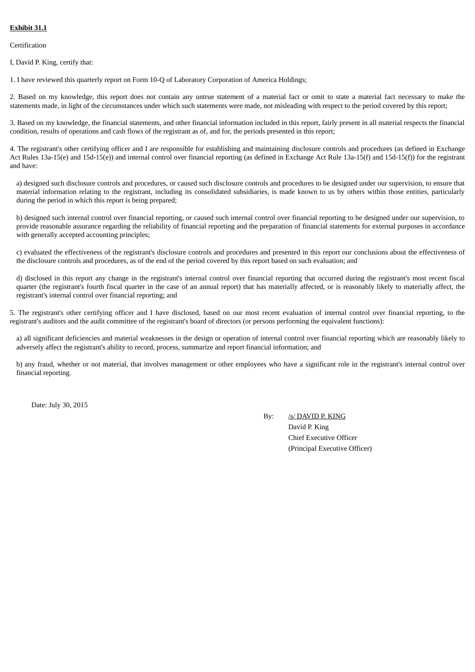## **Exhibit 31.1**

Certification

I, David P. King, certify that:

1. I have reviewed this quarterly report on Form 10-Q of Laboratory Corporation of America Holdings;

2. Based on my knowledge, this report does not contain any untrue statement of a material fact or omit to state a material fact necessary to make the statements made, in light of the circumstances under which such statements were made, not misleading with respect to the period covered by this report;

3. Based on my knowledge, the financial statements, and other financial information included in this report, fairly present in all material respects the financial condition, results of operations and cash flows of the registrant as of, and for, the periods presented in this report;

4. The registrant's other certifying officer and I are responsible for establishing and maintaining disclosure controls and procedures (as defined in Exchange Act Rules 13a-15(e) and 15d-15(e)) and internal control over financial reporting (as defined in Exchange Act Rule 13a-15(f) and 15d-15(f)) for the registrant and have:

a) designed such disclosure controls and procedures, or caused such disclosure controls and procedures to be designed under our supervision, to ensure that material information relating to the registrant, including its consolidated subsidiaries, is made known to us by others within those entities, particularly during the period in which this report is being prepared;

b) designed such internal control over financial reporting, or caused such internal control over financial reporting to be designed under our supervision, to provide reasonable assurance regarding the reliability of financial reporting and the preparation of financial statements for external purposes in accordance with generally accepted accounting principles;

c) evaluated the effectiveness of the registrant's disclosure controls and procedures and presented in this report our conclusions about the effectiveness of the disclosure controls and procedures, as of the end of the period covered by this report based on such evaluation; and

d) disclosed in this report any change in the registrant's internal control over financial reporting that occurred during the registrant's most recent fiscal quarter (the registrant's fourth fiscal quarter in the case of an annual report) that has materially affected, or is reasonably likely to materially affect, the registrant's internal control over financial reporting; and

5. The registrant's other certifying officer and I have disclosed, based on our most recent evaluation of internal control over financial reporting, to the registrant's auditors and the audit committee of the registrant's board of directors (or persons performing the equivalent functions):

a) all significant deficiencies and material weaknesses in the design or operation of internal control over financial reporting which are reasonably likely to adversely affect the registrant's ability to record, process, summarize and report financial information; and

b) any fraud, whether or not material, that involves management or other employees who have a significant role in the registrant's internal control over financial reporting.

Date: July 30, 2015

By: /s/ DAVID P. KING David P. King Chief Executive Officer (Principal Executive Officer)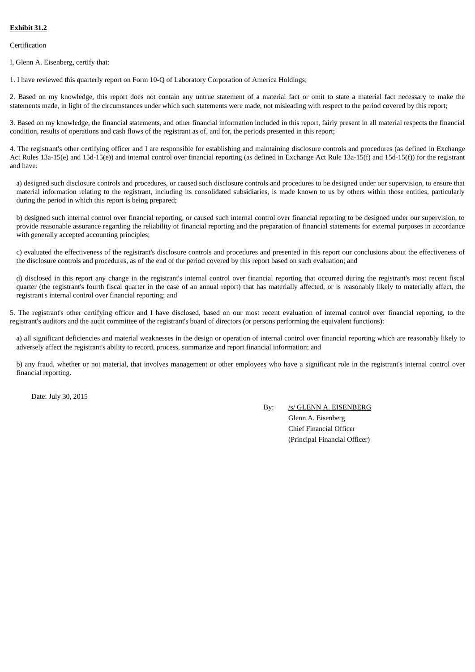## **Exhibit 31.2**

Certification

I, Glenn A. Eisenberg, certify that:

1. I have reviewed this quarterly report on Form 10-Q of Laboratory Corporation of America Holdings;

2. Based on my knowledge, this report does not contain any untrue statement of a material fact or omit to state a material fact necessary to make the statements made, in light of the circumstances under which such statements were made, not misleading with respect to the period covered by this report;

3. Based on my knowledge, the financial statements, and other financial information included in this report, fairly present in all material respects the financial condition, results of operations and cash flows of the registrant as of, and for, the periods presented in this report;

4. The registrant's other certifying officer and I are responsible for establishing and maintaining disclosure controls and procedures (as defined in Exchange Act Rules 13a-15(e) and 15d-15(e)) and internal control over financial reporting (as defined in Exchange Act Rule 13a-15(f) and 15d-15(f)) for the registrant and have:

a) designed such disclosure controls and procedures, or caused such disclosure controls and procedures to be designed under our supervision, to ensure that material information relating to the registrant, including its consolidated subsidiaries, is made known to us by others within those entities, particularly during the period in which this report is being prepared;

b) designed such internal control over financial reporting, or caused such internal control over financial reporting to be designed under our supervision, to provide reasonable assurance regarding the reliability of financial reporting and the preparation of financial statements for external purposes in accordance with generally accepted accounting principles;

c) evaluated the effectiveness of the registrant's disclosure controls and procedures and presented in this report our conclusions about the effectiveness of the disclosure controls and procedures, as of the end of the period covered by this report based on such evaluation; and

d) disclosed in this report any change in the registrant's internal control over financial reporting that occurred during the registrant's most recent fiscal quarter (the registrant's fourth fiscal quarter in the case of an annual report) that has materially affected, or is reasonably likely to materially affect, the registrant's internal control over financial reporting; and

5. The registrant's other certifying officer and I have disclosed, based on our most recent evaluation of internal control over financial reporting, to the registrant's auditors and the audit committee of the registrant's board of directors (or persons performing the equivalent functions):

a) all significant deficiencies and material weaknesses in the design or operation of internal control over financial reporting which are reasonably likely to adversely affect the registrant's ability to record, process, summarize and report financial information; and

b) any fraud, whether or not material, that involves management or other employees who have a significant role in the registrant's internal control over financial reporting.

Date: July 30, 2015

By: /s/ GLENN A. EISENBERG

Glenn A. Eisenberg Chief Financial Officer (Principal Financial Officer)